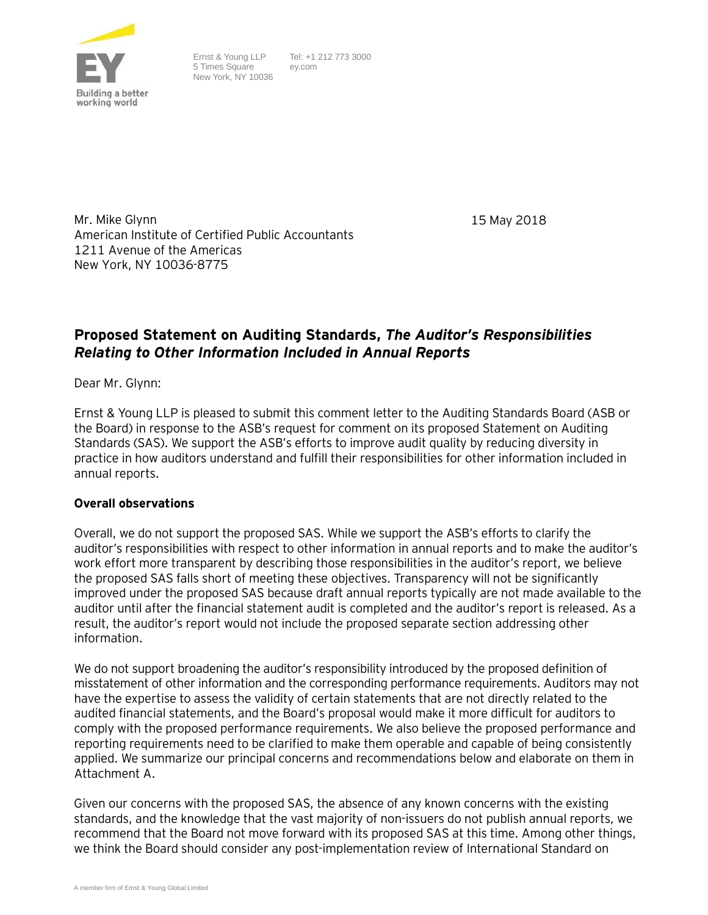

Ernst & Young LLP 5 Times Square New York, NY 10036 Tel: +1 212 773 3000 ey.com

15 May 2018

Mr. Mike Glynn American Institute of Certified Public Accountants 1211 Avenue of the Americas New York, NY 10036-8775

# **Proposed Statement on Auditing Standards,** *The Auditor's Responsibilities Relating to Other Information Included in Annual Reports*

Dear Mr. Glynn:

Ernst & Young LLP is pleased to submit this comment letter to the Auditing Standards Board (ASB or the Board) in response to the ASB's request for comment on its proposed Statement on Auditing Standards (SAS). We support the ASB's efforts to improve audit quality by reducing diversity in practice in how auditors understand and fulfill their responsibilities for other information included in annual reports.

# **Overall observations**

Overall, we do not support the proposed SAS. While we support the ASB's efforts to clarify the auditor's responsibilities with respect to other information in annual reports and to make the auditor's work effort more transparent by describing those responsibilities in the auditor's report, we believe the proposed SAS falls short of meeting these objectives. Transparency will not be significantly improved under the proposed SAS because draft annual reports typically are not made available to the auditor until after the financial statement audit is completed and the auditor's report is released. As a result, the auditor's report would not include the proposed separate section addressing other information.

We do not support broadening the auditor's responsibility introduced by the proposed definition of misstatement of other information and the corresponding performance requirements. Auditors may not have the expertise to assess the validity of certain statements that are not directly related to the audited financial statements, and the Board's proposal would make it more difficult for auditors to comply with the proposed performance requirements. We also believe the proposed performance and reporting requirements need to be clarified to make them operable and capable of being consistently applied. We summarize our principal concerns and recommendations below and elaborate on them in Attachment A.

Given our concerns with the proposed SAS, the absence of any known concerns with the existing standards, and the knowledge that the vast majority of non-issuers do not publish annual reports, we recommend that the Board not move forward with its proposed SAS at this time. Among other things, we think the Board should consider any post-implementation review of International Standard on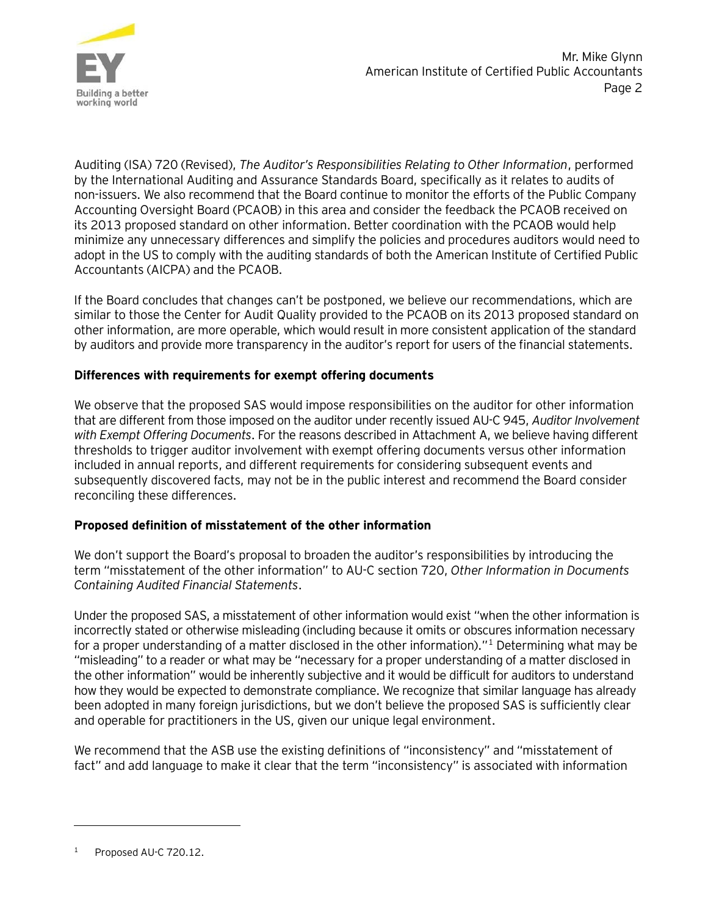

Auditing (ISA) 720 (Revised), *The Auditor's Responsibilities Relating to Other Information*, performed by the International Auditing and Assurance Standards Board, specifically as it relates to audits of non-issuers. We also recommend that the Board continue to monitor the efforts of the Public Company Accounting Oversight Board (PCAOB) in this area and consider the feedback the PCAOB received on its 2013 proposed standard on other information. Better coordination with the PCAOB would help minimize any unnecessary differences and simplify the policies and procedures auditors would need to adopt in the US to comply with the auditing standards of both the American Institute of Certified Public Accountants (AICPA) and the PCAOB.

If the Board concludes that changes can't be postponed, we believe our recommendations, which are similar to those the Center for Audit Quality provided to the PCAOB on its 2013 proposed standard on other information, are more operable, which would result in more consistent application of the standard by auditors and provide more transparency in the auditor's report for users of the financial statements.

# **Differences with requirements for exempt offering documents**

We observe that the proposed SAS would impose responsibilities on the auditor for other information that are different from those imposed on the auditor under recently issued AU-C 945, *Auditor Involvement with Exempt Offering Documents*. For the reasons described in Attachment A, we believe having different thresholds to trigger auditor involvement with exempt offering documents versus other information included in annual reports, and different requirements for considering subsequent events and subsequently discovered facts, may not be in the public interest and recommend the Board consider reconciling these differences.

# **Proposed definition of misstatement of the other information**

We don't support the Board's proposal to broaden the auditor's responsibilities by introducing the term "misstatement of the other information" to AU-C section 720, *Other Information in Documents Containing Audited Financial Statements*.

Under the proposed SAS, a misstatement of other information would exist "when the other information is incorrectly stated or otherwise misleading (including because it omits or obscures information necessary for a proper understanding of a matter disclosed in the other information)."[1](#page-1-0) Determining what may be "misleading" to a reader or what may be "necessary for a proper understanding of a matter disclosed in the other information" would be inherently subjective and it would be difficult for auditors to understand how they would be expected to demonstrate compliance. We recognize that similar language has already been adopted in many foreign jurisdictions, but we don't believe the proposed SAS is sufficiently clear and operable for practitioners in the US, given our unique legal environment.

We recommend that the ASB use the existing definitions of "inconsistency" and "misstatement of fact" and add language to make it clear that the term "inconsistency" is associated with information

 $\overline{a}$ 

<span id="page-1-0"></span>Proposed AU-C 720.12.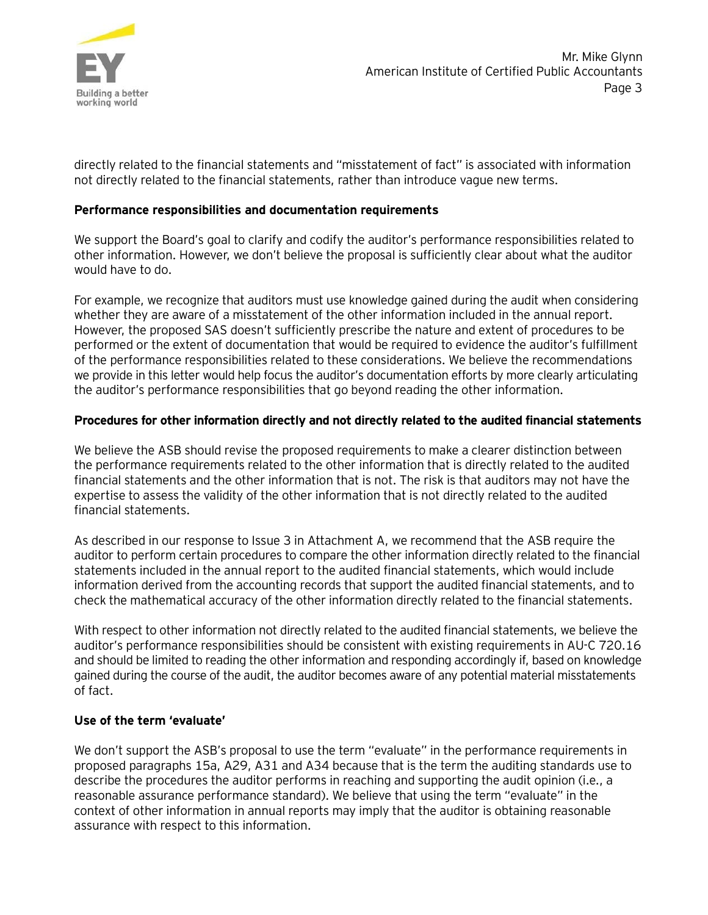

directly related to the financial statements and "misstatement of fact" is associated with information not directly related to the financial statements, rather than introduce vague new terms.

# **Performance responsibilities and documentation requirements**

We support the Board's goal to clarify and codify the auditor's performance responsibilities related to other information. However, we don't believe the proposal is sufficiently clear about what the auditor would have to do.

For example, we recognize that auditors must use knowledge gained during the audit when considering whether they are aware of a misstatement of the other information included in the annual report. However, the proposed SAS doesn't sufficiently prescribe the nature and extent of procedures to be performed or the extent of documentation that would be required to evidence the auditor's fulfillment of the performance responsibilities related to these considerations. We believe the recommendations we provide in this letter would help focus the auditor's documentation efforts by more clearly articulating the auditor's performance responsibilities that go beyond reading the other information.

### **Procedures for other information directly and not directly related to the audited financial statements**

We believe the ASB should revise the proposed requirements to make a clearer distinction between the performance requirements related to the other information that is directly related to the audited financial statements and the other information that is not. The risk is that auditors may not have the expertise to assess the validity of the other information that is not directly related to the audited financial statements.

As described in our response to Issue 3 in Attachment A, we recommend that the ASB require the auditor to perform certain procedures to compare the other information directly related to the financial statements included in the annual report to the audited financial statements, which would include information derived from the accounting records that support the audited financial statements, and to check the mathematical accuracy of the other information directly related to the financial statements.

With respect to other information not directly related to the audited financial statements, we believe the auditor's performance responsibilities should be consistent with existing requirements in AU-C 720.16 and should be limited to reading the other information and responding accordingly if, based on knowledge gained during the course of the audit, the auditor becomes aware of any potential material misstatements of fact.

# **Use of the term 'evaluate'**

We don't support the ASB's proposal to use the term "evaluate" in the performance requirements in proposed paragraphs 15a, A29, A31 and A34 because that is the term the auditing standards use to describe the procedures the auditor performs in reaching and supporting the audit opinion (i.e., a reasonable assurance performance standard). We believe that using the term "evaluate" in the context of other information in annual reports may imply that the auditor is obtaining reasonable assurance with respect to this information.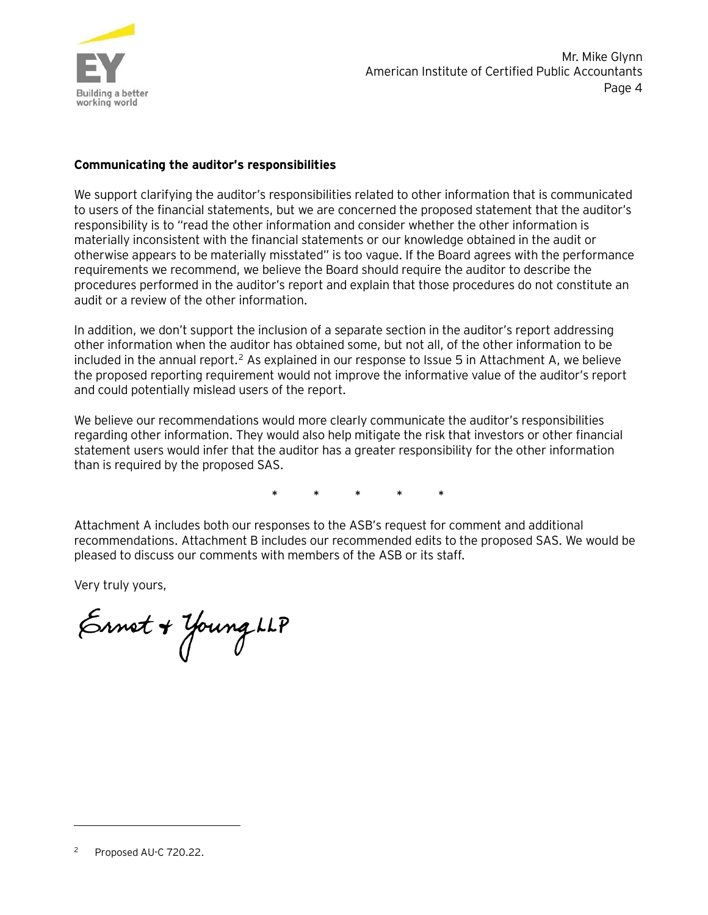

# **Communicating the auditor's responsibilities**

We support clarifying the auditor's responsibilities related to other information that is communicated to users of the financial statements, but we are concerned the proposed statement that the auditor's responsibility is to "read the other information and consider whether the other information is materially inconsistent with the financial statements or our knowledge obtained in the audit or otherwise appears to be materially misstated" is too vague. If the Board agrees with the performance requirements we recommend, we believe the Board should require the auditor to describe the procedures performed in the auditor's report and explain that those procedures do not constitute an audit or a review of the other information.

In addition, we don't support the inclusion of a separate section in the auditor's report addressing other information when the auditor has obtained some, but not all, of the other information to be included in the annual report.<sup>2</sup> As explained in our response to Issue 5 in Attachment A, we believe the proposed reporting requirement would not improve the informative value of the auditor's report and could potentially mislead users of the report.

We believe our recommendations would more clearly communicate the auditor's responsibilities regarding other information. They would also help mitigate the risk that investors or other financial statement users would infer that the auditor has a greater responsibility for the other information than is required by the proposed SAS.

**\* \* \* \* \***

Attachment A includes both our responses to the ASB's request for comment and additional recommendations. Attachment B includes our recommended edits to the proposed SAS. We would be pleased to discuss our comments with members of the ASB or its staff.

Very truly yours,

Ernet + Young LLP

 $\overline{a}$ 

<span id="page-3-0"></span><sup>2</sup> Proposed AU-C 720.22.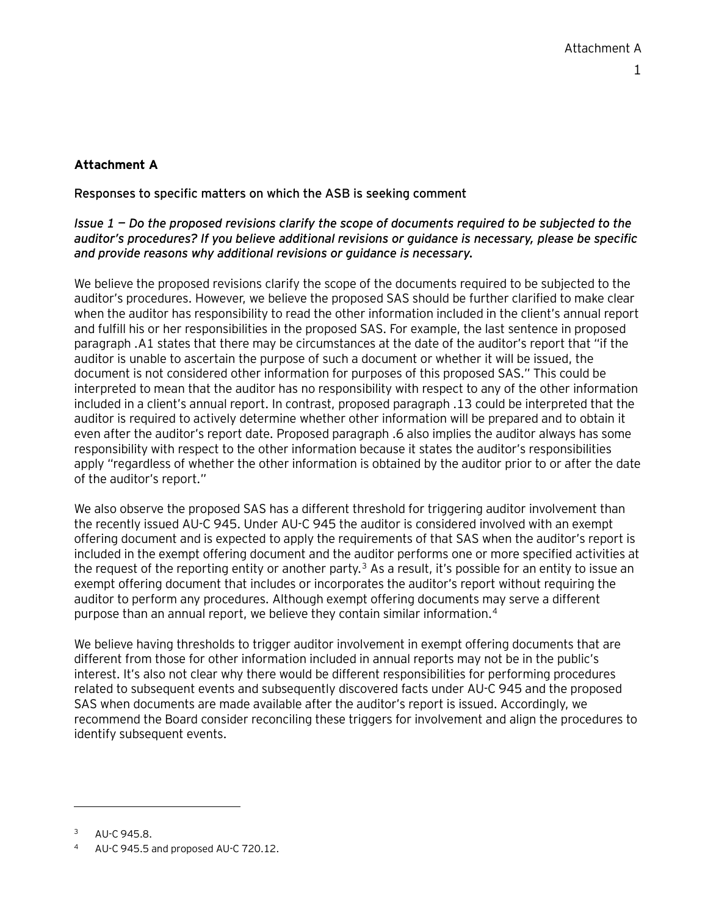# **Attachment A**

**Responses to specific matters on which the ASB is seeking comment**

# *Issue 1 — Do the proposed revisions clarify the scope of documents required to be subjected to the auditor's procedures? If you believe additional revisions or guidance is necessary, please be specific and provide reasons why additional revisions or guidance is necessary.*

We believe the proposed revisions clarify the scope of the documents required to be subjected to the auditor's procedures. However, we believe the proposed SAS should be further clarified to make clear when the auditor has responsibility to read the other information included in the client's annual report and fulfill his or her responsibilities in the proposed SAS. For example, the last sentence in proposed paragraph .A1 states that there may be circumstances at the date of the auditor's report that "if the auditor is unable to ascertain the purpose of such a document or whether it will be issued, the document is not considered other information for purposes of this proposed SAS." This could be interpreted to mean that the auditor has no responsibility with respect to any of the other information included in a client's annual report. In contrast, proposed paragraph .13 could be interpreted that the auditor is required to actively determine whether other information will be prepared and to obtain it even after the auditor's report date. Proposed paragraph .6 also implies the auditor always has some responsibility with respect to the other information because it states the auditor's responsibilities apply "regardless of whether the other information is obtained by the auditor prior to or after the date of the auditor's report."

We also observe the proposed SAS has a different threshold for triggering auditor involvement than the recently issued AU-C 945. Under AU-C 945 the auditor is considered involved with an exempt offering document and is expected to apply the requirements of that SAS when the auditor's report is included in the exempt offering document and the auditor performs one or more specified activities at the request of the reporting entity or another party.<sup>[3](#page-4-0)</sup> As a result, it's possible for an entity to issue an exempt offering document that includes or incorporates the auditor's report without requiring the auditor to perform any procedures. Although exempt offering documents may serve a different purpose than an annual report, we believe they contain similar information.[4](#page-4-1)

We believe having thresholds to trigger auditor involvement in exempt offering documents that are different from those for other information included in annual reports may not be in the public's interest. It's also not clear why there would be different responsibilities for performing procedures related to subsequent events and subsequently discovered facts under AU-C 945 and the proposed SAS when documents are made available after the auditor's report is issued. Accordingly, we recommend the Board consider reconciling these triggers for involvement and align the procedures to identify subsequent events.

-

<span id="page-4-0"></span><sup>3</sup> AU-C 945.8.

<span id="page-4-1"></span><sup>4</sup> AU-C 945.5 and proposed AU-C 720.12.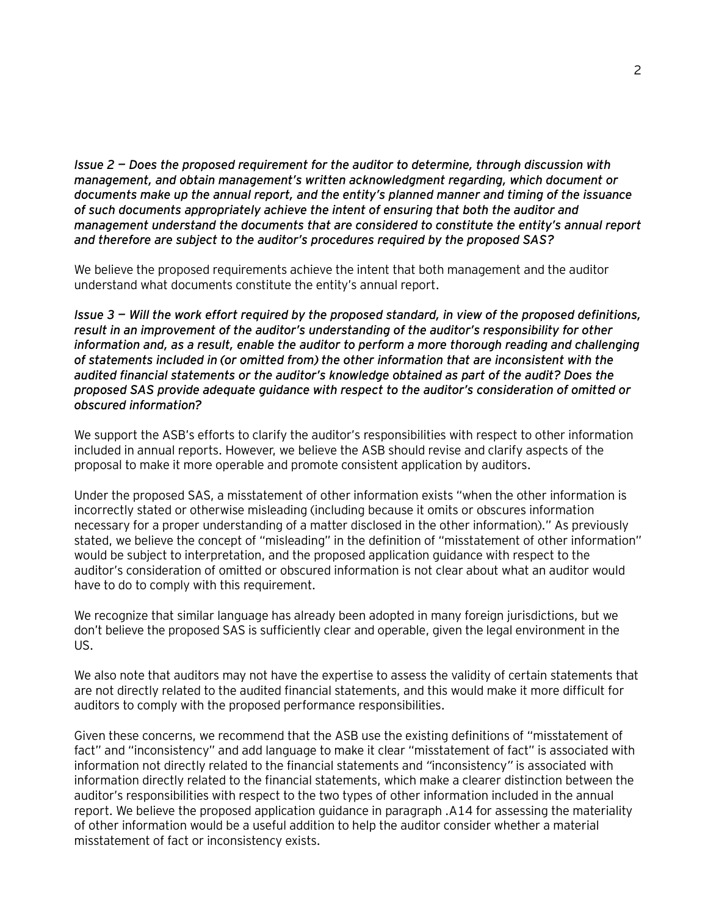*Issue 2 — Does the proposed requirement for the auditor to determine, through discussion with management, and obtain management's written acknowledgment regarding, which document or documents make up the annual report, and the entity's planned manner and timing of the issuance of such documents appropriately achieve the intent of ensuring that both the auditor and management understand the documents that are considered to constitute the entity's annual report and therefore are subject to the auditor's procedures required by the proposed SAS?*

We believe the proposed requirements achieve the intent that both management and the auditor understand what documents constitute the entity's annual report.

*Issue 3 — Will the work effort required by the proposed standard, in view of the proposed definitions, result in an improvement of the auditor's understanding of the auditor's responsibility for other information and, as a result, enable the auditor to perform a more thorough reading and challenging of statements included in (or omitted from) the other information that are inconsistent with the audited financial statements or the auditor's knowledge obtained as part of the audit? Does the proposed SAS provide adequate guidance with respect to the auditor's consideration of omitted or obscured information?*

We support the ASB's efforts to clarify the auditor's responsibilities with respect to other information included in annual reports. However, we believe the ASB should revise and clarify aspects of the proposal to make it more operable and promote consistent application by auditors.

Under the proposed SAS, a misstatement of other information exists "when the other information is incorrectly stated or otherwise misleading (including because it omits or obscures information necessary for a proper understanding of a matter disclosed in the other information)." As previously stated, we believe the concept of "misleading" in the definition of "misstatement of other information" would be subject to interpretation, and the proposed application guidance with respect to the auditor's consideration of omitted or obscured information is not clear about what an auditor would have to do to comply with this requirement.

We recognize that similar language has already been adopted in many foreign jurisdictions, but we don't believe the proposed SAS is sufficiently clear and operable, given the legal environment in the US.

We also note that auditors may not have the expertise to assess the validity of certain statements that are not directly related to the audited financial statements, and this would make it more difficult for auditors to comply with the proposed performance responsibilities.

Given these concerns, we recommend that the ASB use the existing definitions of "misstatement of fact" and "inconsistency" and add language to make it clear "misstatement of fact" is associated with information not directly related to the financial statements and *"*inconsistency*"* is associated with information directly related to the financial statements, which make a clearer distinction between the auditor's responsibilities with respect to the two types of other information included in the annual report. We believe the proposed application guidance in paragraph .A14 for assessing the materiality of other information would be a useful addition to help the auditor consider whether a material misstatement of fact or inconsistency exists.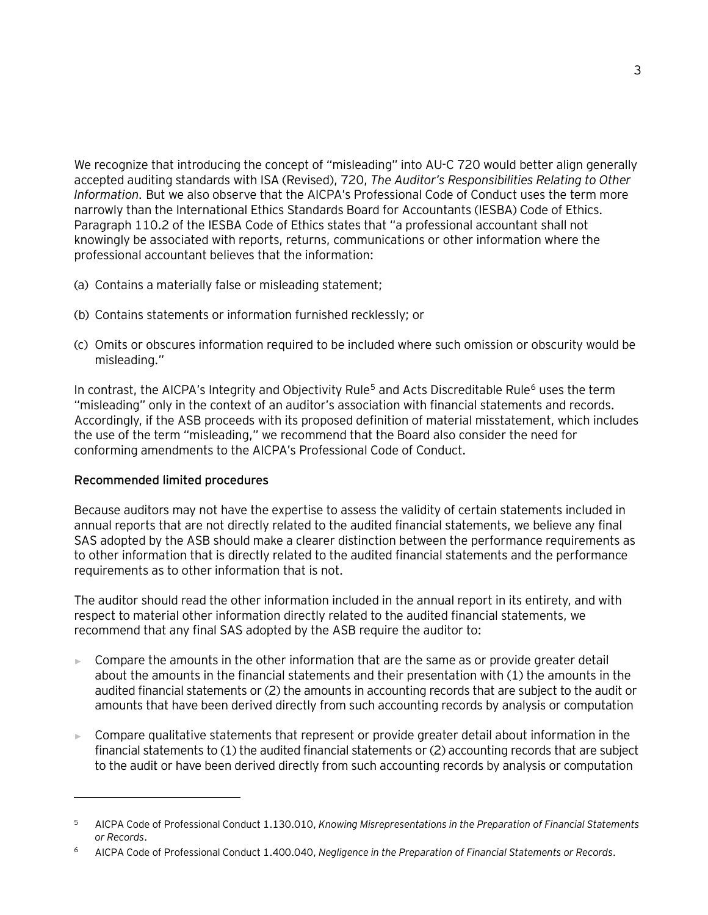We recognize that introducing the concept of "misleading" into AU-C 720 would better align generally accepted auditing standards with ISA (Revised), 720, *The Auditor's Responsibilities Relating to Other Information.* But we also observe that the AICPA's Professional Code of Conduct uses the term more narrowly than the International Ethics Standards Board for Accountants (IESBA) Code of Ethics. Paragraph 110.2 of the IESBA Code of Ethics states that "a professional accountant shall not knowingly be associated with reports, returns, communications or other information where the professional accountant believes that the information:

- (a) Contains a materially false or misleading statement;
- (b) Contains statements or information furnished recklessly; or
- (c) Omits or obscures information required to be included where such omission or obscurity would be misleading."

In contrast, the AICPA's Integrity and Objectivity Rule<sup>[5](#page-6-0)</sup> and Acts Discreditable Rule<sup>[6](#page-6-1)</sup> uses the term "misleading" only in the context of an auditor's association with financial statements and records. Accordingly, if the ASB proceeds with its proposed definition of material misstatement, which includes the use of the term "misleading," we recommend that the Board also consider the need for conforming amendments to the AICPA's Professional Code of Conduct.

# **Recommended limited procedures**

 $\overline{a}$ 

Because auditors may not have the expertise to assess the validity of certain statements included in annual reports that are not directly related to the audited financial statements, we believe any final SAS adopted by the ASB should make a clearer distinction between the performance requirements as to other information that is directly related to the audited financial statements and the performance requirements as to other information that is not.

The auditor should read the other information included in the annual report in its entirety, and with respect to material other information directly related to the audited financial statements, we recommend that any final SAS adopted by the ASB require the auditor to:

- ► Compare the amounts in the other information that are the same as or provide greater detail about the amounts in the financial statements and their presentation with (1) the amounts in the audited financial statements or (2) the amounts in accounting records that are subject to the audit or amounts that have been derived directly from such accounting records by analysis or computation
- ► Compare qualitative statements that represent or provide greater detail about information in the financial statements to (1) the audited financial statements or (2) accounting records that are subject to the audit or have been derived directly from such accounting records by analysis or computation

<span id="page-6-0"></span><sup>5</sup> AICPA Code of Professional Conduct 1.130.010, *Knowing Misrepresentations in the Preparation of Financial Statements or Records*.

<span id="page-6-1"></span><sup>6</sup> AICPA Code of Professional Conduct 1.400.040, *Negligence in the Preparation of Financial Statements or Records*.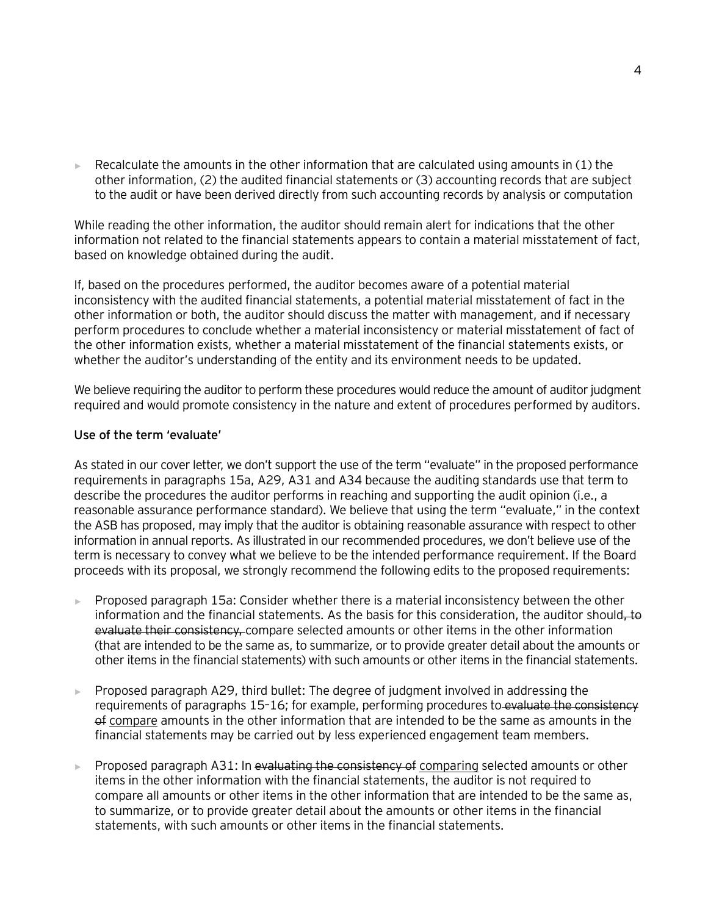► Recalculate the amounts in the other information that are calculated using amounts in (1) the other information, (2) the audited financial statements or (3) accounting records that are subject to the audit or have been derived directly from such accounting records by analysis or computation

While reading the other information, the auditor should remain alert for indications that the other information not related to the financial statements appears to contain a material misstatement of fact, based on knowledge obtained during the audit.

If, based on the procedures performed, the auditor becomes aware of a potential material inconsistency with the audited financial statements, a potential material misstatement of fact in the other information or both, the auditor should discuss the matter with management, and if necessary perform procedures to conclude whether a material inconsistency or material misstatement of fact of the other information exists, whether a material misstatement of the financial statements exists, or whether the auditor's understanding of the entity and its environment needs to be updated.

We believe requiring the auditor to perform these procedures would reduce the amount of auditor judgment required and would promote consistency in the nature and extent of procedures performed by auditors.

### **Use of the term 'evaluate'**

As stated in our cover letter, we don't support the use of the term "evaluate" in the proposed performance requirements in paragraphs 15a, A29, A31 and A34 because the auditing standards use that term to describe the procedures the auditor performs in reaching and supporting the audit opinion (i.e., a reasonable assurance performance standard). We believe that using the term "evaluate," in the context the ASB has proposed, may imply that the auditor is obtaining reasonable assurance with respect to other information in annual reports. As illustrated in our recommended procedures, we don't believe use of the term is necessary to convey what we believe to be the intended performance requirement. If the Board proceeds with its proposal, we strongly recommend the following edits to the proposed requirements:

- ► Proposed paragraph 15a: Consider whether there is a material inconsistency between the other information and the financial statements. As the basis for this consideration, the auditor should–to evaluate their consistency, compare selected amounts or other items in the other information (that are intended to be the same as, to summarize, or to provide greater detail about the amounts or other items in the financial statements) with such amounts or other items in the financial statements.
- ► Proposed paragraph A29, third bullet: The degree of judgment involved in addressing the requirements of paragraphs 15–16; for example, performing procedures to evaluate the consistency of compare amounts in the other information that are intended to be the same as amounts in the financial statements may be carried out by less experienced engagement team members.
- Proposed paragraph A31: In evaluating the consistency of comparing selected amounts or other items in the other information with the financial statements, the auditor is not required to compare all amounts or other items in the other information that are intended to be the same as, to summarize, or to provide greater detail about the amounts or other items in the financial statements, with such amounts or other items in the financial statements.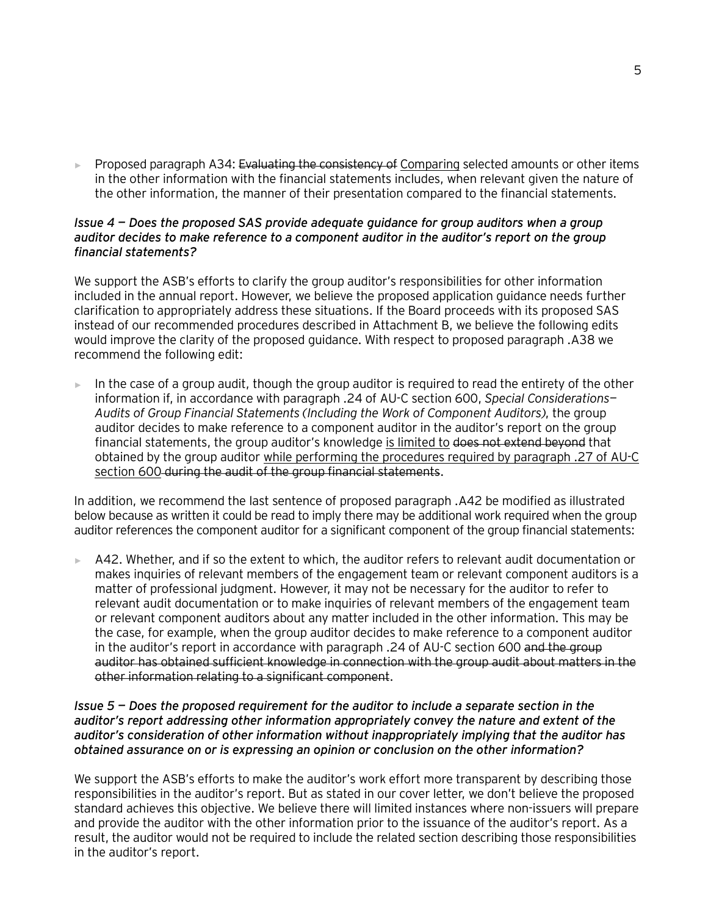Proposed paragraph A34: Evaluating the consistency of Comparing selected amounts or other items in the other information with the financial statements includes, when relevant given the nature of the other information, the manner of their presentation compared to the financial statements.

#### *Issue 4 — Does the proposed SAS provide adequate guidance for group auditors when a group auditor decides to make reference to a component auditor in the auditor's report on the group financial statements?*

We support the ASB's efforts to clarify the group auditor's responsibilities for other information included in the annual report. However, we believe the proposed application guidance needs further clarification to appropriately address these situations. If the Board proceeds with its proposed SAS instead of our recommended procedures described in Attachment B, we believe the following edits would improve the clarity of the proposed guidance. With respect to proposed paragraph .A38 we recommend the following edit:

In the case of a group audit, though the group auditor is required to read the entirety of the other information if, in accordance with paragraph .24 of AU-C section 600, *Special Considerations— Audits of Group Financial Statements (Including the Work of Component Auditors)*, the group auditor decides to make reference to a component auditor in the auditor's report on the group financial statements, the group auditor's knowledge is limited to does not extend beyond that obtained by the group auditor while performing the procedures required by paragraph .27 of AU-C section 600-during the audit of the group financial statements.

In addition, we recommend the last sentence of proposed paragraph .A42 be modified as illustrated below because as written it could be read to imply there may be additional work required when the group auditor references the component auditor for a significant component of the group financial statements:

► A42. Whether, and if so the extent to which, the auditor refers to relevant audit documentation or makes inquiries of relevant members of the engagement team or relevant component auditors is a matter of professional judgment. However, it may not be necessary for the auditor to refer to relevant audit documentation or to make inquiries of relevant members of the engagement team or relevant component auditors about any matter included in the other information. This may be the case, for example, when the group auditor decides to make reference to a component auditor in the auditor's report in accordance with paragraph .24 of AU-C section 600 and the group auditor has obtained sufficient knowledge in connection with the group audit about matters in the other information relating to a significant component.

### *Issue 5 — Does the proposed requirement for the auditor to include a separate section in the auditor's report addressing other information appropriately convey the nature and extent of the auditor's consideration of other information without inappropriately implying that the auditor has obtained assurance on or is expressing an opinion or conclusion on the other information?*

We support the ASB's efforts to make the auditor's work effort more transparent by describing those responsibilities in the auditor's report. But as stated in our cover letter, we don't believe the proposed standard achieves this objective. We believe there will limited instances where non-issuers will prepare and provide the auditor with the other information prior to the issuance of the auditor's report. As a result, the auditor would not be required to include the related section describing those responsibilities in the auditor's report.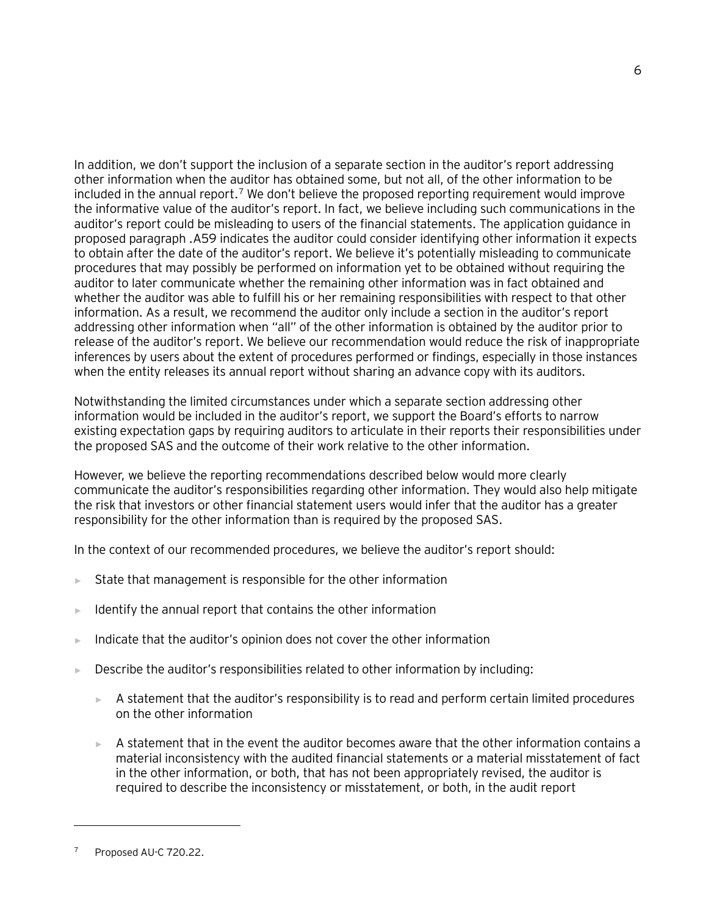In addition, we don't support the inclusion of a separate section in the auditor's report addressing other information when the auditor has obtained some, but not all, of the other information to be included in the annual report.<sup>[7](#page-9-0)</sup> We don't believe the proposed reporting requirement would improve the informative value of the auditor's report. In fact, we believe including such communications in the auditor's report could be misleading to users of the financial statements. The application guidance in proposed paragraph .A59 indicates the auditor could consider identifying other information it expects to obtain after the date of the auditor's report. We believe it's potentially misleading to communicate procedures that may possibly be performed on information yet to be obtained without requiring the auditor to later communicate whether the remaining other information was in fact obtained and whether the auditor was able to fulfill his or her remaining responsibilities with respect to that other information. As a result, we recommend the auditor only include a section in the auditor's report addressing other information when "all" of the other information is obtained by the auditor prior to release of the auditor's report. We believe our recommendation would reduce the risk of inappropriate inferences by users about the extent of procedures performed or findings, especially in those instances when the entity releases its annual report without sharing an advance copy with its auditors.

Notwithstanding the limited circumstances under which a separate section addressing other information would be included in the auditor's report, we support the Board's efforts to narrow existing expectation gaps by requiring auditors to articulate in their reports their responsibilities under the proposed SAS and the outcome of their work relative to the other information.

However, we believe the reporting recommendations described below would more clearly communicate the auditor's responsibilities regarding other information. They would also help mitigate the risk that investors or other financial statement users would infer that the auditor has a greater responsibility for the other information than is required by the proposed SAS.

In the context of our recommended procedures, we believe the auditor's report should:

- $\blacktriangleright$  State that management is responsible for the other information
- $\blacktriangleright$  Identify the annual report that contains the other information
- Indicate that the auditor's opinion does not cover the other information
- $\blacktriangleright$  Describe the auditor's responsibilities related to other information by including:
	- $\blacktriangleright$  A statement that the auditor's responsibility is to read and perform certain limited procedures on the other information
	- A statement that in the event the auditor becomes aware that the other information contains a material inconsistency with the audited financial statements or a material misstatement of fact in the other information, or both, that has not been appropriately revised, the auditor is required to describe the inconsistency or misstatement, or both, in the audit report

 $\overline{a}$ 

<span id="page-9-0"></span>Proposed AU-C 720.22.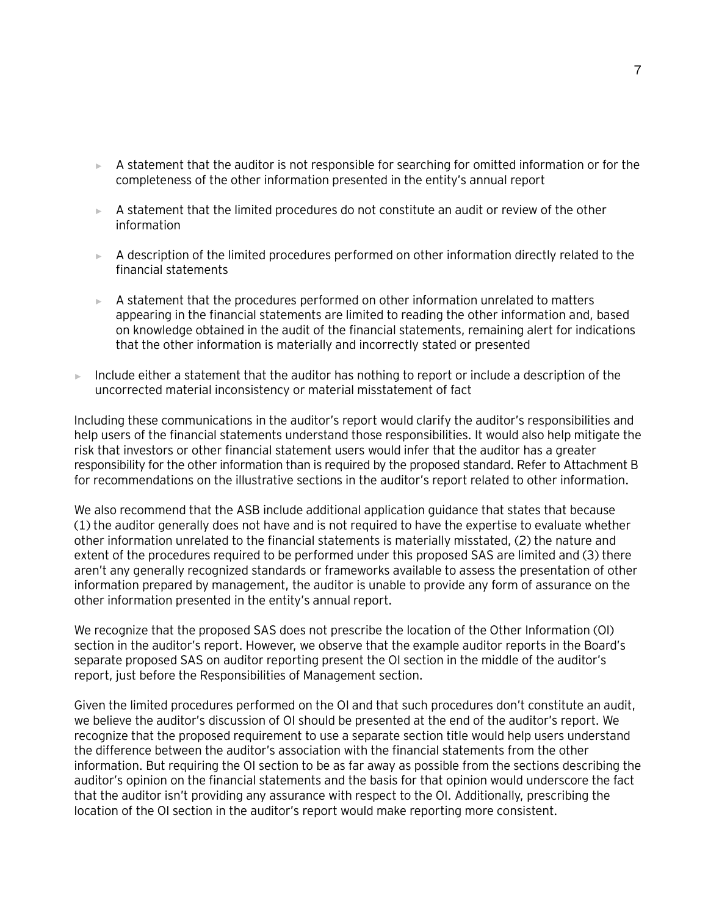- ► A statement that the auditor is not responsible for searching for omitted information or for the completeness of the other information presented in the entity's annual report
- ► A statement that the limited procedures do not constitute an audit or review of the other information
- ► A description of the limited procedures performed on other information directly related to the financial statements
- ► A statement that the procedures performed on other information unrelated to matters appearing in the financial statements are limited to reading the other information and, based on knowledge obtained in the audit of the financial statements, remaining alert for indications that the other information is materially and incorrectly stated or presented
- Include either a statement that the auditor has nothing to report or include a description of the uncorrected material inconsistency or material misstatement of fact

Including these communications in the auditor's report would clarify the auditor's responsibilities and help users of the financial statements understand those responsibilities. It would also help mitigate the risk that investors or other financial statement users would infer that the auditor has a greater responsibility for the other information than is required by the proposed standard. Refer to Attachment B for recommendations on the illustrative sections in the auditor's report related to other information.

We also recommend that the ASB include additional application guidance that states that because (1) the auditor generally does not have and is not required to have the expertise to evaluate whether other information unrelated to the financial statements is materially misstated, (2) the nature and extent of the procedures required to be performed under this proposed SAS are limited and (3) there aren't any generally recognized standards or frameworks available to assess the presentation of other information prepared by management, the auditor is unable to provide any form of assurance on the other information presented in the entity's annual report.

We recognize that the proposed SAS does not prescribe the location of the Other Information (OI) section in the auditor's report. However, we observe that the example auditor reports in the Board's separate proposed SAS on auditor reporting present the OI section in the middle of the auditor's report, just before the Responsibilities of Management section.

Given the limited procedures performed on the OI and that such procedures don't constitute an audit, we believe the auditor's discussion of OI should be presented at the end of the auditor's report. We recognize that the proposed requirement to use a separate section title would help users understand the difference between the auditor's association with the financial statements from the other information. But requiring the OI section to be as far away as possible from the sections describing the auditor's opinion on the financial statements and the basis for that opinion would underscore the fact that the auditor isn't providing any assurance with respect to the OI. Additionally, prescribing the location of the OI section in the auditor's report would make reporting more consistent.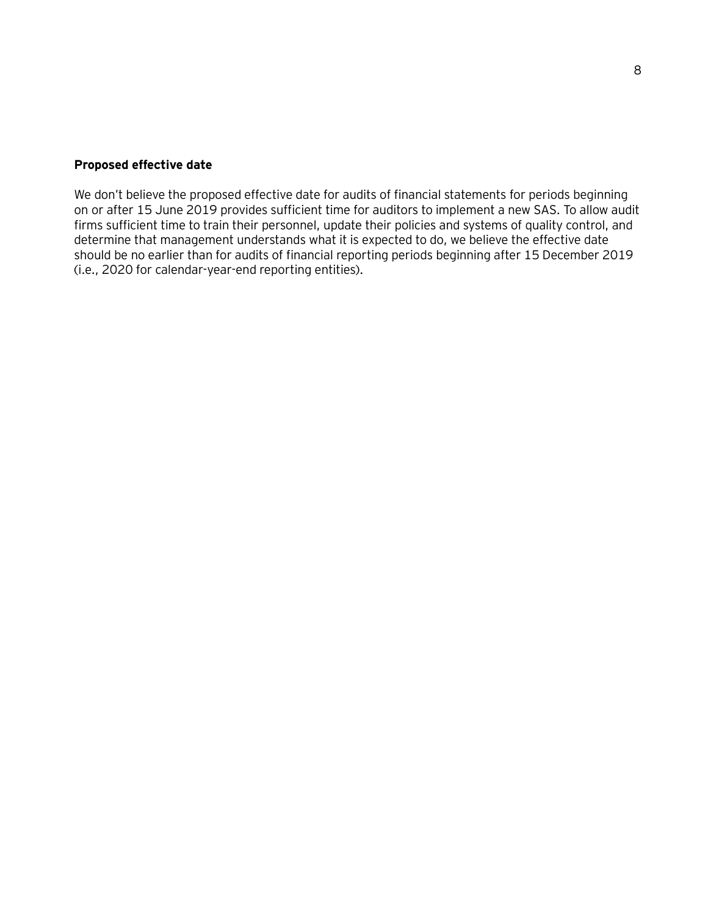#### **Proposed effective date**

We don't believe the proposed effective date for audits of financial statements for periods beginning on or after 15 June 2019 provides sufficient time for auditors to implement a new SAS. To allow audit firms sufficient time to train their personnel, update their policies and systems of quality control, and determine that management understands what it is expected to do, we believe the effective date should be no earlier than for audits of financial reporting periods beginning after 15 December 2019 (i.e., 2020 for calendar-year-end reporting entities).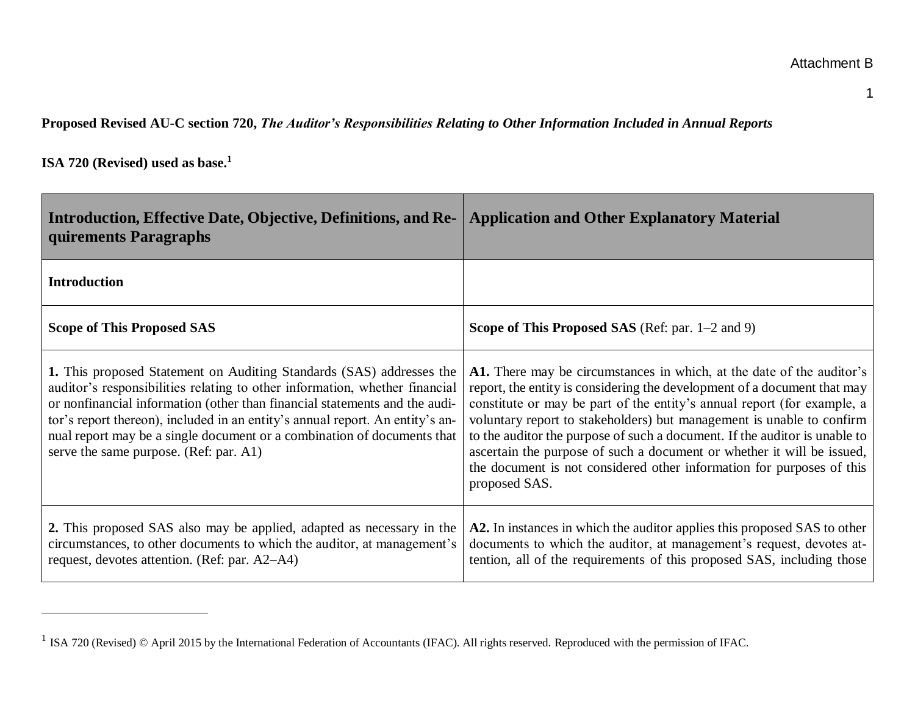**Proposed Revised AU-C section 720,** *The Auditor's Responsibilities Relating to Other Information Included in Annual Reports*

**ISA 720 (Revised) used as base.<sup>1</sup>**

| Introduction, Effective Date, Objective, Definitions, and Re-<br>quirements Paragraphs                                                                                                                                                                                                                                                                                                                                                  | <b>Application and Other Explanatory Material</b>                                                                                                                                                                                                                                                                                                                                                                                                                                                                                                       |
|-----------------------------------------------------------------------------------------------------------------------------------------------------------------------------------------------------------------------------------------------------------------------------------------------------------------------------------------------------------------------------------------------------------------------------------------|---------------------------------------------------------------------------------------------------------------------------------------------------------------------------------------------------------------------------------------------------------------------------------------------------------------------------------------------------------------------------------------------------------------------------------------------------------------------------------------------------------------------------------------------------------|
| <b>Introduction</b>                                                                                                                                                                                                                                                                                                                                                                                                                     |                                                                                                                                                                                                                                                                                                                                                                                                                                                                                                                                                         |
| <b>Scope of This Proposed SAS</b>                                                                                                                                                                                                                                                                                                                                                                                                       | Scope of This Proposed SAS (Ref: par. 1–2 and 9)                                                                                                                                                                                                                                                                                                                                                                                                                                                                                                        |
| 1. This proposed Statement on Auditing Standards (SAS) addresses the<br>auditor's responsibilities relating to other information, whether financial<br>or nonfinancial information (other than financial statements and the audi-<br>tor's report thereon), included in an entity's annual report. An entity's an-<br>nual report may be a single document or a combination of documents that<br>serve the same purpose. (Ref: par. A1) | A1. There may be circumstances in which, at the date of the auditor's<br>report, the entity is considering the development of a document that may<br>constitute or may be part of the entity's annual report (for example, a<br>voluntary report to stakeholders) but management is unable to confirm<br>to the auditor the purpose of such a document. If the auditor is unable to<br>ascertain the purpose of such a document or whether it will be issued,<br>the document is not considered other information for purposes of this<br>proposed SAS. |
| <b>2.</b> This proposed SAS also may be applied, adapted as necessary in the<br>circumstances, to other documents to which the auditor, at management's<br>request, devotes attention. (Ref: par. A2–A4)                                                                                                                                                                                                                                | A2. In instances in which the auditor applies this proposed SAS to other<br>documents to which the auditor, at management's request, devotes at-<br>tention, all of the requirements of this proposed SAS, including those                                                                                                                                                                                                                                                                                                                              |

<sup>&</sup>lt;sup>1</sup> ISA 720 (Revised) © April 2015 by the International Federation of Accountants (IFAC). All rights reserved. Reproduced with the permission of IFAC.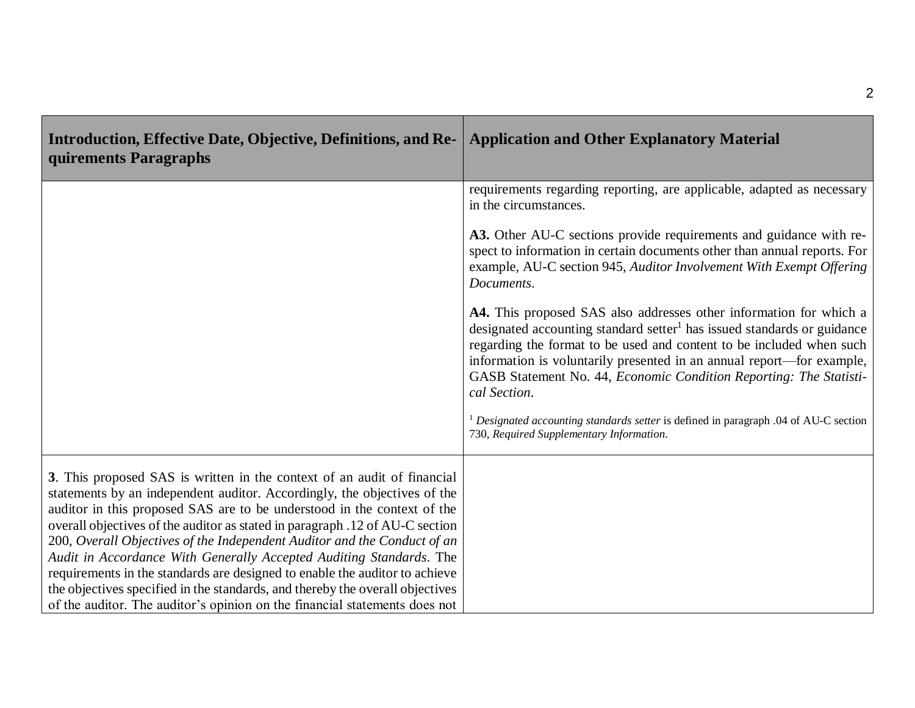| Introduction, Effective Date, Objective, Definitions, and Re-<br>quirements Paragraphs                                                                                                                                                                                                                                                                                                                                                                                                                                                                                                                                                                                                                          | <b>Application and Other Explanatory Material</b>                                                                                                                                                                                                                                                                                                                                                |
|-----------------------------------------------------------------------------------------------------------------------------------------------------------------------------------------------------------------------------------------------------------------------------------------------------------------------------------------------------------------------------------------------------------------------------------------------------------------------------------------------------------------------------------------------------------------------------------------------------------------------------------------------------------------------------------------------------------------|--------------------------------------------------------------------------------------------------------------------------------------------------------------------------------------------------------------------------------------------------------------------------------------------------------------------------------------------------------------------------------------------------|
|                                                                                                                                                                                                                                                                                                                                                                                                                                                                                                                                                                                                                                                                                                                 | requirements regarding reporting, are applicable, adapted as necessary<br>in the circumstances.                                                                                                                                                                                                                                                                                                  |
|                                                                                                                                                                                                                                                                                                                                                                                                                                                                                                                                                                                                                                                                                                                 | A3. Other AU-C sections provide requirements and guidance with re-<br>spect to information in certain documents other than annual reports. For<br>example, AU-C section 945, Auditor Involvement With Exempt Offering<br>Documents.                                                                                                                                                              |
|                                                                                                                                                                                                                                                                                                                                                                                                                                                                                                                                                                                                                                                                                                                 | A4. This proposed SAS also addresses other information for which a<br>designated accounting standard setter <sup>1</sup> has issued standards or guidance<br>regarding the format to be used and content to be included when such<br>information is voluntarily presented in an annual report—for example,<br>GASB Statement No. 44, Economic Condition Reporting: The Statisti-<br>cal Section. |
|                                                                                                                                                                                                                                                                                                                                                                                                                                                                                                                                                                                                                                                                                                                 | <sup>1</sup> Designated accounting standards setter is defined in paragraph $.04$ of AU-C section<br>730, Required Supplementary Information.                                                                                                                                                                                                                                                    |
| 3. This proposed SAS is written in the context of an audit of financial<br>statements by an independent auditor. Accordingly, the objectives of the<br>auditor in this proposed SAS are to be understood in the context of the<br>overall objectives of the auditor as stated in paragraph .12 of AU-C section<br>200, Overall Objectives of the Independent Auditor and the Conduct of an<br>Audit in Accordance With Generally Accepted Auditing Standards. The<br>requirements in the standards are designed to enable the auditor to achieve<br>the objectives specified in the standards, and thereby the overall objectives<br>of the auditor. The auditor's opinion on the financial statements does not |                                                                                                                                                                                                                                                                                                                                                                                                  |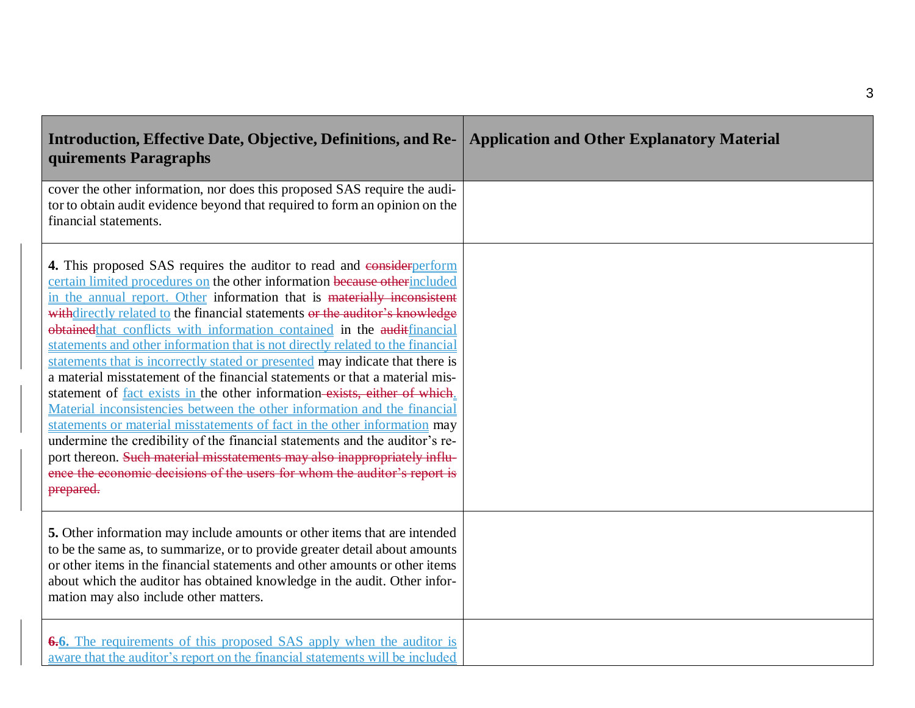| Introduction, Effective Date, Objective, Definitions, and Re-<br>quirements Paragraphs                                                                                                                                                                                                                                                                                                                                                                                                                                                                                                                                                                                                                                                                                                                                                                                                                                                                                                                                                                                                                                                  | <b>Application and Other Explanatory Material</b> |
|-----------------------------------------------------------------------------------------------------------------------------------------------------------------------------------------------------------------------------------------------------------------------------------------------------------------------------------------------------------------------------------------------------------------------------------------------------------------------------------------------------------------------------------------------------------------------------------------------------------------------------------------------------------------------------------------------------------------------------------------------------------------------------------------------------------------------------------------------------------------------------------------------------------------------------------------------------------------------------------------------------------------------------------------------------------------------------------------------------------------------------------------|---------------------------------------------------|
| cover the other information, nor does this proposed SAS require the audi-<br>tor to obtain audit evidence beyond that required to form an opinion on the<br>financial statements.                                                                                                                                                                                                                                                                                                                                                                                                                                                                                                                                                                                                                                                                                                                                                                                                                                                                                                                                                       |                                                   |
| 4. This proposed SAS requires the auditor to read and considerperform<br>certain limited procedures on the other information because otherincluded<br>in the annual report. Other information that is materially inconsistent<br>withdirectly related to the financial statements or the auditor's knowledge<br>obtained that conflicts with information contained in the auditfinancial<br>statements and other information that is not directly related to the financial<br>statements that is incorrectly stated or presented may indicate that there is<br>a material misstatement of the financial statements or that a material mis-<br>statement of fact exists in the other information-exists, either of which.<br>Material inconsistencies between the other information and the financial<br>statements or material misstatements of fact in the other information may<br>undermine the credibility of the financial statements and the auditor's re-<br>port thereon. Such material misstatements may also inappropriately influ-<br>ence the economic decisions of the users for whom the auditor's report is<br>prepared. |                                                   |
| 5. Other information may include amounts or other items that are intended<br>to be the same as, to summarize, or to provide greater detail about amounts<br>or other items in the financial statements and other amounts or other items<br>about which the auditor has obtained knowledge in the audit. Other infor-<br>mation may also include other matters.                                                                                                                                                                                                                                                                                                                                                                                                                                                                                                                                                                                                                                                                                                                                                                          |                                                   |
| <b>6.6.</b> The requirements of this proposed SAS apply when the auditor is<br>aware that the auditor's report on the financial statements will be included                                                                                                                                                                                                                                                                                                                                                                                                                                                                                                                                                                                                                                                                                                                                                                                                                                                                                                                                                                             |                                                   |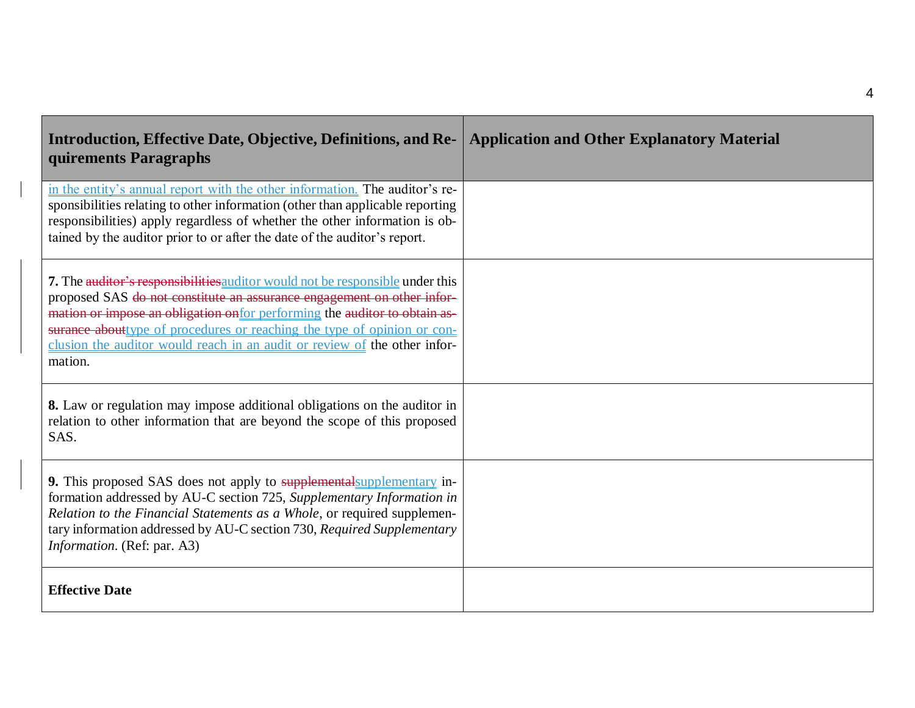| Introduction, Effective Date, Objective, Definitions, and Re-<br>quirements Paragraphs                                                                                                                                                                                                                                                                                                                  | <b>Application and Other Explanatory Material</b> |
|---------------------------------------------------------------------------------------------------------------------------------------------------------------------------------------------------------------------------------------------------------------------------------------------------------------------------------------------------------------------------------------------------------|---------------------------------------------------|
| in the entity's annual report with the other information. The auditor's re-<br>sponsibilities relating to other information (other than applicable reporting<br>responsibilities) apply regardless of whether the other information is ob-<br>tained by the auditor prior to or after the date of the auditor's report.                                                                                 |                                                   |
| 7. The auditor's responsibilities auditor would not be responsible under this<br>proposed SAS do not constitute an assurance engagement on other infor-<br>mation or impose an obligation onfor performing the auditor to obtain as-<br>surance abouttype of procedures or reaching the type of opinion or con-<br>clusion the auditor would reach in an audit or review of the other infor-<br>mation. |                                                   |
| 8. Law or regulation may impose additional obligations on the auditor in<br>relation to other information that are beyond the scope of this proposed<br>SAS.                                                                                                                                                                                                                                            |                                                   |
| 9. This proposed SAS does not apply to supplemental supplementary in-<br>formation addressed by AU-C section 725, Supplementary Information in<br>Relation to the Financial Statements as a Whole, or required supplemen-<br>tary information addressed by AU-C section 730, Required Supplementary<br><i>Information.</i> (Ref: par. A3)                                                               |                                                   |
| <b>Effective Date</b>                                                                                                                                                                                                                                                                                                                                                                                   |                                                   |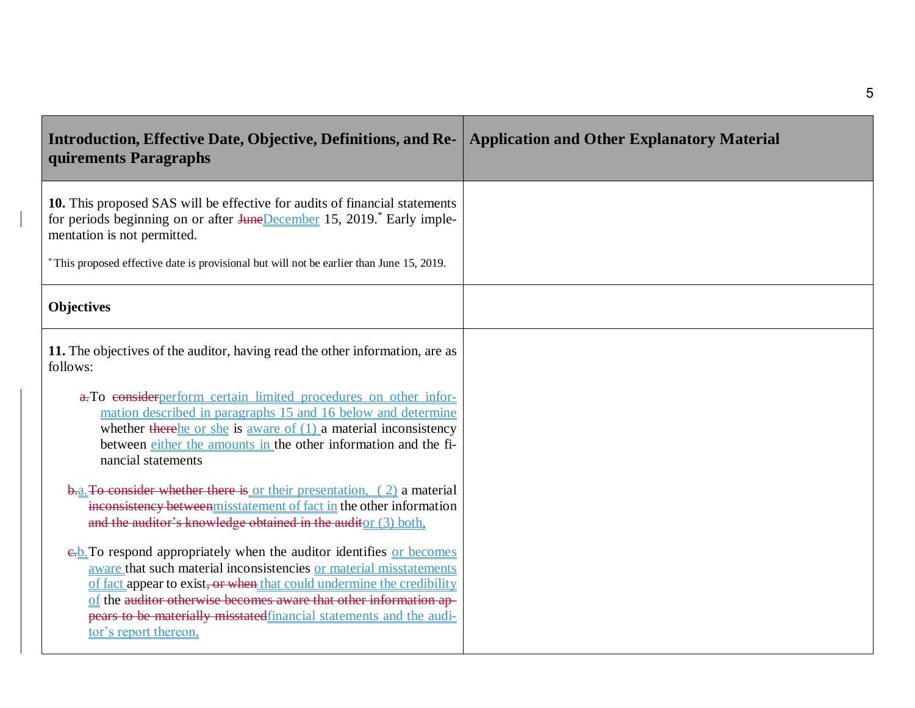| Introduction, Effective Date, Objective, Definitions, and Re-<br>quirements Paragraphs                                                                                                                                                                                                                                                                                                   | <b>Application and Other Explanatory Material</b> |
|------------------------------------------------------------------------------------------------------------------------------------------------------------------------------------------------------------------------------------------------------------------------------------------------------------------------------------------------------------------------------------------|---------------------------------------------------|
| 10. This proposed SAS will be effective for audits of financial statements<br>for periods beginning on or after JuneDecember 15, 2019. <sup>*</sup> Early imple-<br>mentation is not permitted.                                                                                                                                                                                          |                                                   |
| This proposed effective date is provisional but will not be earlier than June 15, 2019.                                                                                                                                                                                                                                                                                                  |                                                   |
| <b>Objectives</b>                                                                                                                                                                                                                                                                                                                                                                        |                                                   |
| 11. The objectives of the auditor, having read the other information, are as<br>follows:                                                                                                                                                                                                                                                                                                 |                                                   |
| a. To eonsiderperform certain limited procedures on other infor-<br>mation described in paragraphs 15 and 16 below and determine<br>whether there he or she is aware of $(1)$ a material inconsistency<br>between either the amounts in the other information and the fi-<br>nancial statements                                                                                          |                                                   |
| $b.a.$ To consider whether there is or their presentation, $(2)$ a material<br>inconsistency between misstatement of fact in the other information<br>and the auditor's knowledge obtained in the auditor (3) both,                                                                                                                                                                      |                                                   |
| e.b. To respond appropriately when the auditor identifies or becomes<br>aware that such material inconsistencies or material misstatements<br>of fact appear to exist, or when that could undermine the credibility<br>of the auditor otherwise becomes aware that other information ap-<br>pears to be materially misstated financial statements and the audi-<br>tor's report thereon, |                                                   |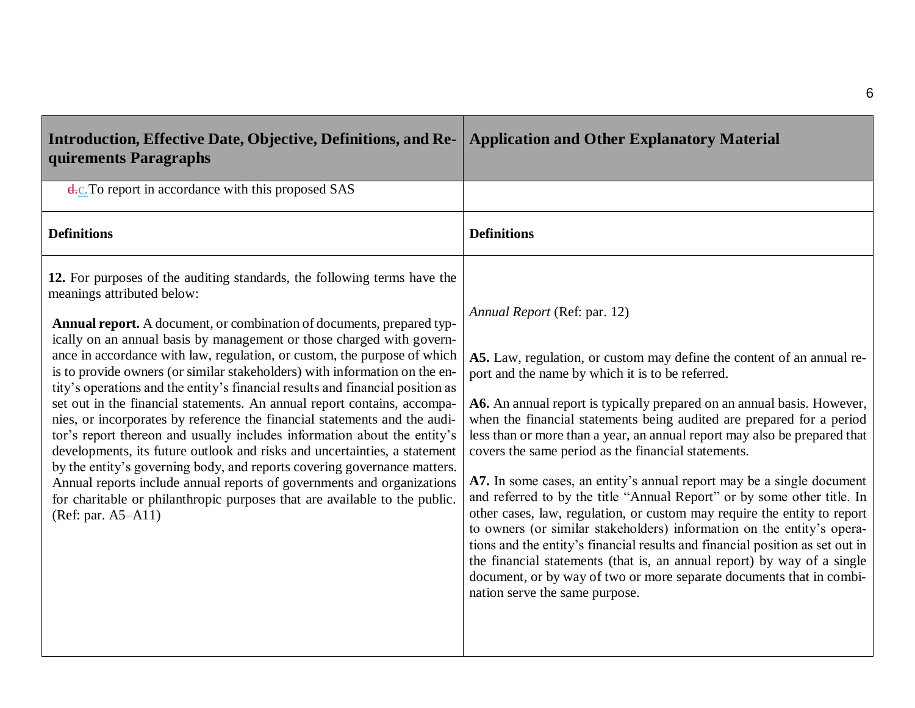| Introduction, Effective Date, Objective, Definitions, and Re-<br>quirements Paragraphs                                                                                                                                                                                                                                                                                                                                                                                                                                                                                                                                                                                                                                                                                                                                                                                                                                                                                                                                                                                                  | <b>Application and Other Explanatory Material</b>                                                                                                                                                                                                                                                                                                                                                                                                                                                                                                                                                                                                                                                                                                                                                                                                                                                                                                                                                                                  |
|-----------------------------------------------------------------------------------------------------------------------------------------------------------------------------------------------------------------------------------------------------------------------------------------------------------------------------------------------------------------------------------------------------------------------------------------------------------------------------------------------------------------------------------------------------------------------------------------------------------------------------------------------------------------------------------------------------------------------------------------------------------------------------------------------------------------------------------------------------------------------------------------------------------------------------------------------------------------------------------------------------------------------------------------------------------------------------------------|------------------------------------------------------------------------------------------------------------------------------------------------------------------------------------------------------------------------------------------------------------------------------------------------------------------------------------------------------------------------------------------------------------------------------------------------------------------------------------------------------------------------------------------------------------------------------------------------------------------------------------------------------------------------------------------------------------------------------------------------------------------------------------------------------------------------------------------------------------------------------------------------------------------------------------------------------------------------------------------------------------------------------------|
| $\frac{d}{dx}$ . To report in accordance with this proposed SAS                                                                                                                                                                                                                                                                                                                                                                                                                                                                                                                                                                                                                                                                                                                                                                                                                                                                                                                                                                                                                         |                                                                                                                                                                                                                                                                                                                                                                                                                                                                                                                                                                                                                                                                                                                                                                                                                                                                                                                                                                                                                                    |
| <b>Definitions</b>                                                                                                                                                                                                                                                                                                                                                                                                                                                                                                                                                                                                                                                                                                                                                                                                                                                                                                                                                                                                                                                                      | <b>Definitions</b>                                                                                                                                                                                                                                                                                                                                                                                                                                                                                                                                                                                                                                                                                                                                                                                                                                                                                                                                                                                                                 |
| 12. For purposes of the auditing standards, the following terms have the<br>meanings attributed below:<br><b>Annual report.</b> A document, or combination of documents, prepared typ-<br>ically on an annual basis by management or those charged with govern-<br>ance in accordance with law, regulation, or custom, the purpose of which<br>is to provide owners (or similar stakeholders) with information on the en-<br>tity's operations and the entity's financial results and financial position as<br>set out in the financial statements. An annual report contains, accompa-<br>nies, or incorporates by reference the financial statements and the audi-<br>tor's report thereon and usually includes information about the entity's<br>developments, its future outlook and risks and uncertainties, a statement<br>by the entity's governing body, and reports covering governance matters.<br>Annual reports include annual reports of governments and organizations<br>for charitable or philanthropic purposes that are available to the public.<br>(Ref: par. A5-A11) | Annual Report (Ref: par. 12)<br>A5. Law, regulation, or custom may define the content of an annual re-<br>port and the name by which it is to be referred.<br>A6. An annual report is typically prepared on an annual basis. However,<br>when the financial statements being audited are prepared for a period<br>less than or more than a year, an annual report may also be prepared that<br>covers the same period as the financial statements.<br>A7. In some cases, an entity's annual report may be a single document<br>and referred to by the title "Annual Report" or by some other title. In<br>other cases, law, regulation, or custom may require the entity to report<br>to owners (or similar stakeholders) information on the entity's opera-<br>tions and the entity's financial results and financial position as set out in<br>the financial statements (that is, an annual report) by way of a single<br>document, or by way of two or more separate documents that in combi-<br>nation serve the same purpose. |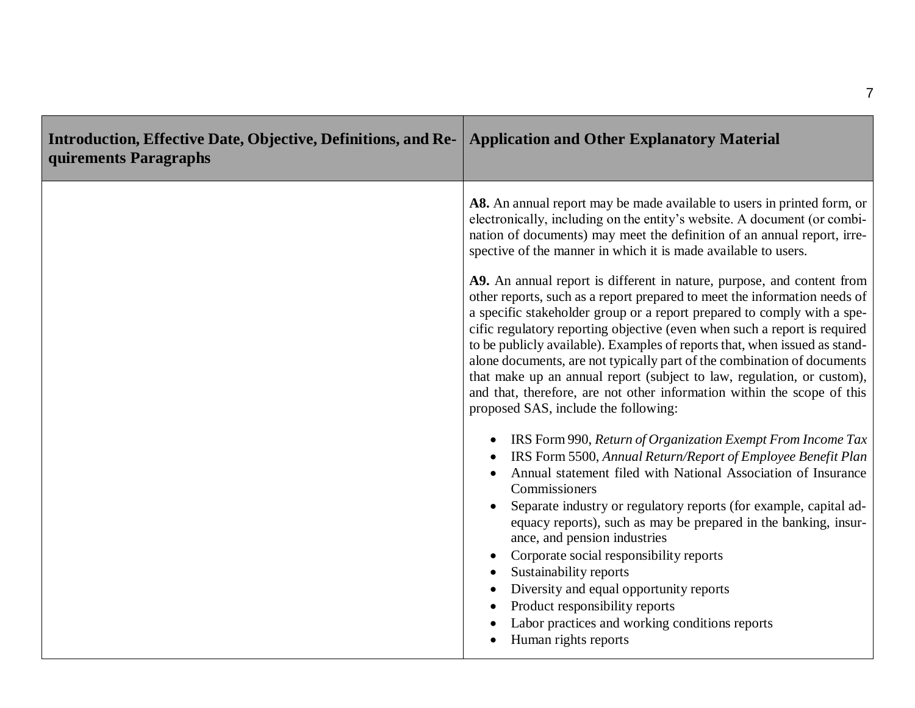| Introduction, Effective Date, Objective, Definitions, and Re-<br>quirements Paragraphs | <b>Application and Other Explanatory Material</b>                                                                                                                                                                                                                                                                                                                                                                                                                                                                                                                                                                                                                                                                                                                                                                                                                                                                                                                     |
|----------------------------------------------------------------------------------------|-----------------------------------------------------------------------------------------------------------------------------------------------------------------------------------------------------------------------------------------------------------------------------------------------------------------------------------------------------------------------------------------------------------------------------------------------------------------------------------------------------------------------------------------------------------------------------------------------------------------------------------------------------------------------------------------------------------------------------------------------------------------------------------------------------------------------------------------------------------------------------------------------------------------------------------------------------------------------|
|                                                                                        | A8. An annual report may be made available to users in printed form, or<br>electronically, including on the entity's website. A document (or combi-<br>nation of documents) may meet the definition of an annual report, irre-<br>spective of the manner in which it is made available to users.<br>A9. An annual report is different in nature, purpose, and content from<br>other reports, such as a report prepared to meet the information needs of<br>a specific stakeholder group or a report prepared to comply with a spe-<br>cific regulatory reporting objective (even when such a report is required<br>to be publicly available). Examples of reports that, when issued as stand-<br>alone documents, are not typically part of the combination of documents<br>that make up an annual report (subject to law, regulation, or custom),<br>and that, therefore, are not other information within the scope of this<br>proposed SAS, include the following: |
|                                                                                        | IRS Form 990, Return of Organization Exempt From Income Tax<br>$\bullet$<br>IRS Form 5500, Annual Return/Report of Employee Benefit Plan<br>Annual statement filed with National Association of Insurance<br>Commissioners<br>Separate industry or regulatory reports (for example, capital ad-<br>equacy reports), such as may be prepared in the banking, insur-<br>ance, and pension industries<br>Corporate social responsibility reports<br>Sustainability reports<br>Diversity and equal opportunity reports<br>Product responsibility reports<br>Labor practices and working conditions reports<br>Human rights reports                                                                                                                                                                                                                                                                                                                                        |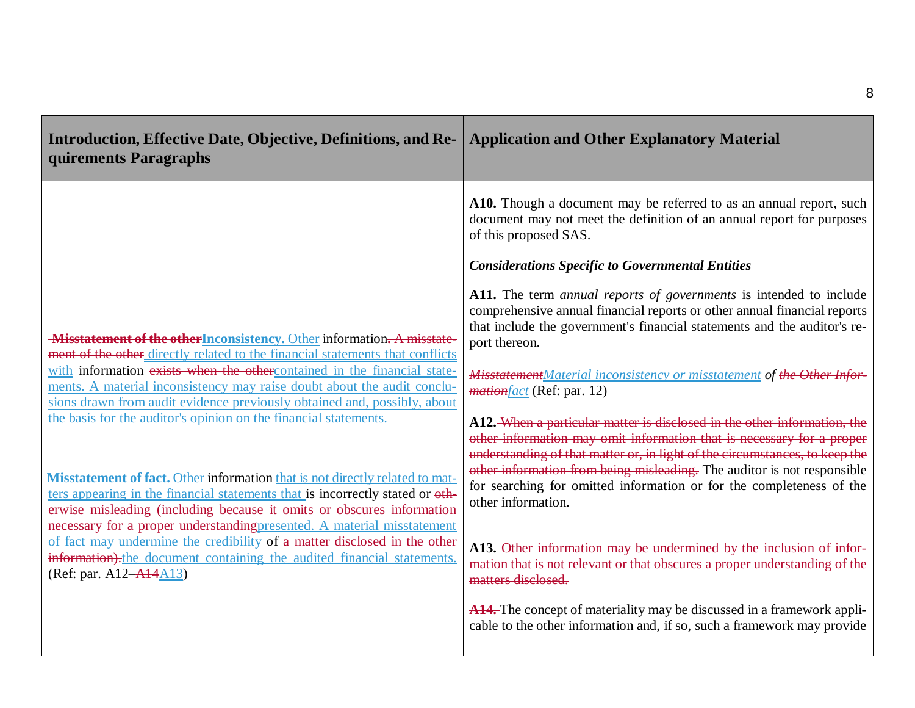| Introduction, Effective Date, Objective, Definitions, and Re-<br>quirements Paragraphs                                                                                                                                                                                                                                                                                                                                                                                                                                                                                                                                                                                                                                                                                                                                                                                                                                                                               | <b>Application and Other Explanatory Material</b>                                                                                                                                                                                                                                                                                                                                                                                                                                                                                                                                                                                                                                                                                                                                                                                                                                                                                                                                                                                                                                                                                                                                        |
|----------------------------------------------------------------------------------------------------------------------------------------------------------------------------------------------------------------------------------------------------------------------------------------------------------------------------------------------------------------------------------------------------------------------------------------------------------------------------------------------------------------------------------------------------------------------------------------------------------------------------------------------------------------------------------------------------------------------------------------------------------------------------------------------------------------------------------------------------------------------------------------------------------------------------------------------------------------------|------------------------------------------------------------------------------------------------------------------------------------------------------------------------------------------------------------------------------------------------------------------------------------------------------------------------------------------------------------------------------------------------------------------------------------------------------------------------------------------------------------------------------------------------------------------------------------------------------------------------------------------------------------------------------------------------------------------------------------------------------------------------------------------------------------------------------------------------------------------------------------------------------------------------------------------------------------------------------------------------------------------------------------------------------------------------------------------------------------------------------------------------------------------------------------------|
| Misstatement of the other Inconsistency. Other information. A misstate-<br>ment of the other directly related to the financial statements that conflicts<br>with information exists when the other contained in the financial state-<br>ments. A material inconsistency may raise doubt about the audit conclu-<br>sions drawn from audit evidence previously obtained and, possibly, about<br>the basis for the auditor's opinion on the financial statements.<br>Misstatement of fact. Other information that is not directly related to mat-<br>ters appearing in the financial statements that is incorrectly stated or oth-<br>erwise misleading (including because it omits or obscures information<br>necessary for a proper understanding presented. A material misstatement<br>of fact may undermine the credibility of a matter disclosed in the other<br>information)-the document containing the audited financial statements.<br>(Ref: par. A12-A14A13) | A10. Though a document may be referred to as an annual report, such<br>document may not meet the definition of an annual report for purposes<br>of this proposed SAS.<br><b>Considerations Specific to Governmental Entities</b><br>A11. The term annual reports of governments is intended to include<br>comprehensive annual financial reports or other annual financial reports<br>that include the government's financial statements and the auditor's re-<br>port thereon.<br><b>Misstatement</b> Material inconsistency or misstatement of the Other Infor-<br>$mationfact$ (Ref: par. 12)<br>A12. When a particular matter is disclosed in the other information, the<br>other information may omit information that is necessary for a proper<br>understanding of that matter or, in light of the circumstances, to keep the<br>other information from being misleading. The auditor is not responsible<br>for searching for omitted information or for the completeness of the<br>other information.<br>A13. Other information may be undermined by the inclusion of infor-<br>mation that is not relevant or that obscures a proper understanding of the<br>matters disclosed. |
|                                                                                                                                                                                                                                                                                                                                                                                                                                                                                                                                                                                                                                                                                                                                                                                                                                                                                                                                                                      | <b>A14.</b> The concept of materiality may be discussed in a framework appli-<br>cable to the other information and, if so, such a framework may provide                                                                                                                                                                                                                                                                                                                                                                                                                                                                                                                                                                                                                                                                                                                                                                                                                                                                                                                                                                                                                                 |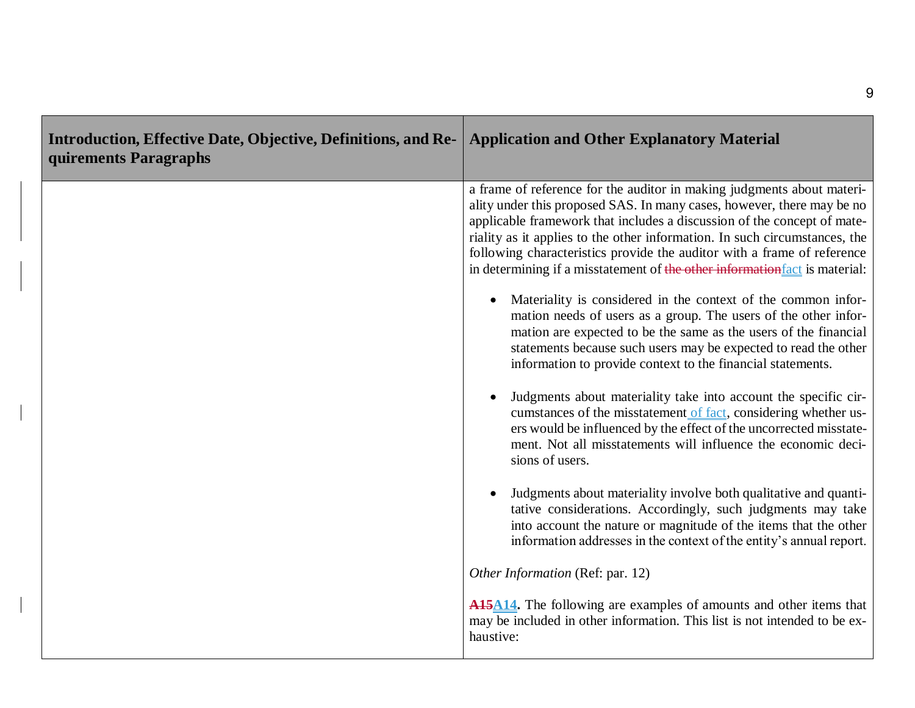| Introduction, Effective Date, Objective, Definitions, and Re-<br>quirements Paragraphs | <b>Application and Other Explanatory Material</b>                                                                                                                                                                                                                                                                                                                                                                                                                   |
|----------------------------------------------------------------------------------------|---------------------------------------------------------------------------------------------------------------------------------------------------------------------------------------------------------------------------------------------------------------------------------------------------------------------------------------------------------------------------------------------------------------------------------------------------------------------|
|                                                                                        | a frame of reference for the auditor in making judgments about materi-<br>ality under this proposed SAS. In many cases, however, there may be no<br>applicable framework that includes a discussion of the concept of mate-<br>riality as it applies to the other information. In such circumstances, the<br>following characteristics provide the auditor with a frame of reference<br>in determining if a misstatement of the other information fact is material: |
|                                                                                        | Materiality is considered in the context of the common infor-<br>mation needs of users as a group. The users of the other infor-<br>mation are expected to be the same as the users of the financial<br>statements because such users may be expected to read the other<br>information to provide context to the financial statements.                                                                                                                              |
|                                                                                        | Judgments about materiality take into account the specific cir-<br>cumstances of the misstatement of fact, considering whether us-<br>ers would be influenced by the effect of the uncorrected misstate-<br>ment. Not all misstatements will influence the economic deci-<br>sions of users.                                                                                                                                                                        |
|                                                                                        | Judgments about materiality involve both qualitative and quanti-<br>tative considerations. Accordingly, such judgments may take<br>into account the nature or magnitude of the items that the other<br>information addresses in the context of the entity's annual report.                                                                                                                                                                                          |
|                                                                                        | Other Information (Ref: par. 12)                                                                                                                                                                                                                                                                                                                                                                                                                                    |
|                                                                                        | <b>A15A14.</b> The following are examples of amounts and other items that<br>may be included in other information. This list is not intended to be ex-<br>haustive:                                                                                                                                                                                                                                                                                                 |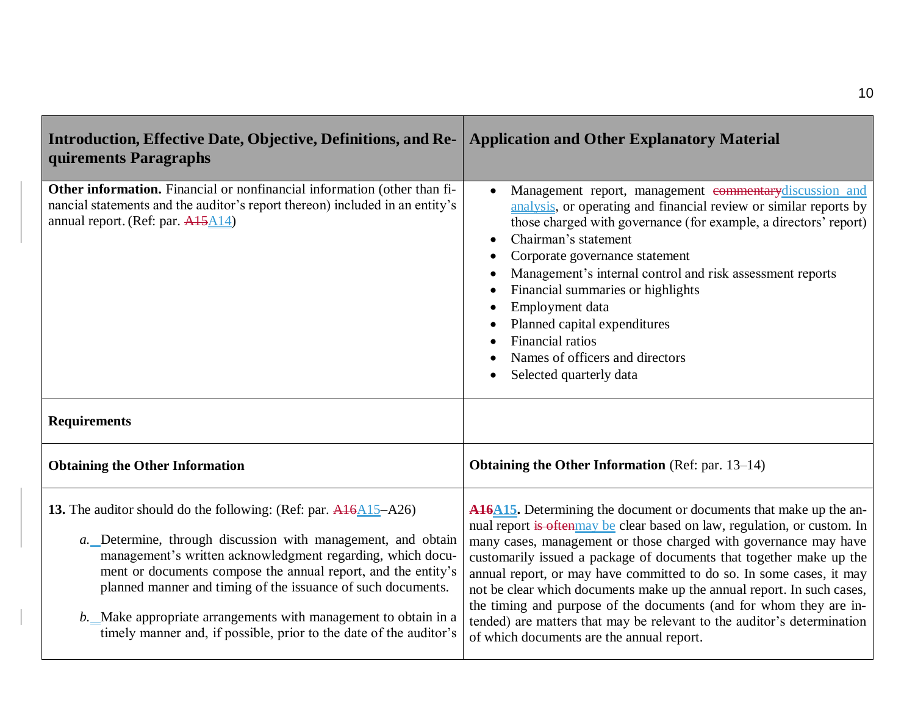| Introduction, Effective Date, Objective, Definitions, and Re-<br>quirements Paragraphs                                                                                                                                                                                                                                                                                                                                                                                             | <b>Application and Other Explanatory Material</b>                                                                                                                                                                                                                                                                                                                                                                                                                                                                                                                                                                                                |
|------------------------------------------------------------------------------------------------------------------------------------------------------------------------------------------------------------------------------------------------------------------------------------------------------------------------------------------------------------------------------------------------------------------------------------------------------------------------------------|--------------------------------------------------------------------------------------------------------------------------------------------------------------------------------------------------------------------------------------------------------------------------------------------------------------------------------------------------------------------------------------------------------------------------------------------------------------------------------------------------------------------------------------------------------------------------------------------------------------------------------------------------|
| Other information. Financial or nonfinancial information (other than fi-<br>nancial statements and the auditor's report thereon) included in an entity's<br>annual report. (Ref: par. A15A14)                                                                                                                                                                                                                                                                                      | Management report, management commentarydiscussion and<br>analysis, or operating and financial review or similar reports by<br>those charged with governance (for example, a directors' report)<br>Chairman's statement<br>$\bullet$<br>Corporate governance statement<br>Management's internal control and risk assessment reports<br>Financial summaries or highlights<br>Employment data<br>Planned capital expenditures<br>Financial ratios<br>Names of officers and directors<br>Selected quarterly data                                                                                                                                    |
| <b>Requirements</b>                                                                                                                                                                                                                                                                                                                                                                                                                                                                |                                                                                                                                                                                                                                                                                                                                                                                                                                                                                                                                                                                                                                                  |
| <b>Obtaining the Other Information</b>                                                                                                                                                                                                                                                                                                                                                                                                                                             | <b>Obtaining the Other Information</b> (Ref: par. 13–14)                                                                                                                                                                                                                                                                                                                                                                                                                                                                                                                                                                                         |
| 13. The auditor should do the following: (Ref: par. $\frac{A16A15}{A26}$ )<br>a. Determine, through discussion with management, and obtain<br>management's written acknowledgment regarding, which docu-<br>ment or documents compose the annual report, and the entity's<br>planned manner and timing of the issuance of such documents.<br>b. Make appropriate arrangements with management to obtain in a<br>timely manner and, if possible, prior to the date of the auditor's | <b>A16A15.</b> Determining the document or documents that make up the an-<br>nual report is oftenmay be clear based on law, regulation, or custom. In<br>many cases, management or those charged with governance may have<br>customarily issued a package of documents that together make up the<br>annual report, or may have committed to do so. In some cases, it may<br>not be clear which documents make up the annual report. In such cases,<br>the timing and purpose of the documents (and for whom they are in-<br>tended) are matters that may be relevant to the auditor's determination<br>of which documents are the annual report. |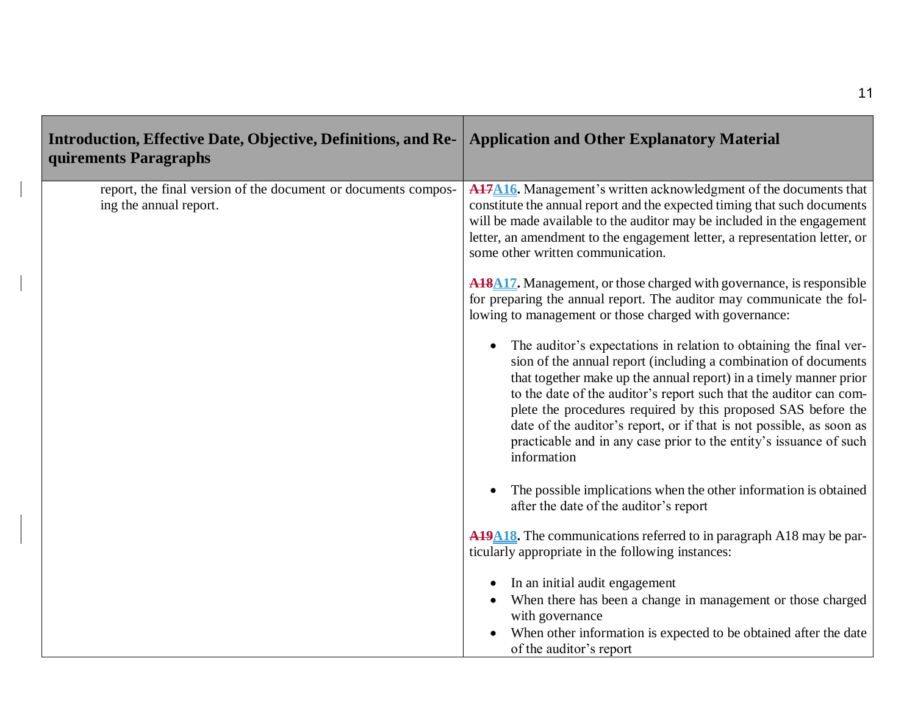| Introduction, Effective Date, Objective, Definitions, and Re-<br>quirements Paragraphs   | <b>Application and Other Explanatory Material</b>                                                                                                                                                                                                                                                                                                                                                                                                                                                              |
|------------------------------------------------------------------------------------------|----------------------------------------------------------------------------------------------------------------------------------------------------------------------------------------------------------------------------------------------------------------------------------------------------------------------------------------------------------------------------------------------------------------------------------------------------------------------------------------------------------------|
| report, the final version of the document or documents compos-<br>ing the annual report. | <b>A17A16.</b> Management's written acknowledgment of the documents that<br>constitute the annual report and the expected timing that such documents<br>will be made available to the auditor may be included in the engagement<br>letter, an amendment to the engagement letter, a representation letter, or<br>some other written communication.                                                                                                                                                             |
|                                                                                          | <b>A18A17.</b> Management, or those charged with governance, is responsible<br>for preparing the annual report. The auditor may communicate the fol-<br>lowing to management or those charged with governance:                                                                                                                                                                                                                                                                                                 |
|                                                                                          | The auditor's expectations in relation to obtaining the final ver-<br>sion of the annual report (including a combination of documents<br>that together make up the annual report) in a timely manner prior<br>to the date of the auditor's report such that the auditor can com-<br>plete the procedures required by this proposed SAS before the<br>date of the auditor's report, or if that is not possible, as soon as<br>practicable and in any case prior to the entity's issuance of such<br>information |
|                                                                                          | The possible implications when the other information is obtained<br>after the date of the auditor's report                                                                                                                                                                                                                                                                                                                                                                                                     |
|                                                                                          | <b>A19A18.</b> The communications referred to in paragraph A18 may be par-<br>ticularly appropriate in the following instances:                                                                                                                                                                                                                                                                                                                                                                                |
|                                                                                          | In an initial audit engagement<br>When there has been a change in management or those charged<br>with governance<br>When other information is expected to be obtained after the date<br>of the auditor's report                                                                                                                                                                                                                                                                                                |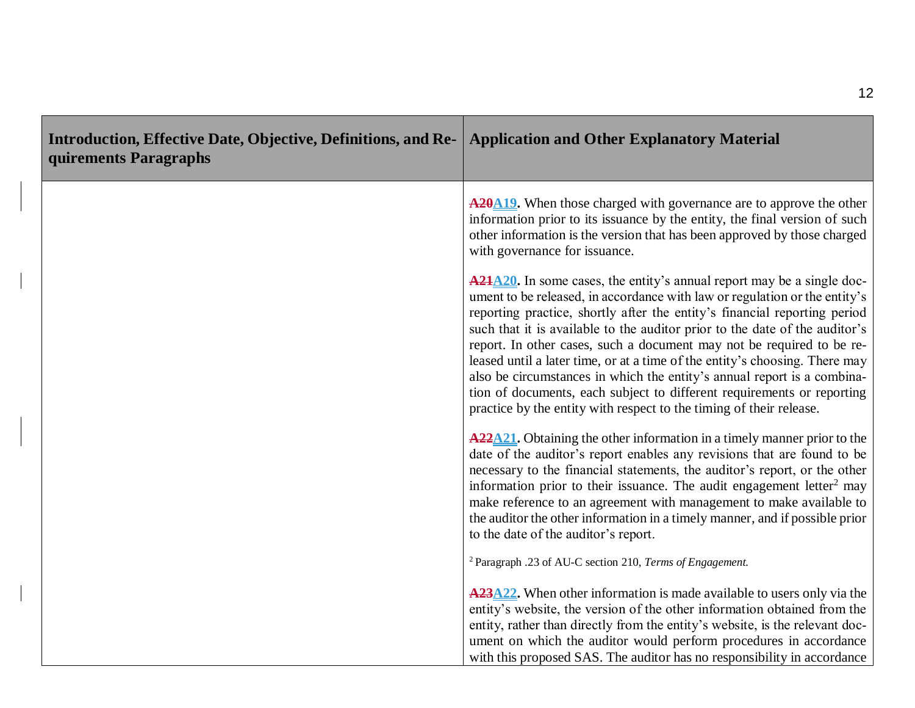| Introduction, Effective Date, Objective, Definitions, and Re-<br>quirements Paragraphs | <b>Application and Other Explanatory Material</b>                                                                                                                                                                                                                                                                                                                                                                                                                                                                                                                                                                                                                                                       |
|----------------------------------------------------------------------------------------|---------------------------------------------------------------------------------------------------------------------------------------------------------------------------------------------------------------------------------------------------------------------------------------------------------------------------------------------------------------------------------------------------------------------------------------------------------------------------------------------------------------------------------------------------------------------------------------------------------------------------------------------------------------------------------------------------------|
|                                                                                        | <b>A20A19.</b> When those charged with governance are to approve the other<br>information prior to its issuance by the entity, the final version of such<br>other information is the version that has been approved by those charged<br>with governance for issuance.                                                                                                                                                                                                                                                                                                                                                                                                                                   |
|                                                                                        | $A21A20$ . In some cases, the entity's annual report may be a single doc-<br>ument to be released, in accordance with law or regulation or the entity's<br>reporting practice, shortly after the entity's financial reporting period<br>such that it is available to the auditor prior to the date of the auditor's<br>report. In other cases, such a document may not be required to be re-<br>leased until a later time, or at a time of the entity's choosing. There may<br>also be circumstances in which the entity's annual report is a combina-<br>tion of documents, each subject to different requirements or reporting<br>practice by the entity with respect to the timing of their release. |
|                                                                                        | <b>A22A21.</b> Obtaining the other information in a timely manner prior to the<br>date of the auditor's report enables any revisions that are found to be<br>necessary to the financial statements, the auditor's report, or the other<br>information prior to their issuance. The audit engagement letter <sup>2</sup> may<br>make reference to an agreement with management to make available to<br>the auditor the other information in a timely manner, and if possible prior<br>to the date of the auditor's report.                                                                                                                                                                               |
|                                                                                        | <sup>2</sup> Paragraph .23 of AU-C section 210, Terms of Engagement.                                                                                                                                                                                                                                                                                                                                                                                                                                                                                                                                                                                                                                    |
|                                                                                        | A <sub>23</sub> A <sub>22</sub> . When other information is made available to users only via the<br>entity's website, the version of the other information obtained from the<br>entity, rather than directly from the entity's website, is the relevant doc-<br>ument on which the auditor would perform procedures in accordance<br>with this proposed SAS. The auditor has no responsibility in accordance                                                                                                                                                                                                                                                                                            |

 $\overline{\phantom{a}}$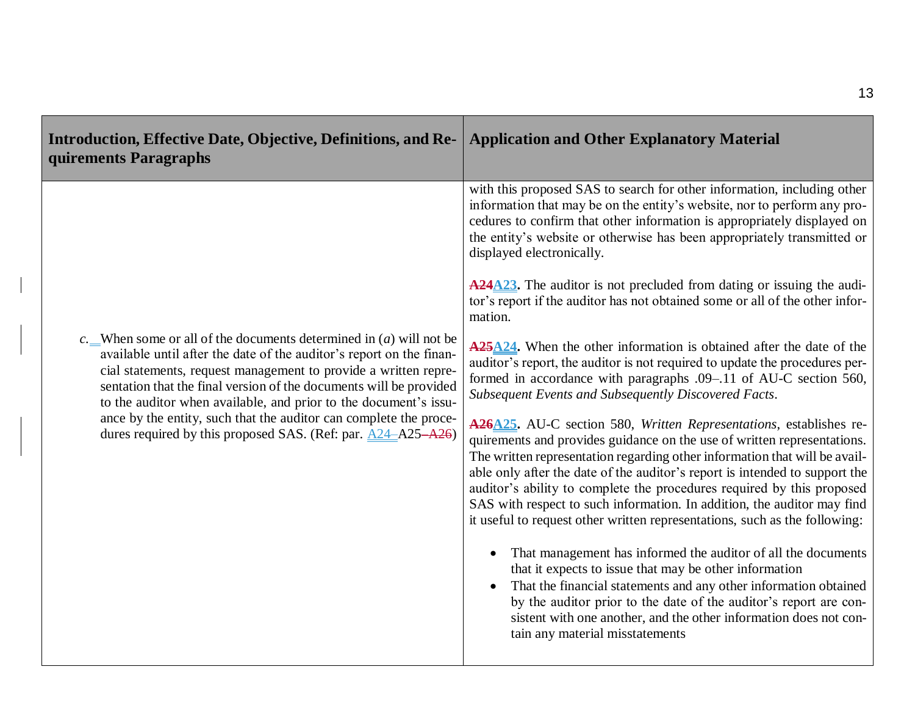| Introduction, Effective Date, Objective, Definitions, and Re-<br>quirements Paragraphs                                                                                                                                                                                                                                                                                                                                                                                                                                       | <b>Application and Other Explanatory Material</b>                                                                                                                                                                                                                                                                                                                                                                                                                                                                                             |
|------------------------------------------------------------------------------------------------------------------------------------------------------------------------------------------------------------------------------------------------------------------------------------------------------------------------------------------------------------------------------------------------------------------------------------------------------------------------------------------------------------------------------|-----------------------------------------------------------------------------------------------------------------------------------------------------------------------------------------------------------------------------------------------------------------------------------------------------------------------------------------------------------------------------------------------------------------------------------------------------------------------------------------------------------------------------------------------|
| c. When some or all of the documents determined in $(a)$ will not be<br>available until after the date of the auditor's report on the finan-<br>cial statements, request management to provide a written repre-<br>sentation that the final version of the documents will be provided<br>to the auditor when available, and prior to the document's issu-<br>ance by the entity, such that the auditor can complete the proce-<br>dures required by this proposed SAS. (Ref: par. $\triangle 24-\triangle 25-\triangle 26$ ) | with this proposed SAS to search for other information, including other<br>information that may be on the entity's website, nor to perform any pro-<br>cedures to confirm that other information is appropriately displayed on<br>the entity's website or otherwise has been appropriately transmitted or<br>displayed electronically.                                                                                                                                                                                                        |
|                                                                                                                                                                                                                                                                                                                                                                                                                                                                                                                              | <b>A24A23.</b> The auditor is not precluded from dating or issuing the audi-<br>tor's report if the auditor has not obtained some or all of the other infor-<br>mation.                                                                                                                                                                                                                                                                                                                                                                       |
|                                                                                                                                                                                                                                                                                                                                                                                                                                                                                                                              | <b>A25A24.</b> When the other information is obtained after the date of the<br>auditor's report, the auditor is not required to update the procedures per-<br>formed in accordance with paragraphs .09–.11 of AU-C section 560,<br>Subsequent Events and Subsequently Discovered Facts.                                                                                                                                                                                                                                                       |
|                                                                                                                                                                                                                                                                                                                                                                                                                                                                                                                              | A26A25. AU-C section 580, Written Representations, establishes re-<br>quirements and provides guidance on the use of written representations.<br>The written representation regarding other information that will be avail-<br>able only after the date of the auditor's report is intended to support the<br>auditor's ability to complete the procedures required by this proposed<br>SAS with respect to such information. In addition, the auditor may find<br>it useful to request other written representations, such as the following: |
|                                                                                                                                                                                                                                                                                                                                                                                                                                                                                                                              | That management has informed the auditor of all the documents<br>$\bullet$<br>that it expects to issue that may be other information<br>That the financial statements and any other information obtained<br>$\bullet$<br>by the auditor prior to the date of the auditor's report are con-<br>sistent with one another, and the other information does not con-<br>tain any material misstatements                                                                                                                                            |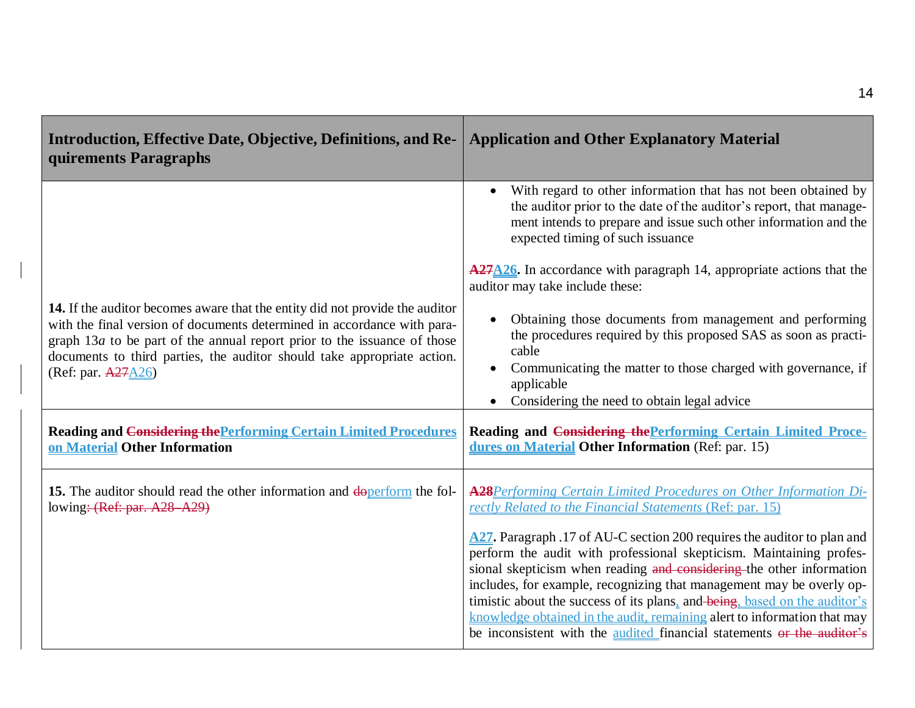| Introduction, Effective Date, Objective, Definitions, and Re-<br>quirements Paragraphs                                                                                                                                                                                                                           | <b>Application and Other Explanatory Material</b>                                                                                                                                                                                                                                                                                                                                                                                                                                                                                  |
|------------------------------------------------------------------------------------------------------------------------------------------------------------------------------------------------------------------------------------------------------------------------------------------------------------------|------------------------------------------------------------------------------------------------------------------------------------------------------------------------------------------------------------------------------------------------------------------------------------------------------------------------------------------------------------------------------------------------------------------------------------------------------------------------------------------------------------------------------------|
|                                                                                                                                                                                                                                                                                                                  | With regard to other information that has not been obtained by<br>the auditor prior to the date of the auditor's report, that manage-<br>ment intends to prepare and issue such other information and the<br>expected timing of such issuance                                                                                                                                                                                                                                                                                      |
|                                                                                                                                                                                                                                                                                                                  | <b>A27A26.</b> In accordance with paragraph 14, appropriate actions that the<br>auditor may take include these:                                                                                                                                                                                                                                                                                                                                                                                                                    |
| 14. If the auditor becomes aware that the entity did not provide the auditor<br>with the final version of documents determined in accordance with para-<br>graph $13a$ to be part of the annual report prior to the issuance of those<br>documents to third parties, the auditor should take appropriate action. | Obtaining those documents from management and performing<br>the procedures required by this proposed SAS as soon as practi-<br>cable                                                                                                                                                                                                                                                                                                                                                                                               |
| (Ref: par. A27A26)                                                                                                                                                                                                                                                                                               | Communicating the matter to those charged with governance, if<br>applicable<br>Considering the need to obtain legal advice                                                                                                                                                                                                                                                                                                                                                                                                         |
| <b>Reading and Considering the Performing Certain Limited Procedures</b><br>on Material Other Information                                                                                                                                                                                                        | Reading and Considering the Performing Certain Limited Proce-<br>dures on Material Other Information (Ref: par. 15)                                                                                                                                                                                                                                                                                                                                                                                                                |
| 15. The auditor should read the other information and doperform the fol-<br>lowing: (Ref: par. A28 A29)                                                                                                                                                                                                          | <b>A28</b> Performing Certain Limited Procedures on Other Information Di-<br>rectly Related to the Financial Statements (Ref: par. 15)                                                                                                                                                                                                                                                                                                                                                                                             |
|                                                                                                                                                                                                                                                                                                                  | A27. Paragraph .17 of AU-C section 200 requires the auditor to plan and<br>perform the audit with professional skepticism. Maintaining profes-<br>sional skepticism when reading and considering the other information<br>includes, for example, recognizing that management may be overly op-<br>timistic about the success of its plans, and being, based on the auditor's<br>knowledge obtained in the audit, remaining alert to information that may<br>be inconsistent with the audited financial statements or the auditor's |

 $\overline{\phantom{a}}$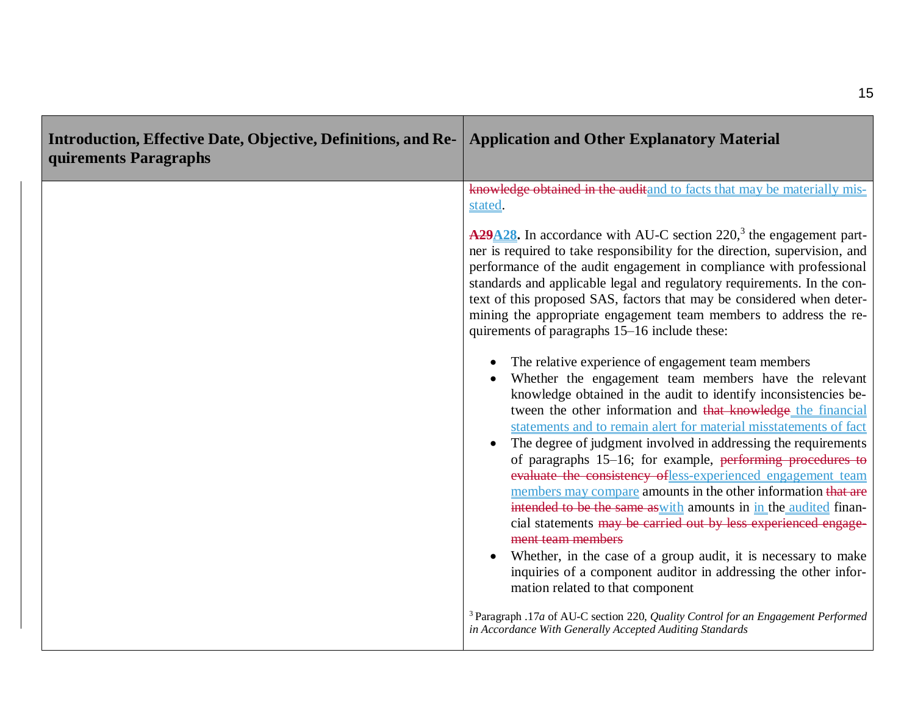| Introduction, Effective Date, Objective, Definitions, and Re-<br>quirements Paragraphs | <b>Application and Other Explanatory Material</b>                                                                                                                                                                                                                                                                                                                                                                                                                                                                                                                                                                                                                                                                                                                                                                                                                                                                                    |
|----------------------------------------------------------------------------------------|--------------------------------------------------------------------------------------------------------------------------------------------------------------------------------------------------------------------------------------------------------------------------------------------------------------------------------------------------------------------------------------------------------------------------------------------------------------------------------------------------------------------------------------------------------------------------------------------------------------------------------------------------------------------------------------------------------------------------------------------------------------------------------------------------------------------------------------------------------------------------------------------------------------------------------------|
|                                                                                        | knowledge obtained in the auditand to facts that may be materially mis-<br>stated.<br>$A29A28$ . In accordance with AU-C section 220, <sup>3</sup> the engagement part-<br>ner is required to take responsibility for the direction, supervision, and<br>performance of the audit engagement in compliance with professional<br>standards and applicable legal and regulatory requirements. In the con-<br>text of this proposed SAS, factors that may be considered when deter-<br>mining the appropriate engagement team members to address the re-<br>quirements of paragraphs 15–16 include these:                                                                                                                                                                                                                                                                                                                               |
|                                                                                        | The relative experience of engagement team members<br>$\bullet$<br>Whether the engagement team members have the relevant<br>knowledge obtained in the audit to identify inconsistencies be-<br>tween the other information and that knowledge the financial<br>statements and to remain alert for material misstatements of fact<br>The degree of judgment involved in addressing the requirements<br>of paragraphs 15-16; for example, performing procedures to<br>evaluate the consistency of less-experienced engagement team<br>members may compare amounts in the other information that are<br>intended to be the same aswith amounts in in the audited finan-<br>cial statements may be carried out by less experienced engage-<br>ment team members<br>Whether, in the case of a group audit, it is necessary to make<br>inquiries of a component auditor in addressing the other infor-<br>mation related to that component |
|                                                                                        | <sup>3</sup> Paragraph .17a of AU-C section 220, Quality Control for an Engagement Performed<br>in Accordance With Generally Accepted Auditing Standards                                                                                                                                                                                                                                                                                                                                                                                                                                                                                                                                                                                                                                                                                                                                                                             |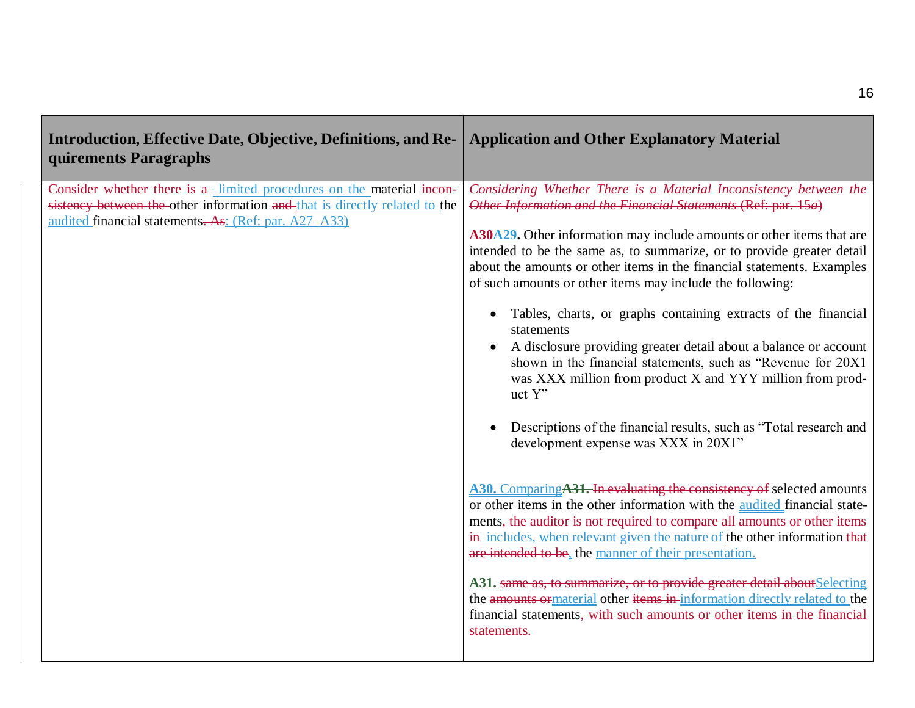| Introduction, Effective Date, Objective, Definitions, and Re-<br>quirements Paragraphs                                                                                                                       | <b>Application and Other Explanatory Material</b>                                                                                                                                                                                                                                                                                                                                                                                                                                                                                                                                                                                                                                                                                                                                                                                                                                    |
|--------------------------------------------------------------------------------------------------------------------------------------------------------------------------------------------------------------|--------------------------------------------------------------------------------------------------------------------------------------------------------------------------------------------------------------------------------------------------------------------------------------------------------------------------------------------------------------------------------------------------------------------------------------------------------------------------------------------------------------------------------------------------------------------------------------------------------------------------------------------------------------------------------------------------------------------------------------------------------------------------------------------------------------------------------------------------------------------------------------|
| Consider whether there is a limited procedures on the material incon-<br>sistency between the other information and that is directly related to the<br>audited financial statements. As: (Ref: par. A27-A33) | Considering Whether There is a Material Inconsistency between the<br>Other Information and the Financial Statements (Ref: par. 15a)<br><b>A30A29.</b> Other information may include amounts or other items that are<br>intended to be the same as, to summarize, or to provide greater detail<br>about the amounts or other items in the financial statements. Examples<br>of such amounts or other items may include the following:<br>Tables, charts, or graphs containing extracts of the financial<br>$\bullet$<br>statements<br>A disclosure providing greater detail about a balance or account<br>$\bullet$<br>shown in the financial statements, such as "Revenue for 20X1<br>was XXX million from product X and YYY million from prod-<br>uct Y"<br>Descriptions of the financial results, such as "Total research and<br>$\bullet$<br>development expense was XXX in 20X1" |
|                                                                                                                                                                                                              | <b>A30.</b> Comparing <b>A31.</b> In evaluating the consistency of selected amounts<br>or other items in the other information with the audited financial state-<br>ments, the auditor is not required to compare all amounts or other items<br>in-includes, when relevant given the nature of the other information that<br>are intended to be, the manner of their presentation.<br>A31. same as, to summarize, or to provide greater detail about Selecting<br>the amounts ormaterial other items in information directly related to the<br>financial statements, with such amounts or other items in the financial<br>statements.                                                                                                                                                                                                                                                |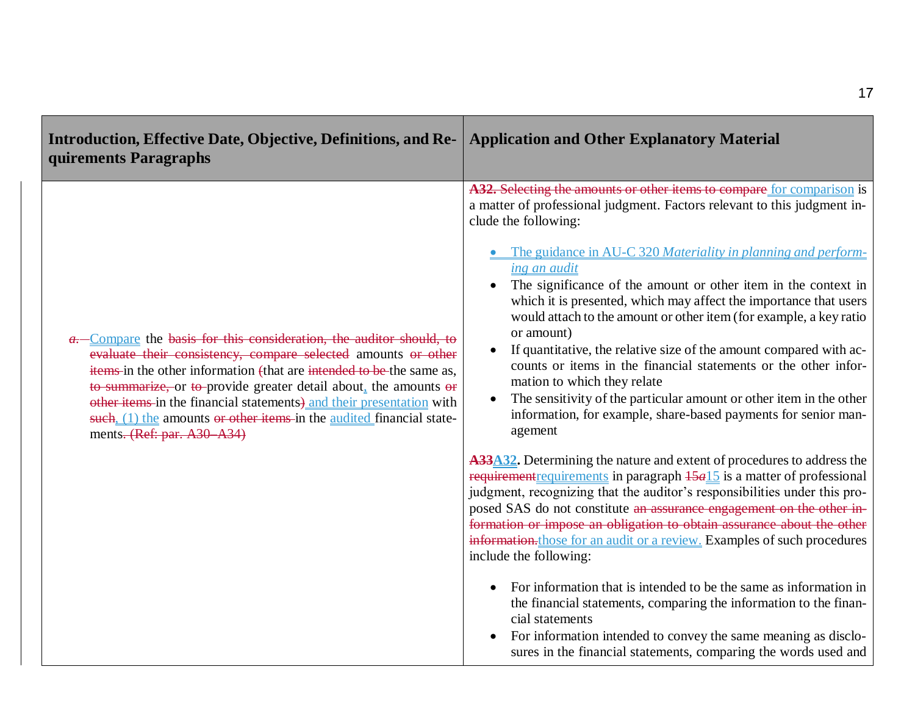| Introduction, Effective Date, Objective, Definitions, and Re-<br>quirements Paragraphs                                                                                                                                                                                                                                                                                                                                                                              | <b>Application and Other Explanatory Material</b>                                                                                                                                                                                                                                                                                                                                                                                                                                                                                                                                                                                                                                                                                                                                                                                                                                                                                                                                                                                                                                                                                                                                                                                                                                                                                                                                                                                                                                                                                                                                                                                                            |
|---------------------------------------------------------------------------------------------------------------------------------------------------------------------------------------------------------------------------------------------------------------------------------------------------------------------------------------------------------------------------------------------------------------------------------------------------------------------|--------------------------------------------------------------------------------------------------------------------------------------------------------------------------------------------------------------------------------------------------------------------------------------------------------------------------------------------------------------------------------------------------------------------------------------------------------------------------------------------------------------------------------------------------------------------------------------------------------------------------------------------------------------------------------------------------------------------------------------------------------------------------------------------------------------------------------------------------------------------------------------------------------------------------------------------------------------------------------------------------------------------------------------------------------------------------------------------------------------------------------------------------------------------------------------------------------------------------------------------------------------------------------------------------------------------------------------------------------------------------------------------------------------------------------------------------------------------------------------------------------------------------------------------------------------------------------------------------------------------------------------------------------------|
| $a$ . Compare the basis for this consideration, the auditor should, to<br>evaluate their consistency, compare selected amounts or other<br>items in the other information (that are intended to be the same as,<br>to summarize, or to-provide greater detail about, the amounts or<br>other items in the financial statements) and their presentation with<br>such, $(1)$ the amounts or other items in the audited financial state-<br>ments. (Ref: par. A30-A34) | A32. Selecting the amounts or other items to compare for comparison is<br>a matter of professional judgment. Factors relevant to this judgment in-<br>clude the following:<br>The guidance in AU-C 320 Materiality in planning and perform-<br>ing an audit<br>The significance of the amount or other item in the context in<br>which it is presented, which may affect the importance that users<br>would attach to the amount or other item (for example, a key ratio<br>or amount)<br>If quantitative, the relative size of the amount compared with ac-<br>$\bullet$<br>counts or items in the financial statements or the other infor-<br>mation to which they relate<br>The sensitivity of the particular amount or other item in the other<br>information, for example, share-based payments for senior man-<br>agement<br><b>A33A32.</b> Determining the nature and extent of procedures to address the<br>requirement requirements in paragraph $15a15$ is a matter of professional<br>judgment, recognizing that the auditor's responsibilities under this pro-<br>posed SAS do not constitute an assurance engagement on the other in-<br>formation or impose an obligation to obtain assurance about the other<br>information.those for an audit or a review. Examples of such procedures<br>include the following:<br>For information that is intended to be the same as information in<br>$\bullet$<br>the financial statements, comparing the information to the finan-<br>cial statements<br>For information intended to convey the same meaning as disclo-<br>$\bullet$<br>sures in the financial statements, comparing the words used and |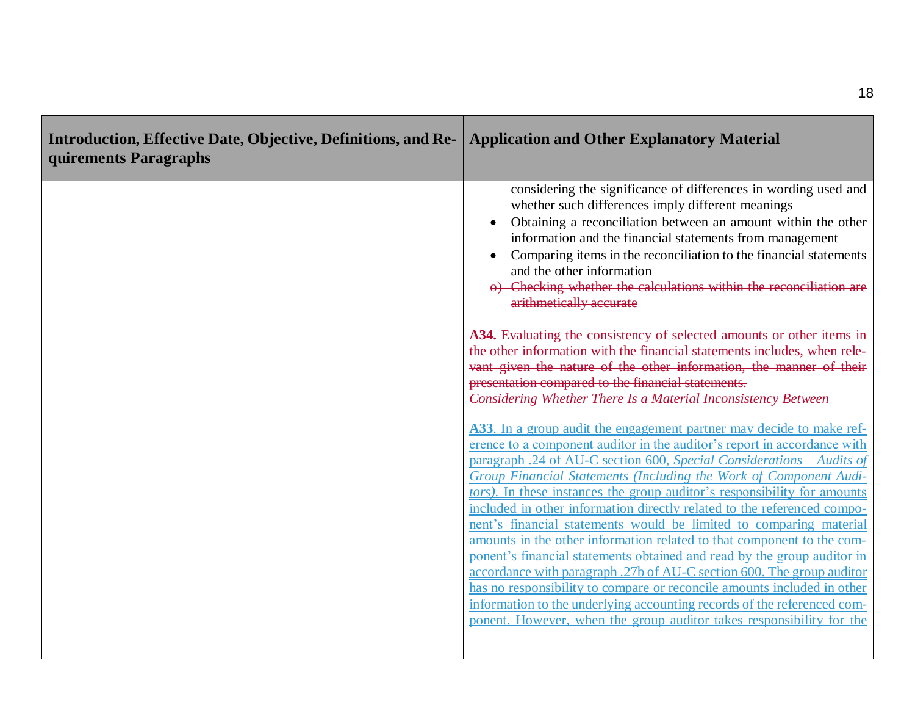| Introduction, Effective Date, Objective, Definitions, and Re-<br>quirements Paragraphs | <b>Application and Other Explanatory Material</b>                                                                                                                                                                                                                                                                                                                                                                                                                                                                              |
|----------------------------------------------------------------------------------------|--------------------------------------------------------------------------------------------------------------------------------------------------------------------------------------------------------------------------------------------------------------------------------------------------------------------------------------------------------------------------------------------------------------------------------------------------------------------------------------------------------------------------------|
|                                                                                        | considering the significance of differences in wording used and<br>whether such differences imply different meanings<br>Obtaining a reconciliation between an amount within the other<br>$\bullet$<br>information and the financial statements from management<br>Comparing items in the reconciliation to the financial statements<br>$\bullet$<br>and the other information<br>o) Checking whether the calculations within the reconciliation are<br>arithmetically accurate                                                 |
|                                                                                        | A34. Evaluating the consistency of selected amounts or other items in<br>the other information with the financial statements includes, when rele-<br>vant given the nature of the other information, the manner of their<br>presentation compared to the financial statements.<br><b>Considering Whether There Is a Material Inconsistency Between</b>                                                                                                                                                                         |
|                                                                                        | <b>A33.</b> In a group audit the engagement partner may decide to make ref-<br>erence to a component auditor in the auditor's report in accordance with<br>paragraph .24 of AU-C section 600, Special Considerations – Audits of<br><b>Group Financial Statements (Including the Work of Component Audi-</b><br>tors). In these instances the group auditor's responsibility for amounts<br>included in other information directly related to the referenced compo-                                                            |
|                                                                                        | nent's financial statements would be limited to comparing material<br>amounts in the other information related to that component to the com-<br>ponent's financial statements obtained and read by the group auditor in<br>accordance with paragraph .27b of AU-C section 600. The group auditor<br>has no responsibility to compare or reconcile amounts included in other<br>information to the underlying accounting records of the referenced com-<br>ponent. However, when the group auditor takes responsibility for the |
|                                                                                        |                                                                                                                                                                                                                                                                                                                                                                                                                                                                                                                                |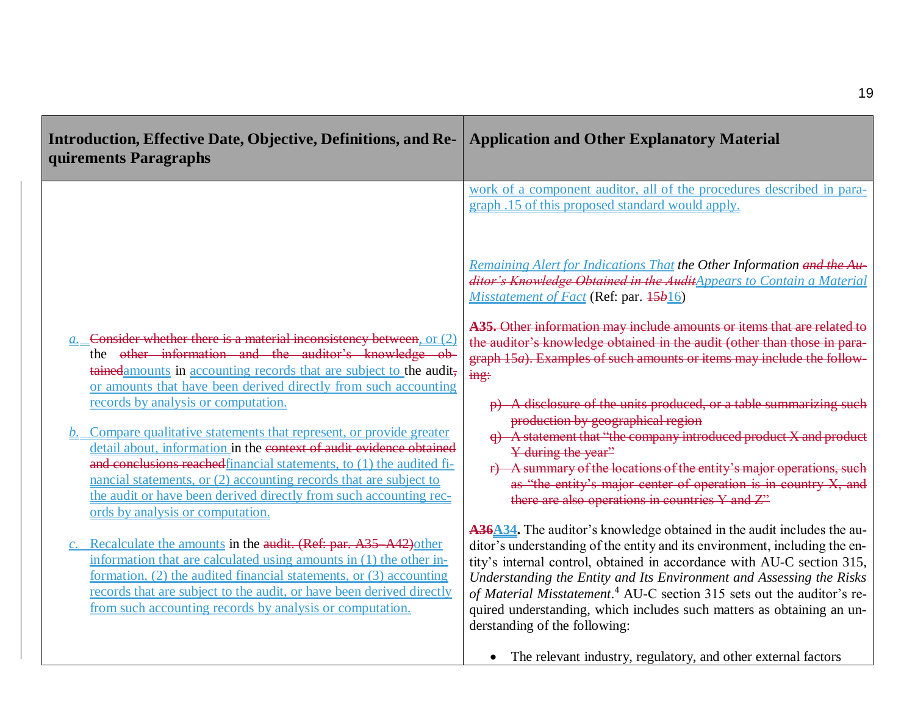| Introduction, Effective Date, Objective, Definitions, and Re-<br>quirements Paragraphs                                                                                                                                                                                                                                                                                                                                                          | <b>Application and Other Explanatory Material</b>                                                                                                                                                                                                                                                                                                                                                                                                                                                             |
|-------------------------------------------------------------------------------------------------------------------------------------------------------------------------------------------------------------------------------------------------------------------------------------------------------------------------------------------------------------------------------------------------------------------------------------------------|---------------------------------------------------------------------------------------------------------------------------------------------------------------------------------------------------------------------------------------------------------------------------------------------------------------------------------------------------------------------------------------------------------------------------------------------------------------------------------------------------------------|
|                                                                                                                                                                                                                                                                                                                                                                                                                                                 | work of a component auditor, all of the procedures described in para-<br>graph .15 of this proposed standard would apply.                                                                                                                                                                                                                                                                                                                                                                                     |
|                                                                                                                                                                                                                                                                                                                                                                                                                                                 | Remaining Alert for Indications That the Other Information and the Au-<br>ditor's Knowledge Obtained in the AuditAppears to Contain a Material<br>Misstatement of Fact (Ref: par. 45b16)                                                                                                                                                                                                                                                                                                                      |
| a. Consider whether there is a material inconsistency between, or $(2)$<br>the other information and the auditor's knowledge ob-<br>tained amounts in accounting records that are subject to the audit,<br>or amounts that have been derived directly from such accounting                                                                                                                                                                      | A35. Other information may include amounts or items that are related to<br>the auditor's knowledge obtained in the audit (other than those in para-<br>$graph$ 15 $a$ ). Examples of such amounts or items may include the follow-<br>ing:                                                                                                                                                                                                                                                                    |
| records by analysis or computation.<br><b>b.</b> Compare qualitative statements that represent, or provide greater<br>detail about, information in the context of audit evidence obtained<br>and conclusions reached financial statements, to (1) the audited fi-<br>nancial statements, or (2) accounting records that are subject to<br>the audit or have been derived directly from such accounting rec-<br>ords by analysis or computation. | p) A disclosure of the units produced, or a table summarizing such<br>production by geographical region<br>q) A statement that "the company introduced product X and product<br>Y during the year"<br>r) A summary of the locations of the entity's major operations, such<br>as "the entity's major center of operation is in country X, and<br>there are also operations in countries Y and Z"                                                                                                              |
| Recalculate the amounts in the audit. (Ref: par. A35 A42) other<br>information that are calculated using amounts in (1) the other in-<br>formation, (2) the audited financial statements, or (3) accounting<br>records that are subject to the audit, or have been derived directly<br>from such accounting records by analysis or computation.                                                                                                 | <b>A36A34.</b> The auditor's knowledge obtained in the audit includes the au-<br>ditor's understanding of the entity and its environment, including the en-<br>tity's internal control, obtained in accordance with AU-C section 315,<br>Understanding the Entity and Its Environment and Assessing the Risks<br>of Material Misstatement. <sup>4</sup> AU-C section 315 sets out the auditor's re-<br>quired understanding, which includes such matters as obtaining an un-<br>derstanding of the following: |
|                                                                                                                                                                                                                                                                                                                                                                                                                                                 | The relevant industry, regulatory, and other external factors                                                                                                                                                                                                                                                                                                                                                                                                                                                 |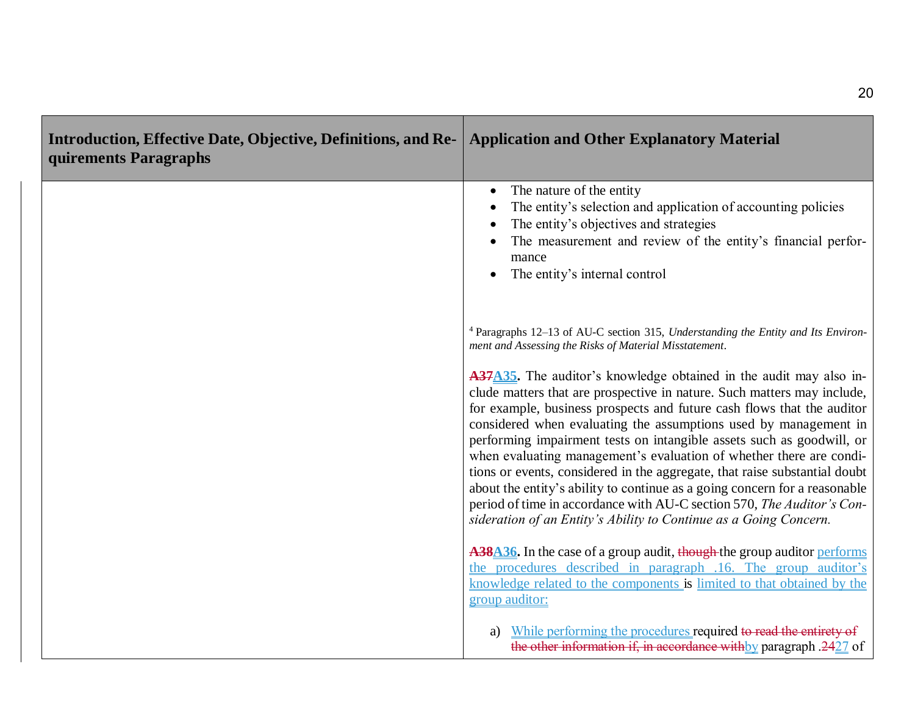| Introduction, Effective Date, Objective, Definitions, and Re-<br>quirements Paragraphs | <b>Application and Other Explanatory Material</b>                                                                                                                                                                                                                                                                                                                                                                                                                                                                                                                                                                                                                                                                                                             |
|----------------------------------------------------------------------------------------|---------------------------------------------------------------------------------------------------------------------------------------------------------------------------------------------------------------------------------------------------------------------------------------------------------------------------------------------------------------------------------------------------------------------------------------------------------------------------------------------------------------------------------------------------------------------------------------------------------------------------------------------------------------------------------------------------------------------------------------------------------------|
|                                                                                        | The nature of the entity<br>$\bullet$<br>The entity's selection and application of accounting policies<br>The entity's objectives and strategies<br>The measurement and review of the entity's financial perfor-<br>mance<br>The entity's internal control                                                                                                                                                                                                                                                                                                                                                                                                                                                                                                    |
|                                                                                        | <sup>4</sup> Paragraphs 12-13 of AU-C section 315, Understanding the Entity and Its Environ-<br>ment and Assessing the Risks of Material Misstatement.                                                                                                                                                                                                                                                                                                                                                                                                                                                                                                                                                                                                        |
|                                                                                        | <b>A37A35.</b> The auditor's knowledge obtained in the audit may also in-<br>clude matters that are prospective in nature. Such matters may include,<br>for example, business prospects and future cash flows that the auditor<br>considered when evaluating the assumptions used by management in<br>performing impairment tests on intangible assets such as goodwill, or<br>when evaluating management's evaluation of whether there are condi-<br>tions or events, considered in the aggregate, that raise substantial doubt<br>about the entity's ability to continue as a going concern for a reasonable<br>period of time in accordance with AU-C section 570, The Auditor's Con-<br>sideration of an Entity's Ability to Continue as a Going Concern. |
|                                                                                        | A38436. In the case of a group audit, though the group auditor performs<br>the procedures described in paragraph .16. The group auditor's<br>knowledge related to the components is limited to that obtained by the<br>group auditor:                                                                                                                                                                                                                                                                                                                                                                                                                                                                                                                         |
|                                                                                        | While performing the procedures required to read the entirety of<br>a)<br>the other information if, in accordance with by paragraph .2427 of                                                                                                                                                                                                                                                                                                                                                                                                                                                                                                                                                                                                                  |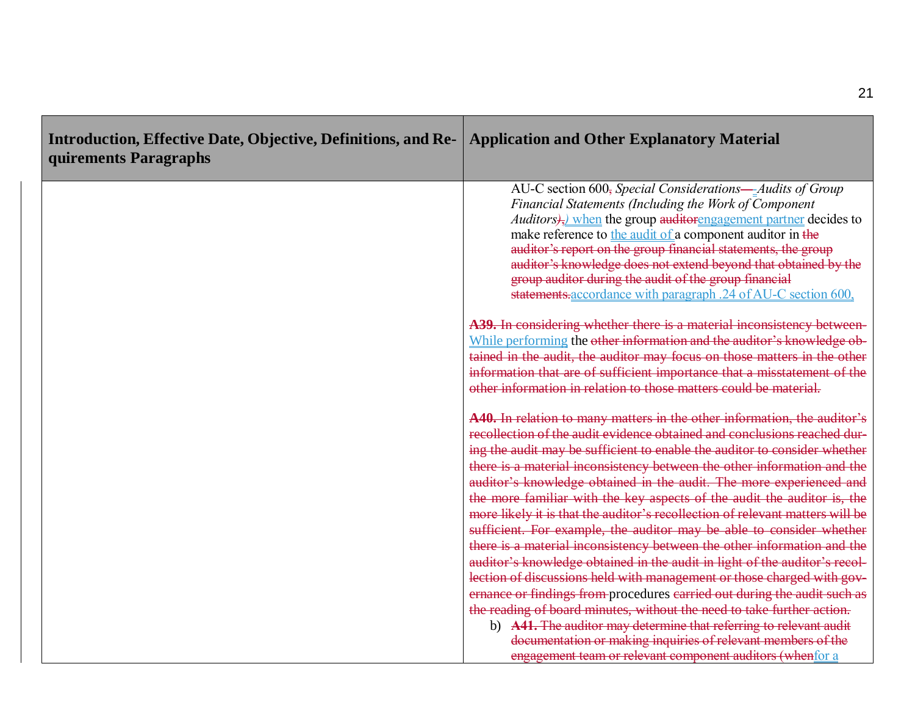| Introduction, Effective Date, Objective, Definitions, and Re-<br>quirements Paragraphs | <b>Application and Other Explanatory Material</b>                                                                                                                                                                                                                                                                                                                                                                                                                                                                                                                                                                                                                |
|----------------------------------------------------------------------------------------|------------------------------------------------------------------------------------------------------------------------------------------------------------------------------------------------------------------------------------------------------------------------------------------------------------------------------------------------------------------------------------------------------------------------------------------------------------------------------------------------------------------------------------------------------------------------------------------------------------------------------------------------------------------|
|                                                                                        | AU-C section 600, Special Considerations—Audits of Group<br>Financial Statements (Including the Work of Component<br><i>Auditors</i> , when the group auditorengagement partner decides to<br>make reference to the audit of a component auditor in the<br>auditor's report on the group financial statements, the group<br>auditor's knowledge does not extend beyond that obtained by the<br>group auditor during the audit of the group financial<br>statements accordance with paragraph .24 of AU-C section 600,                                                                                                                                            |
|                                                                                        | A39. In considering whether there is a material inconsistency between-<br>While performing the other information and the auditor's knowledge ob-<br>tained in the audit, the auditor may focus on those matters in the other<br>information that are of sufficient importance that a misstatement of the<br>other information in relation to those matters could be material.                                                                                                                                                                                                                                                                                    |
|                                                                                        | A40. In relation to many matters in the other information, the auditor's<br>recollection of the audit evidence obtained and conclusions reached dur-<br>ing the audit may be sufficient to enable the auditor to consider whether<br>there is a material inconsistency between the other information and the<br>auditor's knowledge obtained in the audit. The more experienced and<br>the more familiar with the key aspects of the audit the auditor is, the<br>more likely it is that the auditor's recollection of relevant matters will be                                                                                                                  |
|                                                                                        | sufficient. For example, the auditor may be able to consider whether<br>there is a material inconsistency between the other information and the<br>auditor's knowledge obtained in the audit in light of the auditor's recol-<br>lection of discussions held with management or those charged with gov-<br>ernance or findings from procedures carried out during the audit such as<br>the reading of board minutes, without the need to take further action.<br>b) A41. The auditor may determine that referring to relevant audit<br>documentation or making inquiries of relevant members of the<br>engagement team or relevant component auditors (whenfor a |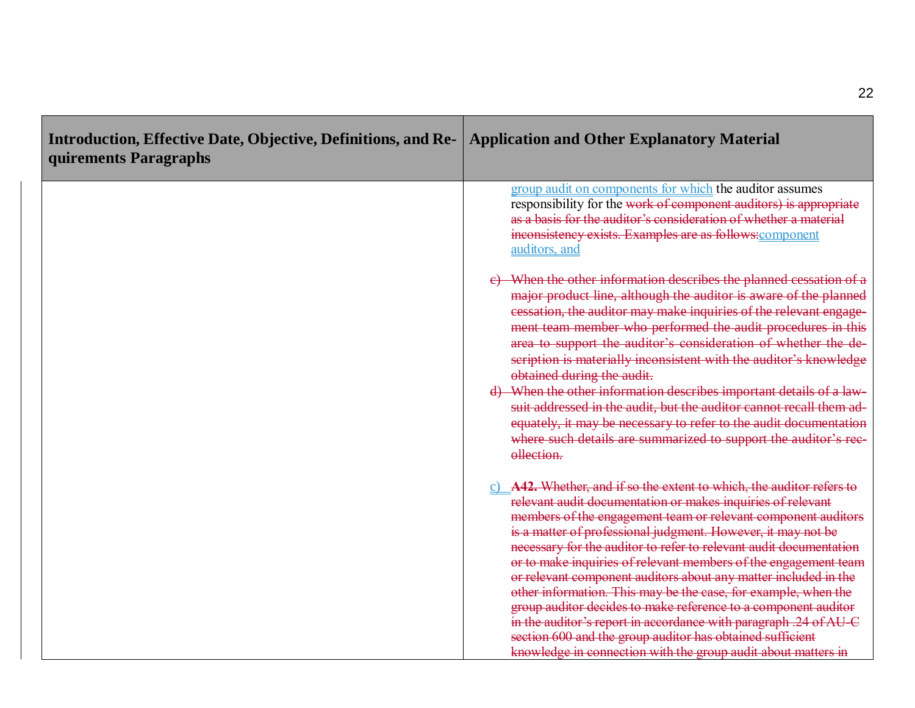| Introduction, Effective Date, Objective, Definitions, and Re-<br>quirements Paragraphs | <b>Application and Other Explanatory Material</b>                                                                                                                                                                                                                                                                                                                                                                                                                                                                                                                                                                                                                                                                                                                                                                                     |
|----------------------------------------------------------------------------------------|---------------------------------------------------------------------------------------------------------------------------------------------------------------------------------------------------------------------------------------------------------------------------------------------------------------------------------------------------------------------------------------------------------------------------------------------------------------------------------------------------------------------------------------------------------------------------------------------------------------------------------------------------------------------------------------------------------------------------------------------------------------------------------------------------------------------------------------|
|                                                                                        | group audit on components for which the auditor assumes<br>responsibility for the work of component auditors) is appropriate<br>as a basis for the auditor's consideration of whether a material<br>inconsistency exists. Examples are as follows:component<br>auditors, and                                                                                                                                                                                                                                                                                                                                                                                                                                                                                                                                                          |
|                                                                                        | e) When the other information describes the planned cessation of a<br>major product line, although the auditor is aware of the planned<br>cessation, the auditor may make inquiries of the relevant engage-<br>ment team member who performed the audit procedures in this<br>area to support the auditor's consideration of whether the de-<br>scription is materially inconsistent with the auditor's knowledge<br>obtained during the audit.<br>d) When the other information describes important details of a law-<br>suit addressed in the audit, but the auditor cannot recall them ad<br>equately, it may be necessary to refer to the audit documentation<br>where such details are summarized to support the auditor's rec-<br>ollection.                                                                                    |
|                                                                                        | A42. Whether, and if so the extent to which, the auditor refers to<br>$\mathbf{c})$<br>relevant audit documentation or makes inquiries of relevant<br>members of the engagement team or relevant component auditors<br>is a matter of professional judgment. However, it may not be<br>necessary for the auditor to refer to relevant audit documentation<br>or to make inquiries of relevant members of the engagement team<br>or relevant component auditors about any matter included in the<br>other information. This may be the case, for example, when the<br>group auditor decides to make reference to a component auditor<br>in the auditor's report in accordance with paragraph .24 of AU-C<br>section 600 and the group auditor has obtained sufficient<br>knowledge in connection with the group audit about matters in |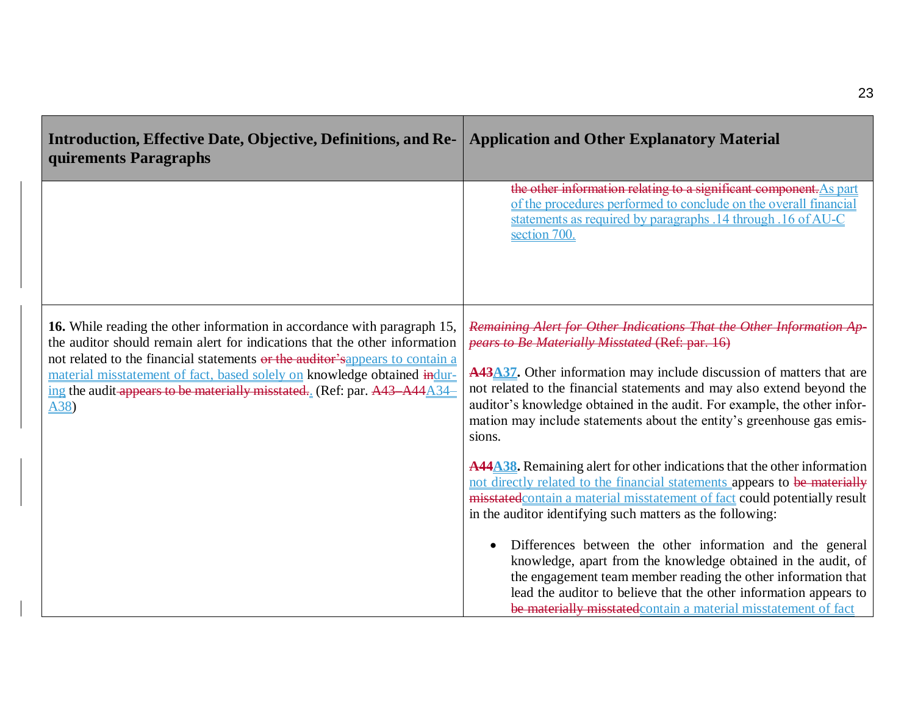| Introduction, Effective Date, Objective, Definitions, and Re-<br>quirements Paragraphs                                                                                                                                                                                                                                                                                                                   | <b>Application and Other Explanatory Material</b>                                                                                                                                                                                                                                                                                                                                                                                               |
|----------------------------------------------------------------------------------------------------------------------------------------------------------------------------------------------------------------------------------------------------------------------------------------------------------------------------------------------------------------------------------------------------------|-------------------------------------------------------------------------------------------------------------------------------------------------------------------------------------------------------------------------------------------------------------------------------------------------------------------------------------------------------------------------------------------------------------------------------------------------|
|                                                                                                                                                                                                                                                                                                                                                                                                          | the other information relating to a significant component. As part<br>of the procedures performed to conclude on the overall financial<br>statements as required by paragraphs .14 through .16 of AU-C<br>section 700.                                                                                                                                                                                                                          |
| 16. While reading the other information in accordance with paragraph 15,<br>the auditor should remain alert for indications that the other information<br>not related to the financial statements or the auditor's appears to contain a<br>material misstatement of fact, based solely on knowledge obtained indur-<br>ing the audit-appears to be materially misstated. (Ref: par. A43 A44 A 34<br>A38) | Remaining Alert for Other Indications That the Other Information Ap-<br>pears to Be Materially Misstated (Ref: par. 16)<br><b>A43A37.</b> Other information may include discussion of matters that are<br>not related to the financial statements and may also extend beyond the<br>auditor's knowledge obtained in the audit. For example, the other infor-<br>mation may include statements about the entity's greenhouse gas emis-<br>sions. |
|                                                                                                                                                                                                                                                                                                                                                                                                          | A44A38. Remaining alert for other indications that the other information<br>not directly related to the financial statements appears to be materially<br>misstated contain a material misstatement of fact could potentially result<br>in the auditor identifying such matters as the following:                                                                                                                                                |
|                                                                                                                                                                                                                                                                                                                                                                                                          | Differences between the other information and the general<br>$\bullet$<br>knowledge, apart from the knowledge obtained in the audit, of<br>the engagement team member reading the other information that<br>lead the auditor to believe that the other information appears to<br>be materially misstated contain a material misstatement of fact                                                                                                |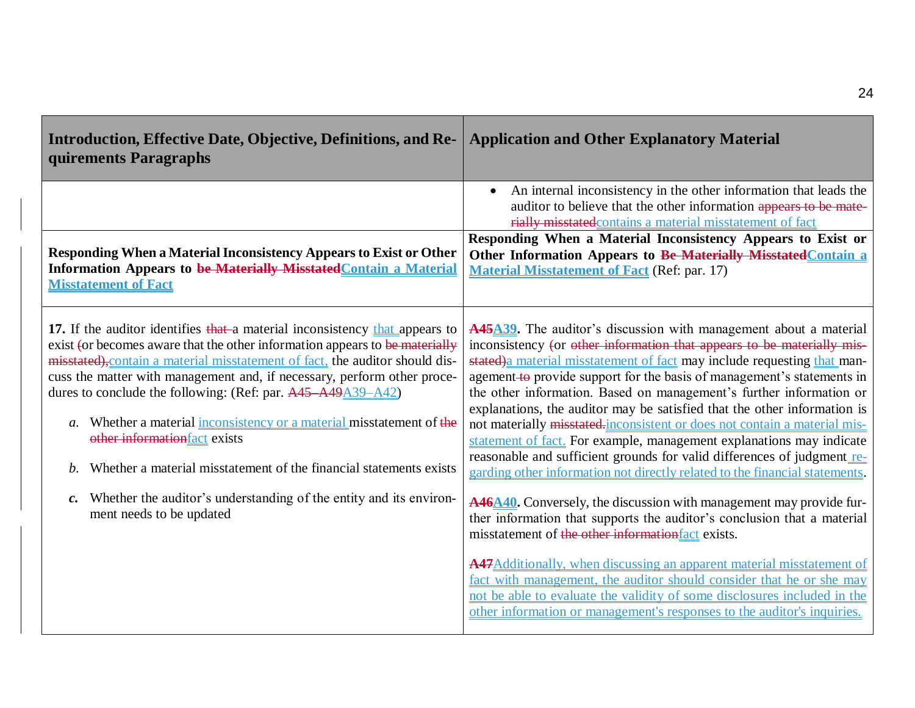| Introduction, Effective Date, Objective, Definitions, and Re-<br>quirements Paragraphs                                                                                                                                                                                                                                                                                                                                                                                                                                                                                                                                                                                                              | <b>Application and Other Explanatory Material</b>                                                                                                                                                                                                                                                                                                                                                                                                                                                                                                                                                                                                                                                                                                                                                                                                                                                                                                                                                                                                                                                                                                                                                                                                                                                  |
|-----------------------------------------------------------------------------------------------------------------------------------------------------------------------------------------------------------------------------------------------------------------------------------------------------------------------------------------------------------------------------------------------------------------------------------------------------------------------------------------------------------------------------------------------------------------------------------------------------------------------------------------------------------------------------------------------------|----------------------------------------------------------------------------------------------------------------------------------------------------------------------------------------------------------------------------------------------------------------------------------------------------------------------------------------------------------------------------------------------------------------------------------------------------------------------------------------------------------------------------------------------------------------------------------------------------------------------------------------------------------------------------------------------------------------------------------------------------------------------------------------------------------------------------------------------------------------------------------------------------------------------------------------------------------------------------------------------------------------------------------------------------------------------------------------------------------------------------------------------------------------------------------------------------------------------------------------------------------------------------------------------------|
|                                                                                                                                                                                                                                                                                                                                                                                                                                                                                                                                                                                                                                                                                                     | An internal inconsistency in the other information that leads the<br>$\bullet$<br>auditor to believe that the other information appears to be mate-<br>rially misstated contains a material misstatement of fact                                                                                                                                                                                                                                                                                                                                                                                                                                                                                                                                                                                                                                                                                                                                                                                                                                                                                                                                                                                                                                                                                   |
| <b>Responding When a Material Inconsistency Appears to Exist or Other</b><br><b>Information Appears to <del>be Materially Misstated</del>Contain a Material</b><br><b>Misstatement of Fact</b>                                                                                                                                                                                                                                                                                                                                                                                                                                                                                                      | Responding When a Material Inconsistency Appears to Exist or<br>Other Information Appears to Be Materially Misstated Contain a<br><b>Material Misstatement of Fact (Ref: par. 17)</b>                                                                                                                                                                                                                                                                                                                                                                                                                                                                                                                                                                                                                                                                                                                                                                                                                                                                                                                                                                                                                                                                                                              |
| 17. If the auditor identifies that a material inconsistency that appears to<br>exist (or becomes aware that the other information appears to be materially<br>misstated), contain a material misstatement of fact, the auditor should dis-<br>cuss the matter with management and, if necessary, perform other proce-<br>dures to conclude the following: (Ref: par. A45 A49A39-A42)<br>Whether a material inconsistency or a material misstatement of the<br>$a$ .<br>other informationfact exists<br>Whether a material misstatement of the financial statements exists<br>b.<br>Whether the auditor's understanding of the entity and its environ-<br>$\mathbf{c}$ .<br>ment needs to be updated | <b>A45A39.</b> The auditor's discussion with management about a material<br>inconsistency (or other information that appears to be materially mis-<br>stated)a material misstatement of fact may include requesting that man-<br>agement to provide support for the basis of management's statements in<br>the other information. Based on management's further information or<br>explanations, the auditor may be satisfied that the other information is<br>not materially misstated, inconsistent or does not contain a material mis-<br>statement of fact. For example, management explanations may indicate<br>reasonable and sufficient grounds for valid differences of judgment re-<br>garding other information not directly related to the financial statements.<br>A46A40. Conversely, the discussion with management may provide fur-<br>ther information that supports the auditor's conclusion that a material<br>misstatement of the other information fact exists.<br><b>A47</b> Additionally, when discussing an apparent material misstatement of<br>fact with management, the auditor should consider that he or she may<br>not be able to evaluate the validity of some disclosures included in the<br>other information or management's responses to the auditor's inquiries. |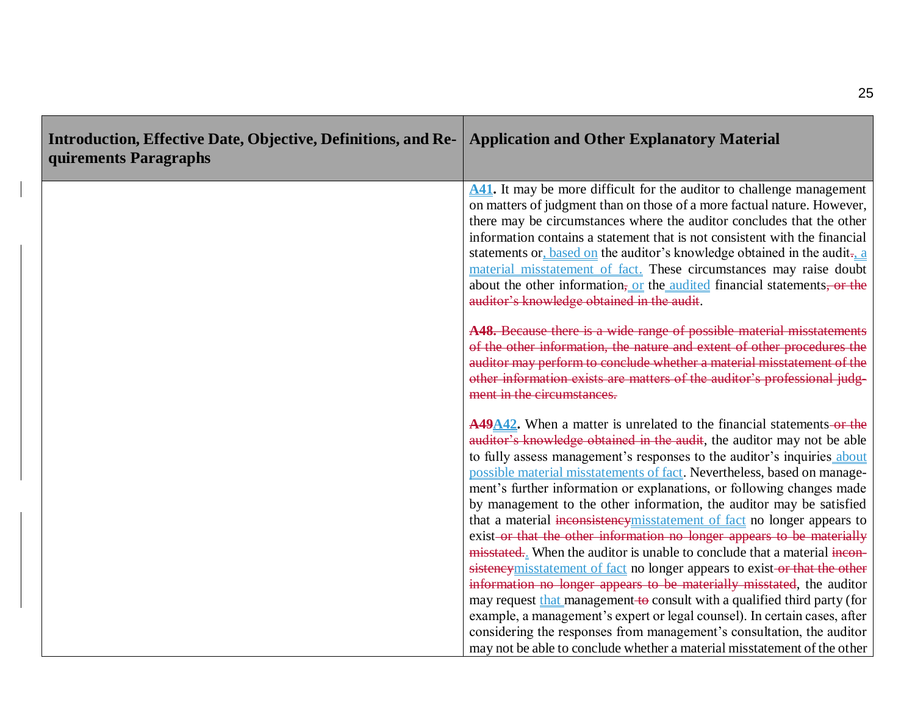| Introduction, Effective Date, Objective, Definitions, and Re-<br>quirements Paragraphs | <b>Application and Other Explanatory Material</b>                                                                                                                                                                                                                                                                                                                                                                                                                                                                                                                                                                                                                                                                                                                                                                                                   |
|----------------------------------------------------------------------------------------|-----------------------------------------------------------------------------------------------------------------------------------------------------------------------------------------------------------------------------------------------------------------------------------------------------------------------------------------------------------------------------------------------------------------------------------------------------------------------------------------------------------------------------------------------------------------------------------------------------------------------------------------------------------------------------------------------------------------------------------------------------------------------------------------------------------------------------------------------------|
|                                                                                        | <b>A41.</b> It may be more difficult for the auditor to challenge management<br>on matters of judgment than on those of a more factual nature. However,<br>there may be circumstances where the auditor concludes that the other<br>information contains a statement that is not consistent with the financial<br>statements or, based on the auditor's knowledge obtained in the audit-, a<br>material misstatement of fact. These circumstances may raise doubt<br>about the other information, or the audited financial statements, or the<br>auditor's knowledge obtained in the audit.                                                                                                                                                                                                                                                         |
|                                                                                        | A48. Because there is a wide range of possible material misstatements<br>of the other information, the nature and extent of other procedures the<br>auditor may perform to conclude whether a material misstatement of the<br>other information exists are matters of the auditor's professional judg-<br>ment in the circumstances.                                                                                                                                                                                                                                                                                                                                                                                                                                                                                                                |
|                                                                                        | <b>A49A42.</b> When a matter is unrelated to the financial statements-or the<br>auditor's knowledge obtained in the audit, the auditor may not be able<br>to fully assess management's responses to the auditor's inquiries about<br>possible material misstatements of fact. Nevertheless, based on manage-<br>ment's further information or explanations, or following changes made<br>by management to the other information, the auditor may be satisfied<br>that a material inconsistencymisstatement of fact no longer appears to<br>exist-or that the other information no longer appears to be materially<br>misstated. When the auditor is unable to conclude that a material incon-<br>sistencymisstatement of fact no longer appears to exist-or that the other<br>information no longer appears to be materially misstated, the auditor |
|                                                                                        | may request that management to consult with a qualified third party (for<br>example, a management's expert or legal counsel). In certain cases, after<br>considering the responses from management's consultation, the auditor<br>may not be able to conclude whether a material misstatement of the other                                                                                                                                                                                                                                                                                                                                                                                                                                                                                                                                          |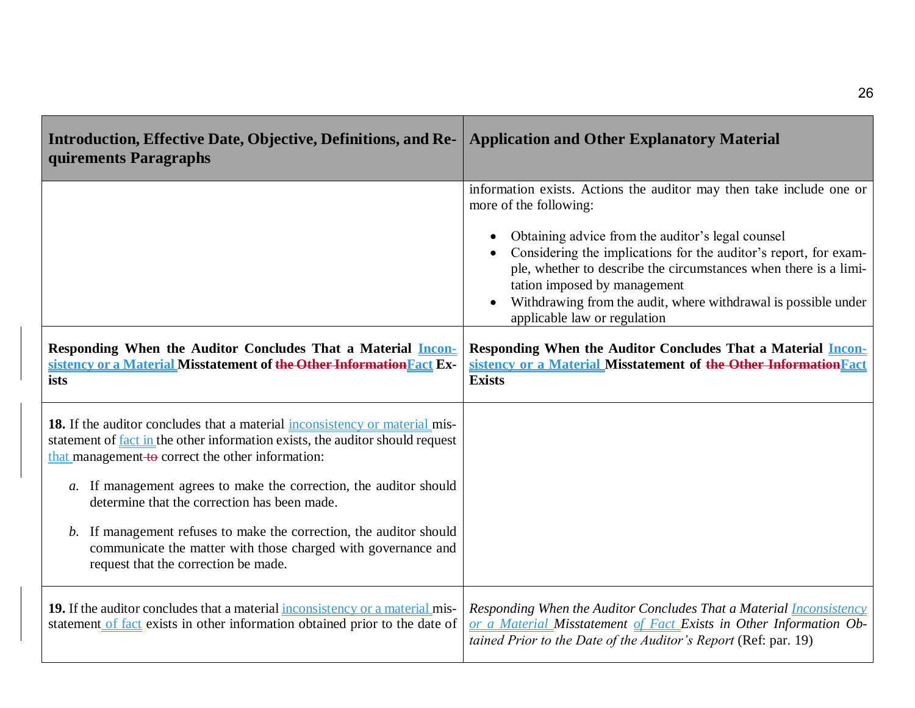| Introduction, Effective Date, Objective, Definitions, and Re-<br>quirements Paragraphs                                                                                                                                   | <b>Application and Other Explanatory Material</b>                                                                                                                                                                                                                                                                                                                                                                                          |
|--------------------------------------------------------------------------------------------------------------------------------------------------------------------------------------------------------------------------|--------------------------------------------------------------------------------------------------------------------------------------------------------------------------------------------------------------------------------------------------------------------------------------------------------------------------------------------------------------------------------------------------------------------------------------------|
|                                                                                                                                                                                                                          | information exists. Actions the auditor may then take include one or<br>more of the following:<br>Obtaining advice from the auditor's legal counsel<br>Considering the implications for the auditor's report, for exam-<br>ple, whether to describe the circumstances when there is a limi-<br>tation imposed by management<br>Withdrawing from the audit, where withdrawal is possible under<br>$\bullet$<br>applicable law or regulation |
| Responding When the Auditor Concludes That a Material Incon-<br>sistency or a Material Misstatement of the Other Information Fact Ex-<br>ists                                                                            | Responding When the Auditor Concludes That a Material Incon-<br>sistency or a Material Misstatement of the Other Information Fact<br><b>Exists</b>                                                                                                                                                                                                                                                                                         |
| 18. If the auditor concludes that a material inconsistency or material mis-<br>statement of <u>fact in</u> the other information exists, the auditor should request<br>that management to correct the other information: |                                                                                                                                                                                                                                                                                                                                                                                                                                            |
| a. If management agrees to make the correction, the auditor should<br>determine that the correction has been made.                                                                                                       |                                                                                                                                                                                                                                                                                                                                                                                                                                            |
| If management refuses to make the correction, the auditor should<br>b.<br>communicate the matter with those charged with governance and<br>request that the correction be made.                                          |                                                                                                                                                                                                                                                                                                                                                                                                                                            |
| 19. If the auditor concludes that a material inconsistency or a material mis-<br>statement of fact exists in other information obtained prior to the date of                                                             | Responding When the Auditor Concludes That a Material <i>Inconsistency</i><br>or a Material Misstatement of Fact Exists in Other Information Ob-<br>tained Prior to the Date of the Auditor's Report (Ref: par. 19)                                                                                                                                                                                                                        |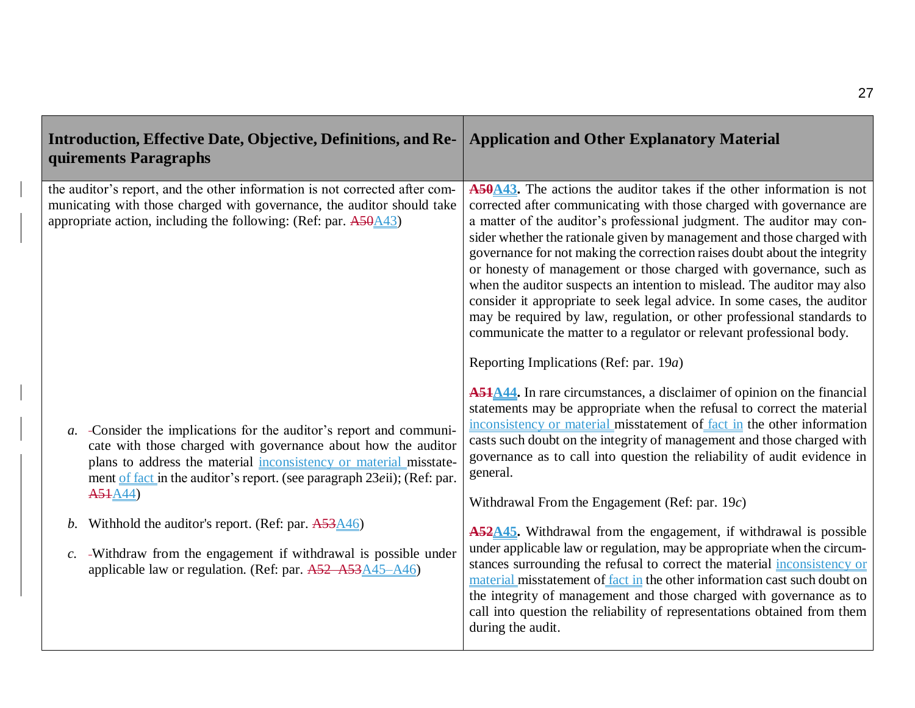| <b>Introduction, Effective Date, Objective, Definitions, and Re-</b><br>quirements Paragraphs                                                                                                                                                                                                                                                                                                                                                                                             | <b>Application and Other Explanatory Material</b>                                                                                                                                                                                                                                                                                                                                                                                                                                                                                                                                                                                                                                                                                                                                                                                                                                                                                                  |
|-------------------------------------------------------------------------------------------------------------------------------------------------------------------------------------------------------------------------------------------------------------------------------------------------------------------------------------------------------------------------------------------------------------------------------------------------------------------------------------------|----------------------------------------------------------------------------------------------------------------------------------------------------------------------------------------------------------------------------------------------------------------------------------------------------------------------------------------------------------------------------------------------------------------------------------------------------------------------------------------------------------------------------------------------------------------------------------------------------------------------------------------------------------------------------------------------------------------------------------------------------------------------------------------------------------------------------------------------------------------------------------------------------------------------------------------------------|
| the auditor's report, and the other information is not corrected after com-<br>municating with those charged with governance, the auditor should take<br>appropriate action, including the following: (Ref: par. $A50A43$ )                                                                                                                                                                                                                                                               | <b>A50A43.</b> The actions the auditor takes if the other information is not<br>corrected after communicating with those charged with governance are<br>a matter of the auditor's professional judgment. The auditor may con-<br>sider whether the rationale given by management and those charged with<br>governance for not making the correction raises doubt about the integrity<br>or honesty of management or those charged with governance, such as<br>when the auditor suspects an intention to mislead. The auditor may also<br>consider it appropriate to seek legal advice. In some cases, the auditor<br>may be required by law, regulation, or other professional standards to<br>communicate the matter to a regulator or relevant professional body.<br>Reporting Implications (Ref: par. 19a)                                                                                                                                      |
| a. Consider the implications for the auditor's report and communi-<br>cate with those charged with governance about how the auditor<br>plans to address the material inconsistency or material misstate-<br>ment of fact in the auditor's report. (see paragraph 23eii); (Ref: par.<br>A51A44)<br>Withhold the auditor's report. (Ref: par. A53A46)<br>b.<br>c. -Withdraw from the engagement if withdrawal is possible under<br>applicable law or regulation. (Ref: par. A52 A53A45-A46) | <b>A51A44.</b> In rare circumstances, a disclaimer of opinion on the financial<br>statements may be appropriate when the refusal to correct the material<br>inconsistency or material misstatement of fact in the other information<br>casts such doubt on the integrity of management and those charged with<br>governance as to call into question the reliability of audit evidence in<br>general.<br>Withdrawal From the Engagement (Ref: par. $19c$ )<br><b>A52A45.</b> Withdrawal from the engagement, if withdrawal is possible<br>under applicable law or regulation, may be appropriate when the circum-<br>stances surrounding the refusal to correct the material inconsistency or<br>material misstatement of fact in the other information cast such doubt on<br>the integrity of management and those charged with governance as to<br>call into question the reliability of representations obtained from them<br>during the audit. |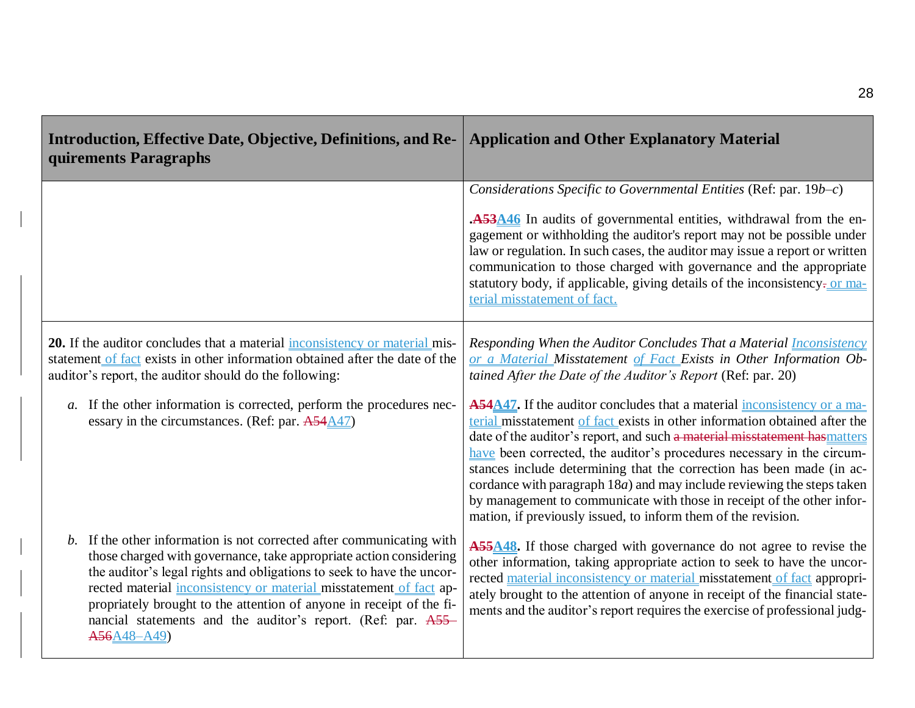| Introduction, Effective Date, Objective, Definitions, and Re-<br>quirements Paragraphs                                                                                                                                                                                                                                                                                                                                                           | <b>Application and Other Explanatory Material</b>                                                                                                                                                                                                                                                                                                                                                                                                                                                                                                                                                                    |
|--------------------------------------------------------------------------------------------------------------------------------------------------------------------------------------------------------------------------------------------------------------------------------------------------------------------------------------------------------------------------------------------------------------------------------------------------|----------------------------------------------------------------------------------------------------------------------------------------------------------------------------------------------------------------------------------------------------------------------------------------------------------------------------------------------------------------------------------------------------------------------------------------------------------------------------------------------------------------------------------------------------------------------------------------------------------------------|
|                                                                                                                                                                                                                                                                                                                                                                                                                                                  | Considerations Specific to Governmental Entities (Ref: par. $19b-c$ )<br><b>A53A46</b> In audits of governmental entities, withdrawal from the en-<br>gagement or withholding the auditor's report may not be possible under                                                                                                                                                                                                                                                                                                                                                                                         |
|                                                                                                                                                                                                                                                                                                                                                                                                                                                  | law or regulation. In such cases, the auditor may issue a report or written<br>communication to those charged with governance and the appropriate<br>statutory body, if applicable, giving details of the inconsistency- or ma-<br>terial misstatement of fact.                                                                                                                                                                                                                                                                                                                                                      |
| <b>20.</b> If the auditor concludes that a material inconsistency or material mis-<br>statement of fact exists in other information obtained after the date of the<br>auditor's report, the auditor should do the following:                                                                                                                                                                                                                     | Responding When the Auditor Concludes That a Material <i>Inconsistency</i><br>or a Material Misstatement of Fact Exists in Other Information Ob-<br>tained After the Date of the Auditor's Report (Ref: par. 20)                                                                                                                                                                                                                                                                                                                                                                                                     |
| a. If the other information is corrected, perform the procedures nec-<br>essary in the circumstances. (Ref: par. A54A47)                                                                                                                                                                                                                                                                                                                         | <b>A54A47.</b> If the auditor concludes that a material inconsistency or a ma-<br>terial misstatement of fact exists in other information obtained after the<br>date of the auditor's report, and such a material misstatement hasmatters<br>have been corrected, the auditor's procedures necessary in the circum-<br>stances include determining that the correction has been made (in ac-<br>cordance with paragraph $18a$ ) and may include reviewing the steps taken<br>by management to communicate with those in receipt of the other infor-<br>mation, if previously issued, to inform them of the revision. |
| b. If the other information is not corrected after communicating with<br>those charged with governance, take appropriate action considering<br>the auditor's legal rights and obligations to seek to have the uncor-<br>rected material inconsistency or material misstatement of fact ap-<br>propriately brought to the attention of anyone in receipt of the fi-<br>nancial statements and the auditor's report. (Ref. par. A55<br>A56A48-A49) | <b>A55A48.</b> If those charged with governance do not agree to revise the<br>other information, taking appropriate action to seek to have the uncor-<br>rected material inconsistency or material misstatement of fact appropri-<br>ately brought to the attention of anyone in receipt of the financial state-<br>ments and the auditor's report requires the exercise of professional judg-                                                                                                                                                                                                                       |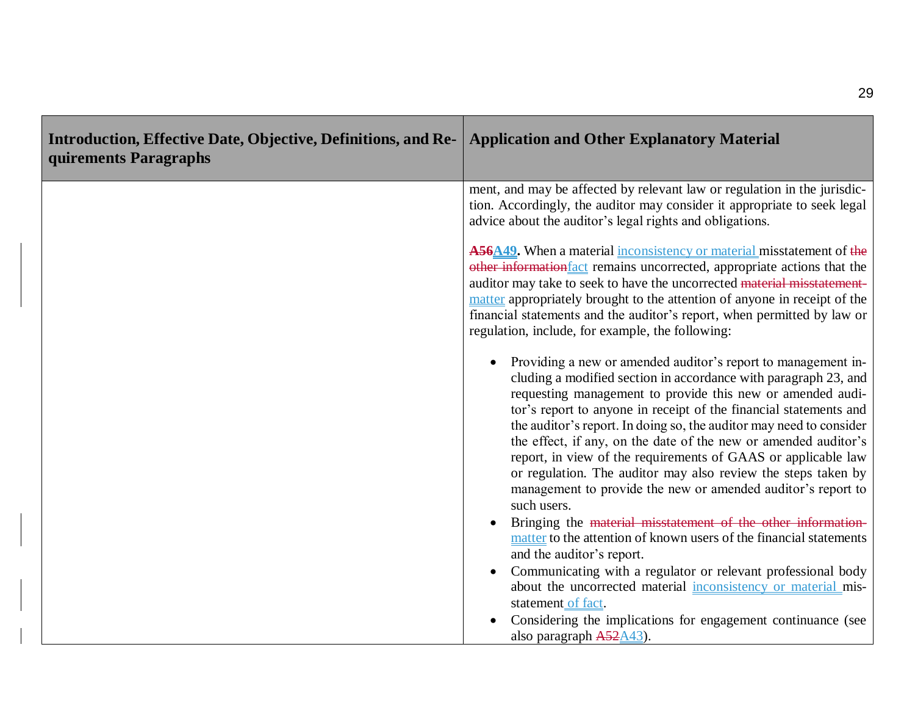| Introduction, Effective Date, Objective, Definitions, and Re-<br>quirements Paragraphs | <b>Application and Other Explanatory Material</b>                                                                                                                                                                                                                                                                                                                                                                                                                                                                                                                                                                              |
|----------------------------------------------------------------------------------------|--------------------------------------------------------------------------------------------------------------------------------------------------------------------------------------------------------------------------------------------------------------------------------------------------------------------------------------------------------------------------------------------------------------------------------------------------------------------------------------------------------------------------------------------------------------------------------------------------------------------------------|
|                                                                                        | ment, and may be affected by relevant law or regulation in the jurisdic-<br>tion. Accordingly, the auditor may consider it appropriate to seek legal<br>advice about the auditor's legal rights and obligations.                                                                                                                                                                                                                                                                                                                                                                                                               |
|                                                                                        | <b>A56A49.</b> When a material inconsistency or material misstatement of the<br>other information fact remains uncorrected, appropriate actions that the<br>auditor may take to seek to have the uncorrected material misstatement-<br>matter appropriately brought to the attention of anyone in receipt of the<br>financial statements and the auditor's report, when permitted by law or<br>regulation, include, for example, the following:                                                                                                                                                                                |
|                                                                                        | Providing a new or amended auditor's report to management in-<br>cluding a modified section in accordance with paragraph 23, and<br>requesting management to provide this new or amended audi-<br>tor's report to anyone in receipt of the financial statements and<br>the auditor's report. In doing so, the auditor may need to consider<br>the effect, if any, on the date of the new or amended auditor's<br>report, in view of the requirements of GAAS or applicable law<br>or regulation. The auditor may also review the steps taken by<br>management to provide the new or amended auditor's report to<br>such users. |
|                                                                                        | Bringing the material misstatement of the other information-<br>$\bullet$<br>matter to the attention of known users of the financial statements<br>and the auditor's report.                                                                                                                                                                                                                                                                                                                                                                                                                                                   |
|                                                                                        | Communicating with a regulator or relevant professional body<br>about the uncorrected material inconsistency or material mis-<br>statement of fact.                                                                                                                                                                                                                                                                                                                                                                                                                                                                            |
|                                                                                        | Considering the implications for engagement continuance (see<br>also paragraph A52A43).                                                                                                                                                                                                                                                                                                                                                                                                                                                                                                                                        |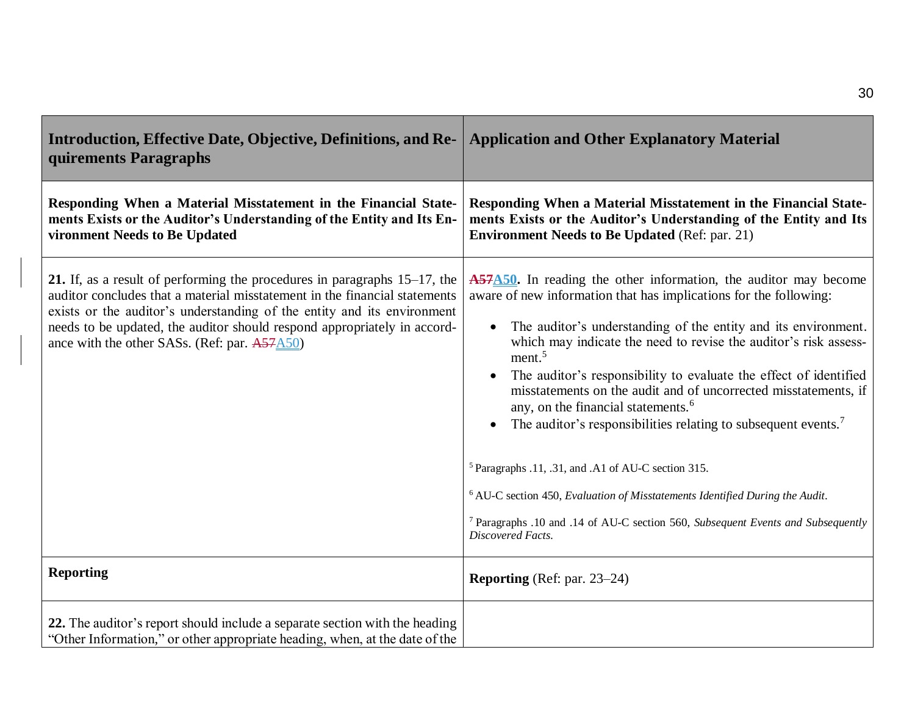| Introduction, Effective Date, Objective, Definitions, and Re-<br>quirements Paragraphs                                                                                                                                                                                                                                                                            | <b>Application and Other Explanatory Material</b>                                                                                                                                                                                                                                                                                                                                                                                                                                                                                                                                                                                                                                                                                                                                                                                                                                                      |
|-------------------------------------------------------------------------------------------------------------------------------------------------------------------------------------------------------------------------------------------------------------------------------------------------------------------------------------------------------------------|--------------------------------------------------------------------------------------------------------------------------------------------------------------------------------------------------------------------------------------------------------------------------------------------------------------------------------------------------------------------------------------------------------------------------------------------------------------------------------------------------------------------------------------------------------------------------------------------------------------------------------------------------------------------------------------------------------------------------------------------------------------------------------------------------------------------------------------------------------------------------------------------------------|
| Responding When a Material Misstatement in the Financial State-<br>ments Exists or the Auditor's Understanding of the Entity and Its En-<br>vironment Needs to Be Updated                                                                                                                                                                                         | Responding When a Material Misstatement in the Financial State-<br>ments Exists or the Auditor's Understanding of the Entity and Its<br><b>Environment Needs to Be Updated (Ref: par. 21)</b>                                                                                                                                                                                                                                                                                                                                                                                                                                                                                                                                                                                                                                                                                                          |
| 21. If, as a result of performing the procedures in paragraphs $15-17$ , the<br>auditor concludes that a material misstatement in the financial statements<br>exists or the auditor's understanding of the entity and its environment<br>needs to be updated, the auditor should respond appropriately in accord-<br>ance with the other SASs. (Ref: par. A57A50) | <b>A57A50.</b> In reading the other information, the auditor may become<br>aware of new information that has implications for the following:<br>The auditor's understanding of the entity and its environment.<br>$\bullet$<br>which may indicate the need to revise the auditor's risk assess-<br>ment. <sup>5</sup><br>The auditor's responsibility to evaluate the effect of identified<br>$\bullet$<br>misstatements on the audit and of uncorrected misstatements, if<br>any, on the financial statements. <sup>6</sup><br>The auditor's responsibilities relating to subsequent events. <sup>7</sup><br>$\bullet$<br><sup>5</sup> Paragraphs .11, .31, and .A1 of AU-C section 315.<br>$6$ AU-C section 450, Evaluation of Misstatements Identified During the Audit.<br><sup>7</sup> Paragraphs .10 and .14 of AU-C section 560, Subsequent Events and Subsequently<br><b>Discovered Facts.</b> |
| <b>Reporting</b>                                                                                                                                                                                                                                                                                                                                                  | <b>Reporting</b> (Ref: par. 23–24)                                                                                                                                                                                                                                                                                                                                                                                                                                                                                                                                                                                                                                                                                                                                                                                                                                                                     |
| 22. The auditor's report should include a separate section with the heading<br>"Other Information," or other appropriate heading, when, at the date of the                                                                                                                                                                                                        |                                                                                                                                                                                                                                                                                                                                                                                                                                                                                                                                                                                                                                                                                                                                                                                                                                                                                                        |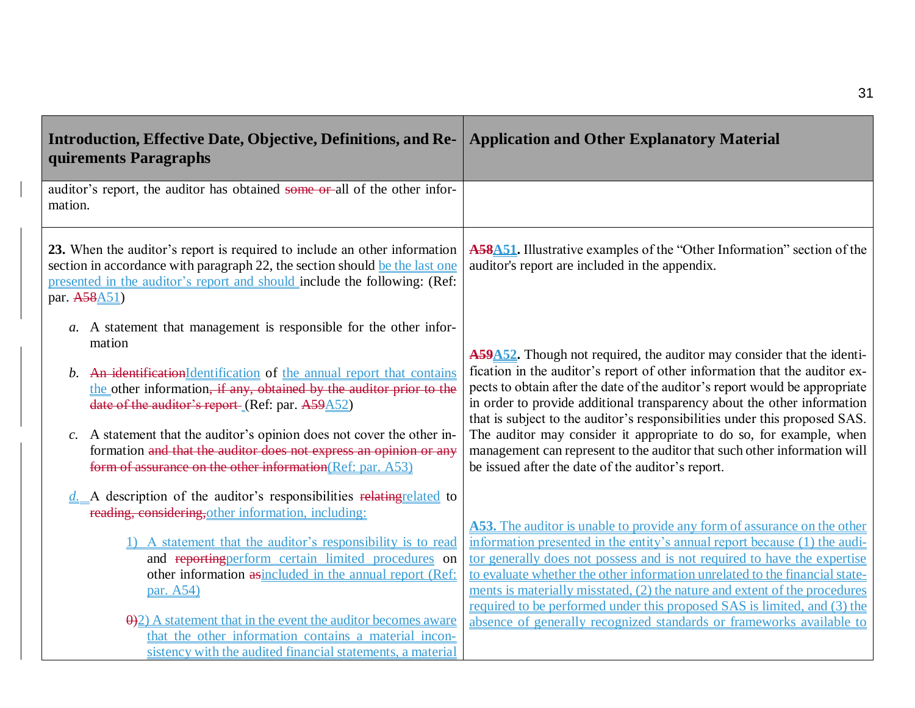| Introduction, Effective Date, Objective, Definitions, and Re-<br>quirements Paragraphs                                                                                                                                                                                                                                                                                                                                                                                                                                      | <b>Application and Other Explanatory Material</b>                                                                                                                                                                                                                                                                                                                                                                                                                                                                                                                                                           |
|-----------------------------------------------------------------------------------------------------------------------------------------------------------------------------------------------------------------------------------------------------------------------------------------------------------------------------------------------------------------------------------------------------------------------------------------------------------------------------------------------------------------------------|-------------------------------------------------------------------------------------------------------------------------------------------------------------------------------------------------------------------------------------------------------------------------------------------------------------------------------------------------------------------------------------------------------------------------------------------------------------------------------------------------------------------------------------------------------------------------------------------------------------|
| auditor's report, the auditor has obtained some or-all of the other infor-<br>mation.                                                                                                                                                                                                                                                                                                                                                                                                                                       |                                                                                                                                                                                                                                                                                                                                                                                                                                                                                                                                                                                                             |
| 23. When the auditor's report is required to include an other information<br>section in accordance with paragraph 22, the section should be the last one<br>presented in the auditor's report and should include the following: (Ref:<br>par. A58A51)                                                                                                                                                                                                                                                                       | <b>A58A51.</b> Illustrative examples of the "Other Information" section of the<br>auditor's report are included in the appendix.                                                                                                                                                                                                                                                                                                                                                                                                                                                                            |
| a. A statement that management is responsible for the other infor-<br>mation<br>An identificationIdentification of the annual report that contains<br>b.<br>the other information, if any, obtained by the auditor prior to the<br>date of the auditor's report (Ref: par. A59A52)<br>c. A statement that the auditor's opinion does not cover the other in-<br>formation and that the auditor does not express an opinion or any<br>form of assurance on the other information(Ref: par. A53)                              | <b>A59A52.</b> Though not required, the auditor may consider that the identi-<br>fication in the auditor's report of other information that the auditor ex-<br>pects to obtain after the date of the auditor's report would be appropriate<br>in order to provide additional transparency about the other information<br>that is subject to the auditor's responsibilities under this proposed SAS.<br>The auditor may consider it appropriate to do so, for example, when<br>management can represent to the auditor that such other information will<br>be issued after the date of the auditor's report. |
| $d.$ A description of the auditor's responsibilities relating related to<br>reading, considering, other information, including:<br>1) A statement that the auditor's responsibility is to read<br>and reportingperform certain limited procedures on<br>other information as included in the annual report (Ref:<br>par. A54)<br>$\Theta$ 2) A statement that in the event the auditor becomes aware<br>that the other information contains a material incon-<br>sistency with the audited financial statements, a material | <b>A53.</b> The auditor is unable to provide any form of assurance on the other<br>information presented in the entity's annual report because (1) the audi-<br>tor generally does not possess and is not required to have the expertise<br>to evaluate whether the other information unrelated to the financial state-<br>ments is materially misstated, (2) the nature and extent of the procedures<br>required to be performed under this proposed SAS is limited, and (3) the<br>absence of generally recognized standards or frameworks available to                                                   |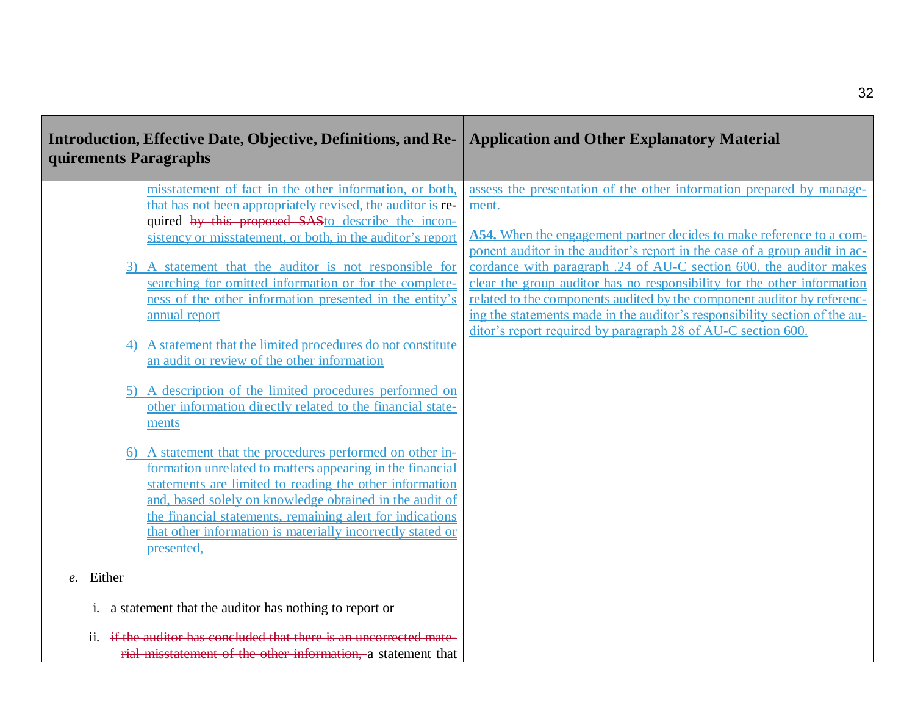| Introduction, Effective Date, Objective, Definitions, and Re-<br>quirements Paragraphs                                                                                                                                                                                                                                                                                                                                                                                                                                                                | <b>Application and Other Explanatory Material</b>                                                                                                                                                                                                                                                                                                                                                                                                                                                                                                                                                             |
|-------------------------------------------------------------------------------------------------------------------------------------------------------------------------------------------------------------------------------------------------------------------------------------------------------------------------------------------------------------------------------------------------------------------------------------------------------------------------------------------------------------------------------------------------------|---------------------------------------------------------------------------------------------------------------------------------------------------------------------------------------------------------------------------------------------------------------------------------------------------------------------------------------------------------------------------------------------------------------------------------------------------------------------------------------------------------------------------------------------------------------------------------------------------------------|
| misstatement of fact in the other information, or both,<br>that has not been appropriately revised, the auditor is re-<br>quired by this proposed SASto describe the incon-<br>sistency or misstatement, or both, in the auditor's report<br>3) A statement that the auditor is not responsible for<br>searching for omitted information or for the complete-<br>ness of the other information presented in the entity's<br>annual report<br>A statement that the limited procedures do not constitute<br>an audit or review of the other information | assess the presentation of the other information prepared by manage-<br>ment.<br>A54. When the engagement partner decides to make reference to a com-<br>ponent auditor in the auditor's report in the case of a group audit in ac-<br>cordance with paragraph .24 of AU-C section 600, the auditor makes<br>clear the group auditor has no responsibility for the other information<br>related to the components audited by the component auditor by referenc-<br>ing the statements made in the auditor's responsibility section of the au-<br>ditor's report required by paragraph 28 of AU-C section 600. |
| 5) A description of the limited procedures performed on<br>other information directly related to the financial state-<br>ments                                                                                                                                                                                                                                                                                                                                                                                                                        |                                                                                                                                                                                                                                                                                                                                                                                                                                                                                                                                                                                                               |
| 6) A statement that the procedures performed on other in-<br>formation unrelated to matters appearing in the financial<br>statements are limited to reading the other information<br>and, based solely on knowledge obtained in the audit of<br>the financial statements, remaining alert for indications<br>that other information is materially incorrectly stated or<br>presented,                                                                                                                                                                 |                                                                                                                                                                                                                                                                                                                                                                                                                                                                                                                                                                                                               |
| e. Either<br>i. a statement that the auditor has nothing to report or<br>if the auditor has concluded that there is an uncorrected mate-<br>ii.<br>rial misstatement of the other information, a statement that                                                                                                                                                                                                                                                                                                                                       |                                                                                                                                                                                                                                                                                                                                                                                                                                                                                                                                                                                                               |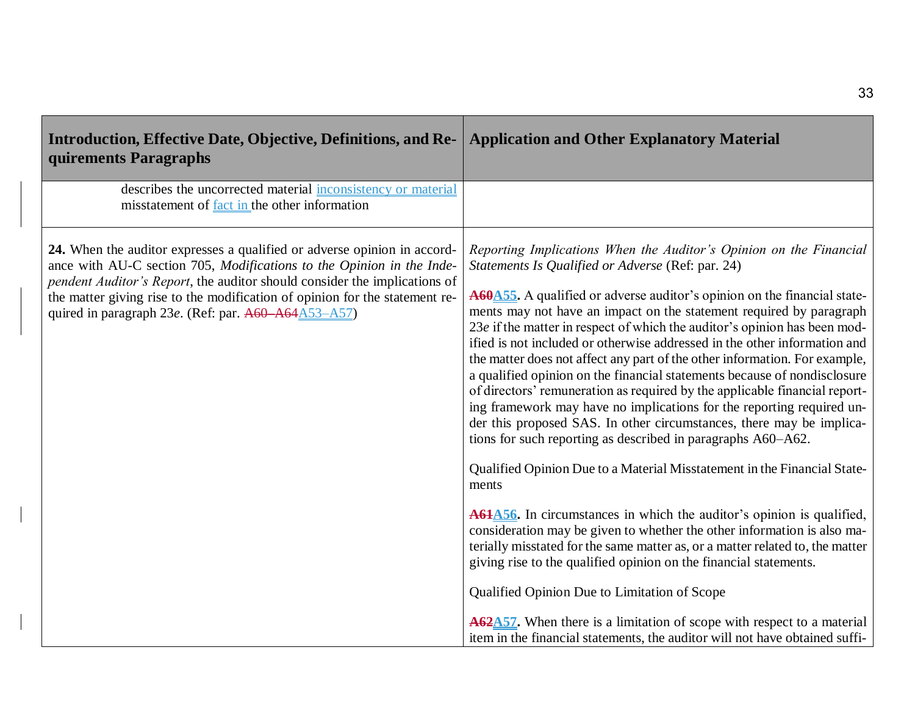| Introduction, Effective Date, Objective, Definitions, and Re-<br>quirements Paragraphs                                                                                                                                                                                                                                                                               | <b>Application and Other Explanatory Material</b>                                                                                                                                                                                                                                                                                                                                                                                                                                                                                                                                                                                                                                                                                                                                                                                                                                                                                                                                                                                                                                                                                                                                                                                                                                                                                                                                                                                                                                                                          |
|----------------------------------------------------------------------------------------------------------------------------------------------------------------------------------------------------------------------------------------------------------------------------------------------------------------------------------------------------------------------|----------------------------------------------------------------------------------------------------------------------------------------------------------------------------------------------------------------------------------------------------------------------------------------------------------------------------------------------------------------------------------------------------------------------------------------------------------------------------------------------------------------------------------------------------------------------------------------------------------------------------------------------------------------------------------------------------------------------------------------------------------------------------------------------------------------------------------------------------------------------------------------------------------------------------------------------------------------------------------------------------------------------------------------------------------------------------------------------------------------------------------------------------------------------------------------------------------------------------------------------------------------------------------------------------------------------------------------------------------------------------------------------------------------------------------------------------------------------------------------------------------------------------|
| describes the uncorrected material inconsistency or material<br>misstatement of fact in the other information                                                                                                                                                                                                                                                        |                                                                                                                                                                                                                                                                                                                                                                                                                                                                                                                                                                                                                                                                                                                                                                                                                                                                                                                                                                                                                                                                                                                                                                                                                                                                                                                                                                                                                                                                                                                            |
| 24. When the auditor expresses a qualified or adverse opinion in accord-<br>ance with AU-C section 705, Modifications to the Opinion in the Inde-<br>pendent Auditor's Report, the auditor should consider the implications of<br>the matter giving rise to the modification of opinion for the statement re-<br>quired in paragraph 23e. (Ref: par. A60 A64A53-A57) | Reporting Implications When the Auditor's Opinion on the Financial<br>Statements Is Qualified or Adverse (Ref: par. 24)<br><b>A60A55.</b> A qualified or adverse auditor's opinion on the financial state-<br>ments may not have an impact on the statement required by paragraph<br>23e if the matter in respect of which the auditor's opinion has been mod-<br>ified is not included or otherwise addressed in the other information and<br>the matter does not affect any part of the other information. For example,<br>a qualified opinion on the financial statements because of nondisclosure<br>of directors' remuneration as required by the applicable financial report-<br>ing framework may have no implications for the reporting required un-<br>der this proposed SAS. In other circumstances, there may be implica-<br>tions for such reporting as described in paragraphs A60–A62.<br>Qualified Opinion Due to a Material Misstatement in the Financial State-<br>ments<br><b>A61A56.</b> In circumstances in which the auditor's opinion is qualified,<br>consideration may be given to whether the other information is also ma-<br>terially misstated for the same matter as, or a matter related to, the matter<br>giving rise to the qualified opinion on the financial statements.<br>Qualified Opinion Due to Limitation of Scope<br><b>A62A57.</b> When there is a limitation of scope with respect to a material<br>item in the financial statements, the auditor will not have obtained suffi- |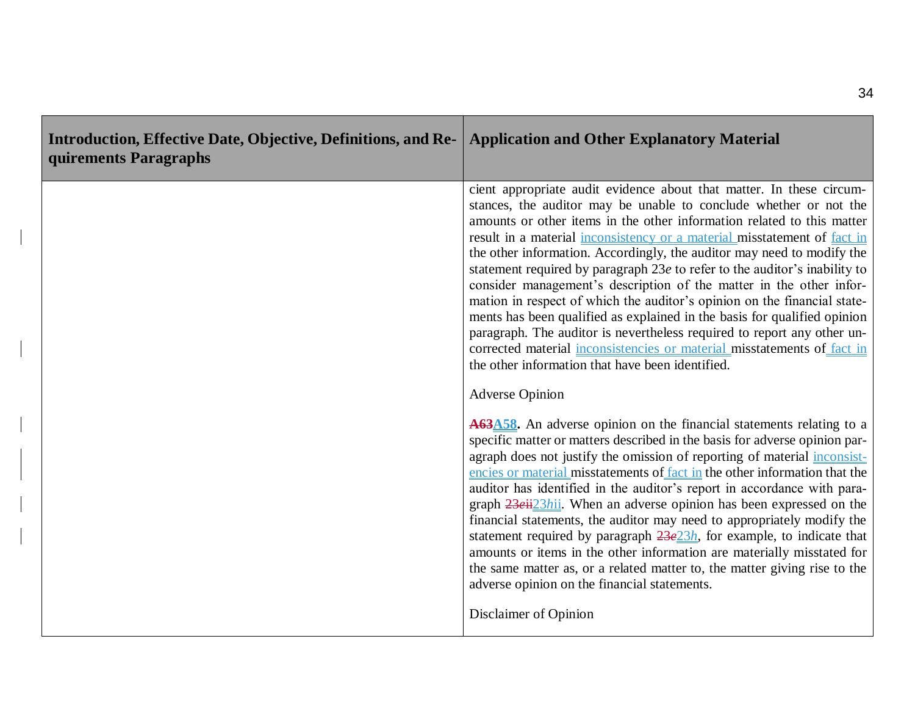| Introduction, Effective Date, Objective, Definitions, and Re-<br>quirements Paragraphs | <b>Application and Other Explanatory Material</b>                                                                                                                                                                                                                                                                                                                                                                                                                                                                                                                                                                                                                                                                                                                                                                                                                                                  |
|----------------------------------------------------------------------------------------|----------------------------------------------------------------------------------------------------------------------------------------------------------------------------------------------------------------------------------------------------------------------------------------------------------------------------------------------------------------------------------------------------------------------------------------------------------------------------------------------------------------------------------------------------------------------------------------------------------------------------------------------------------------------------------------------------------------------------------------------------------------------------------------------------------------------------------------------------------------------------------------------------|
|                                                                                        | cient appropriate audit evidence about that matter. In these circum-<br>stances, the auditor may be unable to conclude whether or not the<br>amounts or other items in the other information related to this matter<br>result in a material inconsistency or a material misstatement of fact in<br>the other information. Accordingly, the auditor may need to modify the<br>statement required by paragraph $23e$ to refer to the auditor's inability to<br>consider management's description of the matter in the other infor-<br>mation in respect of which the auditor's opinion on the financial state-<br>ments has been qualified as explained in the basis for qualified opinion<br>paragraph. The auditor is nevertheless required to report any other un-<br>corrected material inconsistencies or material misstatements of fact in<br>the other information that have been identified. |
|                                                                                        | <b>Adverse Opinion</b>                                                                                                                                                                                                                                                                                                                                                                                                                                                                                                                                                                                                                                                                                                                                                                                                                                                                             |
|                                                                                        | <b>A63A58.</b> An adverse opinion on the financial statements relating to a<br>specific matter or matters described in the basis for adverse opinion par-<br>agraph does not justify the omission of reporting of material inconsist-<br>encies or material misstatements of fact in the other information that the<br>auditor has identified in the auditor's report in accordance with para-<br>graph $\frac{23eii}{23hii}$ . When an adverse opinion has been expressed on the<br>financial statements, the auditor may need to appropriately modify the<br>statement required by paragraph $23e/23h$ , for example, to indicate that<br>amounts or items in the other information are materially misstated for<br>the same matter as, or a related matter to, the matter giving rise to the<br>adverse opinion on the financial statements.                                                    |
|                                                                                        | Disclaimer of Opinion                                                                                                                                                                                                                                                                                                                                                                                                                                                                                                                                                                                                                                                                                                                                                                                                                                                                              |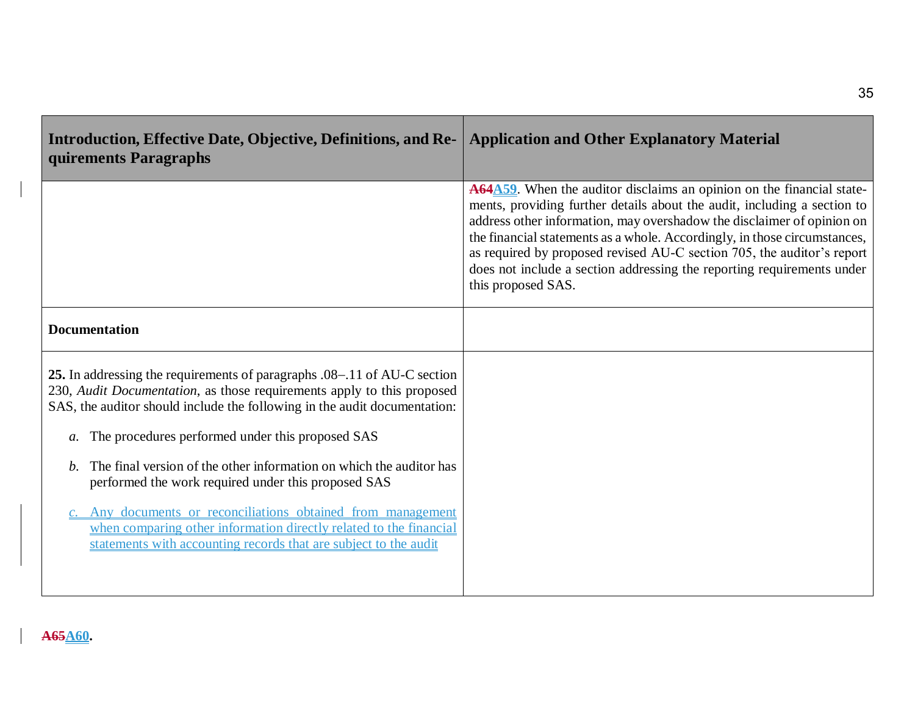| Introduction, Effective Date, Objective, Definitions, and Re-<br>quirements Paragraphs                                                                                                                                          | <b>Application and Other Explanatory Material</b>                                                                                                                                                                                                                                                                                                                                                                                                                                          |
|---------------------------------------------------------------------------------------------------------------------------------------------------------------------------------------------------------------------------------|--------------------------------------------------------------------------------------------------------------------------------------------------------------------------------------------------------------------------------------------------------------------------------------------------------------------------------------------------------------------------------------------------------------------------------------------------------------------------------------------|
|                                                                                                                                                                                                                                 | <b>A64A59</b> . When the auditor disclaims an opinion on the financial state-<br>ments, providing further details about the audit, including a section to<br>address other information, may overshadow the disclaimer of opinion on<br>the financial statements as a whole. Accordingly, in those circumstances,<br>as required by proposed revised AU-C section 705, the auditor's report<br>does not include a section addressing the reporting requirements under<br>this proposed SAS. |
| <b>Documentation</b>                                                                                                                                                                                                            |                                                                                                                                                                                                                                                                                                                                                                                                                                                                                            |
| 25. In addressing the requirements of paragraphs .08–.11 of AU-C section<br>230, Audit Documentation, as those requirements apply to this proposed<br>SAS, the auditor should include the following in the audit documentation: |                                                                                                                                                                                                                                                                                                                                                                                                                                                                                            |
| The procedures performed under this proposed SAS<br>$a_{\cdot}$                                                                                                                                                                 |                                                                                                                                                                                                                                                                                                                                                                                                                                                                                            |
| The final version of the other information on which the auditor has<br>b.<br>performed the work required under this proposed SAS                                                                                                |                                                                                                                                                                                                                                                                                                                                                                                                                                                                                            |
| Any documents or reconciliations obtained from management<br>when comparing other information directly related to the financial<br>statements with accounting records that are subject to the audit                             |                                                                                                                                                                                                                                                                                                                                                                                                                                                                                            |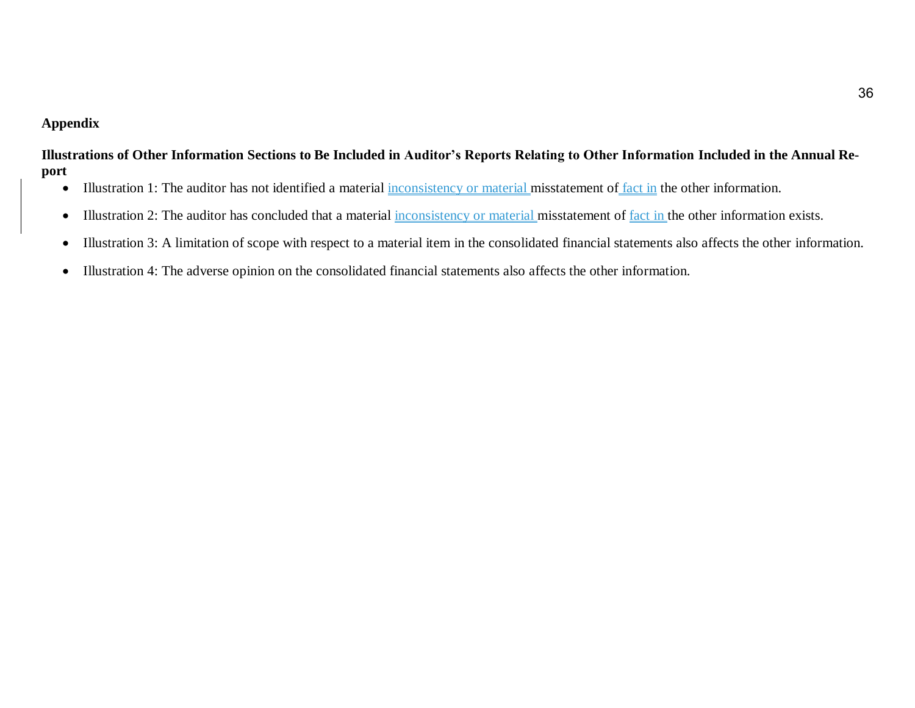# **Appendix**

# **Illustrations of Other Information Sections to Be Included in Auditor's Reports Relating to Other Information Included in the Annual Report**

- Illustration 1: The auditor has not identified a material inconsistency or material misstatement of fact in the other information.
- Illustration 2: The auditor has concluded that a material inconsistency or material misstatement of fact in the other information exists.
- Illustration 3: A limitation of scope with respect to a material item in the consolidated financial statements also affects the other information.
- Illustration 4: The adverse opinion on the consolidated financial statements also affects the other information.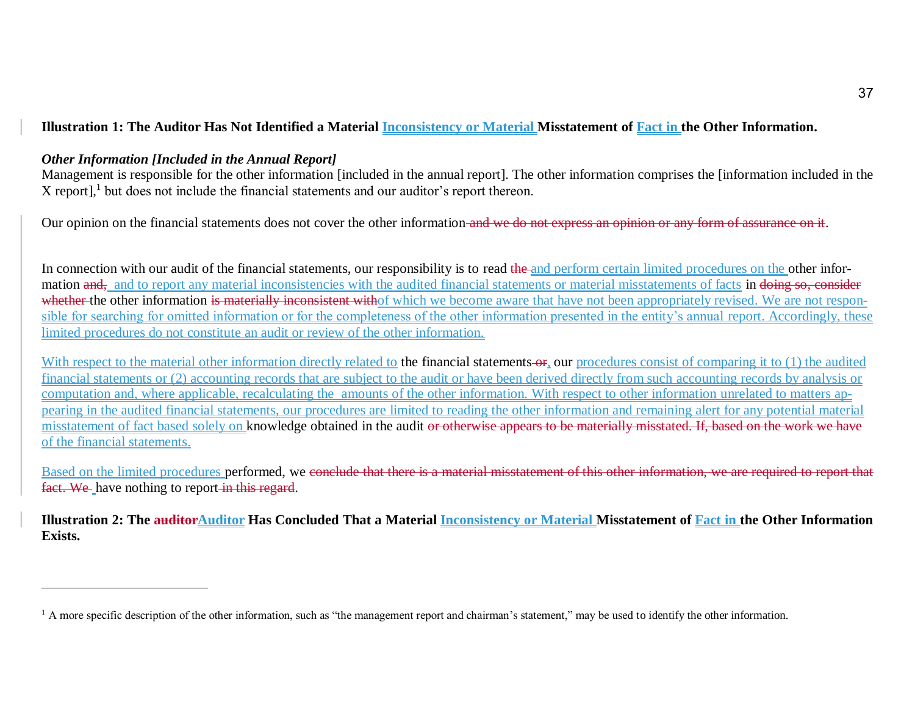# **Illustration 1: The Auditor Has Not Identified a Material Inconsistency or Material Misstatement of Fact in the Other Information.**

### *Other Information [Included in the Annual Report]*

Management is responsible for the other information [included in the annual report]. The other information comprises the [information included in the  $X$  report],<sup>1</sup> but does not include the financial statements and our auditor's report thereon.

Our opinion on the financial statements does not cover the other information and we do not express an opinion or any form of assurance on it.

In connection with our audit of the financial statements, our responsibility is to read the and perform certain limited procedures on the other information and, and to report any material inconsistencies with the audited financial statements or material misstatements of facts in doing so, consider whether the other information is materially inconsistent withof which we become aware that have not been appropriately revised. We are not responsible for searching for omitted information or for the completeness of the other information presented in the entity's annual report. Accordingly, these limited procedures do not constitute an audit or review of the other information.

With respect to the material other information directly related to the financial statements or, our procedures consist of comparing it to (1) the audited financial statements or (2) accounting records that are subject to the audit or have been derived directly from such accounting records by analysis or computation and, where applicable, recalculating the amounts of the other information. With respect to other information unrelated to matters appearing in the audited financial statements, our procedures are limited to reading the other information and remaining alert for any potential material misstatement of fact based solely on knowledge obtained in the audit or otherwise appears to be materially misstated. If, based on the work we have of the financial statements.

Based on the limited procedures performed, we conclude that there is a material misstatement of this other information, we are required to report that fact. We have nothing to report in this regard.

**Illustration 2: The auditorAuditor Has Concluded That a Material Inconsistency or Material Misstatement of Fact in the Other Information Exists.**

 $<sup>1</sup>$  A more specific description of the other information, such as "the management report and chairman's statement," may be used to identify the other information.</sup>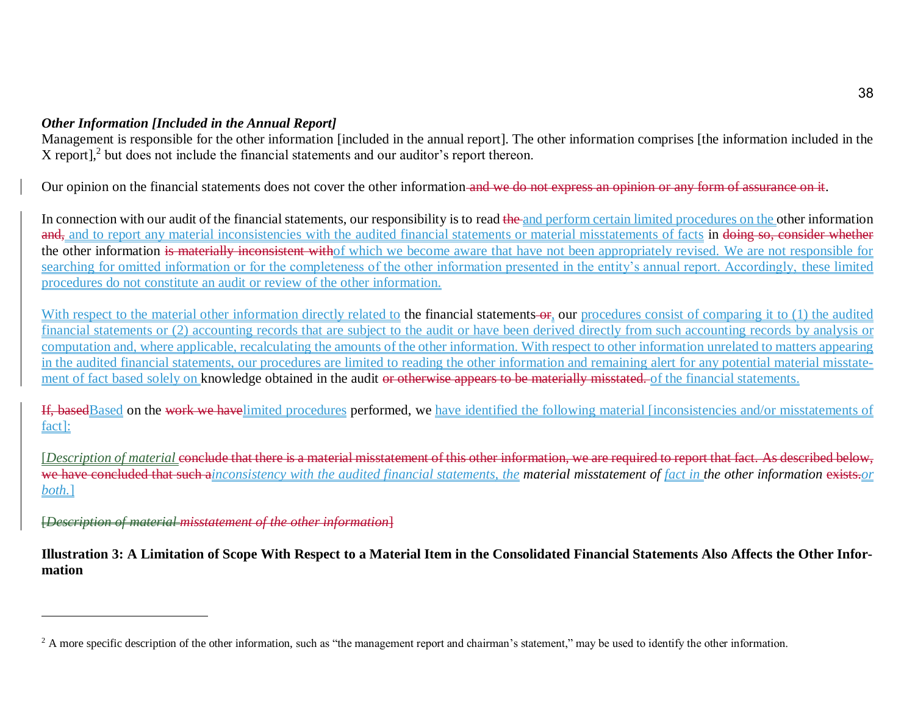# *Other Information [Included in the Annual Report]*

Management is responsible for the other information [included in the annual report]. The other information comprises [the information included in the X report],<sup>2</sup> but does not include the financial statements and our auditor's report thereon.

Our opinion on the financial statements does not cover the other information and we do not express an opinion or any form of assurance on it.

In connection with our audit of the financial statements, our responsibility is to read the and perform certain limited procedures on the other information and, and to report any material inconsistencies with the audited financial statements or material misstatements of facts in doing so, consider whether the other information is materially inconsistent withof which we become aware that have not been appropriately revised. We are not responsible for searching for omitted information or for the completeness of the other information presented in the entity's annual report. Accordingly, these limited procedures do not constitute an audit or review of the other information.

With respect to the material other information directly related to the financial statements or, our procedures consist of comparing it to (1) the audited financial statements or (2) accounting records that are subject to the audit or have been derived directly from such accounting records by analysis or computation and, where applicable, recalculating the amounts of the other information. With respect to other information unrelated to matters appearing in the audited financial statements, our procedures are limited to reading the other information and remaining alert for any potential material misstatement of fact based solely on knowledge obtained in the audit or otherwise appears to be materially misstated. of the financial statements.

If, basedBased on the work we havelimited procedures performed, we have identified the following material [inconsistencies and/or misstatements of fact]:

[*Description of material* conclude that there is a material misstatement of this other information, we are required to report that fact. As described below, we have concluded that such a*inconsistency with the audited financial statements, the material misstatement of <u>fact in</u> the other information exists.<sup>or</sup> both.*]

[*Description of material misstatement of the other information*]

**Illustration 3: A Limitation of Scope With Respect to a Material Item in the Consolidated Financial Statements Also Affects the Other Information** 

 $2 \text{ A}$  more specific description of the other information, such as "the management report and chairman's statement," may be used to identify the other information.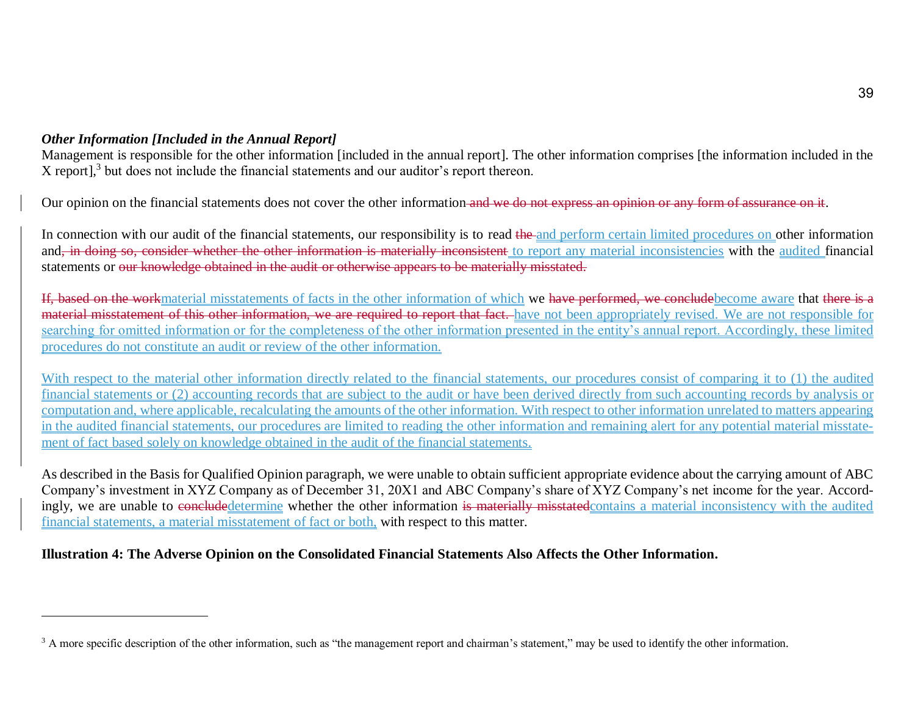# *Other Information [Included in the Annual Report]*

Management is responsible for the other information [included in the annual report]. The other information comprises [the information included in the  $X$  report],<sup>3</sup> but does not include the financial statements and our auditor's report thereon.

Our opinion on the financial statements does not cover the other information and we do not express an opinion or any form of assurance on it.

In connection with our audit of the financial statements, our responsibility is to read the and perform certain limited procedures on other information and<del>, in doing so, consider whether the other information is materially inconsistent</del> to report any material inconsistencies with the audited financial statements or our knowledge obtained in the audit or otherwise appears to be materially misstated.

If, based on the workmaterial misstatements of facts in the other information of which we have performed, we concludebecome aware that there is a material misstatement of this other information, we are required to report that fact. have not been appropriately revised. We are not responsible for searching for omitted information or for the completeness of the other information presented in the entity's annual report. Accordingly, these limited procedures do not constitute an audit or review of the other information.

With respect to the material other information directly related to the financial statements, our procedures consist of comparing it to (1) the audited financial statements or (2) accounting records that are subject to the audit or have been derived directly from such accounting records by analysis or computation and, where applicable, recalculating the amounts of the other information. With respect to other information unrelated to matters appearing in the audited financial statements, our procedures are limited to reading the other information and remaining alert for any potential material misstatement of fact based solely on knowledge obtained in the audit of the financial statements.

As described in the Basis for Qualified Opinion paragraph, we were unable to obtain sufficient appropriate evidence about the carrying amount of ABC Company's investment in XYZ Company as of December 31, 20X1 and ABC Company's share of XYZ Company's net income for the year. Accordingly, we are unable to concludedetermine whether the other information is materially misstated contains a material inconsistency with the audited financial statements, a material misstatement of fact or both, with respect to this matter.

# **Illustration 4: The Adverse Opinion on the Consolidated Financial Statements Also Affects the Other Information.**

<sup>&</sup>lt;sup>3</sup> A more specific description of the other information, such as "the management report and chairman's statement," may be used to identify the other information.